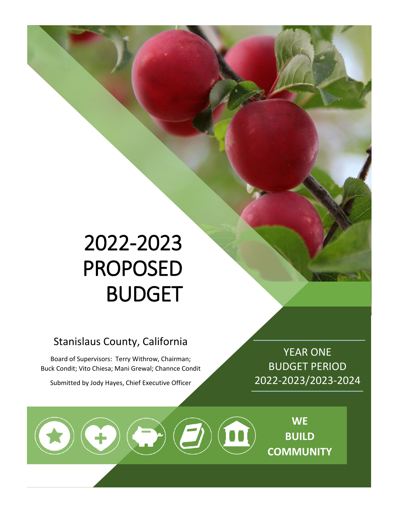# 2022-2023 PROPOSED BUDGET

## Stanislaus County, California

Board of Supervisors: Terry Withrow, Chairman; Buck Condit; Vito Chiesa; Mani Grewal; Channce Condit

Submitted by Jody Hayes, Chief Executive Officer

 $\Theta\bigodot\bigodot\bigodot\bigodot$ 

YEAR ONE BUDGET PERIOD 2022-2023/2023-2024

> **WE BUILD COMMUNITY**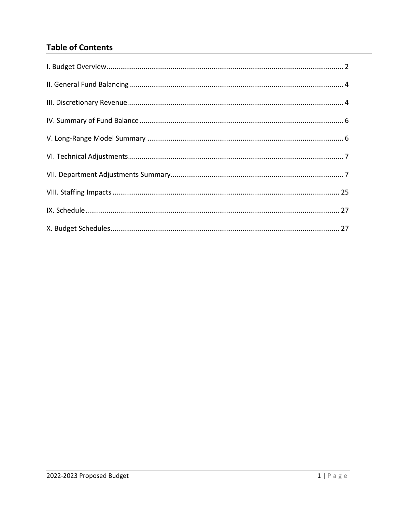### **Table of Contents**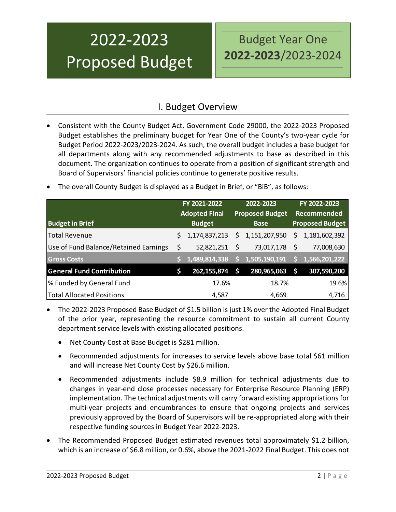## 2022-2023 Proposed Budget

## Budget Year One **2022-2023**/2023-2024

## I. Budget Overview

- <span id="page-2-0"></span>• Consistent with the County Budget Act, Government Code 29000, the 2022-2023 Proposed Budget establishes the preliminary budget for Year One of the County's two-year cycle for Budget Period 2022-2023/2023-2024. As such, the overall budget includes a base budget for all departments along with any recommended adjustments to base as described in this document. The organization continues to operate from a position of significant strength and Board of Supervisors' financial policies continue to generate positive results.
- **Budget in Brief FY 2021-2022 Adopted Final Budget 2022-2023 Proposed Budget Base FY 2022-2023 Recommended Proposed Budget** Total Revenue \$ 1,174,837,213 \$ 1,151,207,950 \$ 1,181,602,392 Use of Fund Balance/Retained Earnings \$ 52,821,251 \$ 73,017,178 \$ 77,008,630 **Gross Costs \$ 1,489,814,338 \$ 1,505,190,191 \$ 1,566,201,222 General Fund Contribution \$ 262,155,874 \$ 280,965,063 \$ 307,590,200** % Funded by General Fund 17.6% 18.7% 19.6% Total Allocated Positions and the control of the 4,587 4,669 4,716
- The overall County Budget is displayed as a Budget in Brief, or "BiB", as follows:

- The 2022-2023 Proposed Base Budget of \$1.5 billion is just 1% over the Adopted Final Budget of the prior year, representing the resource commitment to sustain all current County department service levels with existing allocated positions.
	- Net County Cost at Base Budget is \$281 million.
	- Recommended adjustments for increases to service levels above base total \$61 million and will increase Net County Cost by \$26.6 million.
	- Recommended adjustments include \$8.9 million for technical adjustments due to changes in year-end close processes necessary for Enterprise Resource Planning (ERP) implementation. The technical adjustments will carry forward existing appropriations for multi-year projects and encumbrances to ensure that ongoing projects and services previously approved by the Board of Supervisors will be re-appropriated along with their respective funding sources in Budget Year 2022-2023.
- The Recommended Proposed Budget estimated revenues total approximately \$1.2 billion, which is an increase of \$6.8 million, or 0.6%, above the 2021-2022 Final Budget. This does not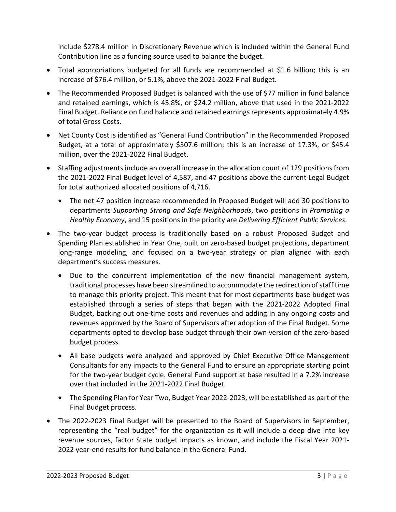include \$278.4 million in Discretionary Revenue which is included within the General Fund Contribution line as a funding source used to balance the budget.

- Total appropriations budgeted for all funds are recommended at \$1.6 billion; this is an increase of \$76.4 million, or 5.1%, above the 2021-2022 Final Budget.
- The Recommended Proposed Budget is balanced with the use of \$77 million in fund balance and retained earnings, which is 45.8%, or \$24.2 million, above that used in the 2021-2022 Final Budget. Reliance on fund balance and retained earnings represents approximately 4.9% of total Gross Costs.
- Net County Cost is identified as "General Fund Contribution" in the Recommended Proposed Budget, at a total of approximately \$307.6 million; this is an increase of 17.3%, or \$45.4 million, over the 2021-2022 Final Budget.
- Staffing adjustments include an overall increase in the allocation count of 129 positions from the 2021-2022 Final Budget level of 4,587, and 47 positions above the current Legal Budget for total authorized allocated positions of 4,716.
	- The net 47 position increase recommended in Proposed Budget will add 30 positions to departments *Supporting Strong and Safe Neighborhoods*, two positions in *Promoting a Healthy Economy*, and 15 positions in the priority are *Delivering Efficient Public Services*.
- The two-year budget process is traditionally based on a robust Proposed Budget and Spending Plan established in Year One, built on zero-based budget projections, department long-range modeling, and focused on a two-year strategy or plan aligned with each department's success measures.
	- Due to the concurrent implementation of the new financial management system, traditional processes have been streamlined to accommodate the redirection of staff time to manage this priority project. This meant that for most departments base budget was established through a series of steps that began with the 2021-2022 Adopted Final Budget, backing out one-time costs and revenues and adding in any ongoing costs and revenues approved by the Board of Supervisors after adoption of the Final Budget. Some departments opted to develop base budget through their own version of the zero-based budget process.
	- All base budgets were analyzed and approved by Chief Executive Office Management Consultants for any impacts to the General Fund to ensure an appropriate starting point for the two-year budget cycle. General Fund support at base resulted in a 7.2% increase over that included in the 2021-2022 Final Budget.
	- The Spending Plan for Year Two, Budget Year 2022-2023, will be established as part of the Final Budget process.
- The 2022-2023 Final Budget will be presented to the Board of Supervisors in September, representing the "real budget" for the organization as it will include a deep dive into key revenue sources, factor State budget impacts as known, and include the Fiscal Year 2021- 2022 year-end results for fund balance in the General Fund.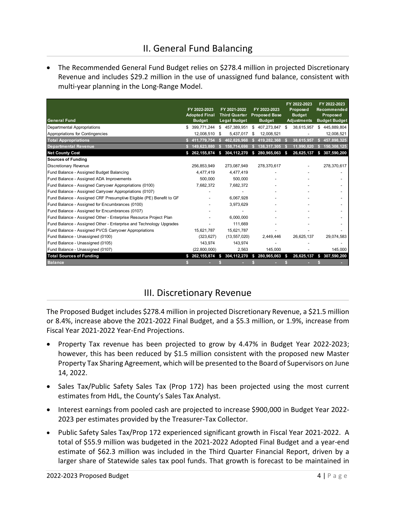<span id="page-4-0"></span>• The Recommended General Fund Budget relies on \$278.4 million in projected Discretionary Revenue and includes \$29.2 million in the use of unassigned fund balance, consistent with multi-year planning in the Long-Range Model.

| <b>General Fund</b>                                                 | FY 2022-2023<br><b>Adopted Final</b><br><b>Budget</b> |    | FY 2021-2022<br><b>Third Quarter</b><br><b>Legal Budget</b> | FY 2022-2023<br><b>Proposed Base</b><br><b>Budget</b> |     | FY 2022-2023<br>Proposed<br><b>Budget</b><br><b>Adjustments</b> | FY 2022-2023<br><b>Recommended</b><br>Proposed<br><b>Budget Budget</b> |
|---------------------------------------------------------------------|-------------------------------------------------------|----|-------------------------------------------------------------|-------------------------------------------------------|-----|-----------------------------------------------------------------|------------------------------------------------------------------------|
| Departmental Appropriations                                         | \$<br>399,771,244                                     | \$ | 457,389,951                                                 | \$<br>407,273,847                                     | \$. | 38,615,957                                                      | 445,889,804<br>\$                                                      |
| Appropriations for Contingencies                                    | 12,008,510                                            | \$ | 5,437,017                                                   | \$<br>12,008,521                                      |     |                                                                 | 12,008,521                                                             |
| <b>Total Appropriations</b>                                         | 411,779,754                                           |    | 462,826,968                                                 | 419,282,368                                           |     | 38,615,957                                                      | 457,898,325                                                            |
| <b>Departmental Revenue</b>                                         | 149,623,880                                           |    | 158,714,698                                                 | 138,317,305                                           |     | 11,990,820                                                      | 150,308,125                                                            |
| <b>Net County Cost</b>                                              | \$262,155,874                                         | \$ | 304, 112, 270                                               | \$<br>280,965,063                                     | \$  | 26,625,137                                                      | 307,590,200<br>\$                                                      |
| Sources of Funding                                                  |                                                       |    |                                                             |                                                       |     |                                                                 |                                                                        |
| <b>Discretionary Revenue</b>                                        | 256,853,949                                           |    | 273,087,949                                                 | 278,370,617                                           |     |                                                                 | 278,370,617                                                            |
| Fund Balance - Assigned Budget Balancing                            | 4,477,419                                             |    | 4,477,419                                                   |                                                       |     |                                                                 |                                                                        |
| Fund Balance - Assigned ADA Improvements                            | 500.000                                               |    | 500.000                                                     |                                                       |     |                                                                 |                                                                        |
| Fund Balance - Assigned Carryover Appropriations (0100)             | 7,682,372                                             |    | 7,682,372                                                   |                                                       |     |                                                                 |                                                                        |
| Fund Balance - Assigned Carryover Appropriations (0107)             |                                                       |    |                                                             |                                                       |     |                                                                 |                                                                        |
| Fund Balance - Assigned CRF Presumptive Eligible (PE) Benefit to GF |                                                       |    | 6,067,928                                                   |                                                       |     |                                                                 |                                                                        |
| Fund Balance - Assigned for Encumbrances (0100)                     |                                                       |    | 3,973,629                                                   |                                                       |     |                                                                 |                                                                        |
| Fund Balance - Assigned for Encumbrances (0107)                     |                                                       |    |                                                             |                                                       |     |                                                                 |                                                                        |
| Fund Balance - Assigned Other - Enterprise Resource Project Plan    |                                                       |    | 6.000.000                                                   |                                                       |     |                                                                 |                                                                        |
| Fund Balance - Assigned Other - Enterprise and Technology Upgrades  |                                                       |    | 111,669                                                     |                                                       |     |                                                                 |                                                                        |
| Fund Balance - Assigned PVCS Carryover Appropriations               | 15,621,787                                            |    | 15,621,787                                                  |                                                       |     |                                                                 |                                                                        |
| Fund Balance - Unassigned (0100)                                    | (323, 627)                                            |    | (13, 557, 020)                                              | 2,449,446                                             |     | 26,625,137                                                      | 29,074,583                                                             |
| Fund Balance - Unassigned (0105)                                    | 143,974                                               |    | 143.974                                                     |                                                       |     |                                                                 |                                                                        |
| Fund Balance - Unassigned (0107)                                    | (22,800,000)                                          |    | 2.563                                                       | 145.000                                               |     |                                                                 | 145.000                                                                |
| <b>Total Sources of Funding</b>                                     | \$262,155,874                                         | S. | 304,112,270                                                 | \$<br>280,965,063                                     | S.  | 26,625,137                                                      | 307,590,200<br>S.                                                      |
| <b>Balance</b>                                                      |                                                       |    |                                                             |                                                       |     |                                                                 |                                                                        |

## III. Discretionary Revenue

<span id="page-4-1"></span>The Proposed Budget includes \$278.4 million in projected Discretionary Revenue, a \$21.5 million or 8.4%, increase above the 2021-2022 Final Budget, and a \$5.3 million, or 1.9%, increase from Fiscal Year 2021-2022 Year-End Projections.

- Property Tax revenue has been projected to grow by 4.47% in Budget Year 2022-2023; however, this has been reduced by \$1.5 million consistent with the proposed new Master Property Tax Sharing Agreement, which will be presented to the Board of Supervisors on June 14, 2022.
- Sales Tax/Public Safety Sales Tax (Prop 172) has been projected using the most current estimates from HdL, the County's Sales Tax Analyst.
- Interest earnings from pooled cash are projected to increase \$900,000 in Budget Year 2022- 2023 per estimates provided by the Treasurer-Tax Collector.
- Public Safety Sales Tax/Prop 172 experienced significant growth in Fiscal Year 2021-2022. A total of \$55.9 million was budgeted in the 2021-2022 Adopted Final Budget and a year-end estimate of \$62.3 million was included in the Third Quarter Financial Report, driven by a larger share of Statewide sales tax pool funds. That growth is forecast to be maintained in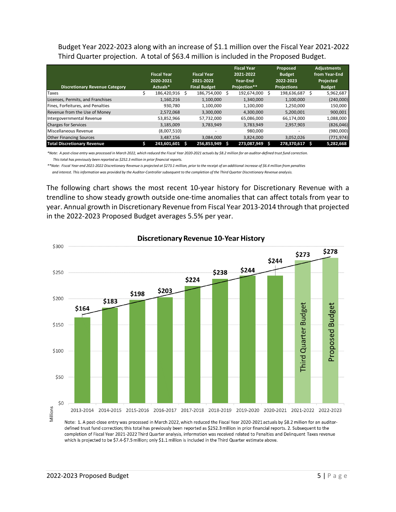Budget Year 2022-2023 along with an increase of \$1.1 million over the Fiscal Year 2021-2022 Third Quarter projection. A total of \$63.4 million is included in the Proposed Budget.

|                                       |                    |                     |     | <b>Fiscal Year</b> | Proposed           |   | <b>Adjustments</b> |
|---------------------------------------|--------------------|---------------------|-----|--------------------|--------------------|---|--------------------|
|                                       | <b>Fiscal Year</b> | <b>Fiscal Year</b>  |     | 2021-2022          | <b>Budget</b>      |   | from Year-End      |
|                                       | 2020-2021          | 2021-2022           |     | Year-End           | 2022-2023          |   | Projected          |
| <b>Discretionary Revenue Category</b> | Actuals*           | <b>Final Budget</b> |     | Projection**       | <b>Projections</b> |   | <b>Budget</b>      |
| Taxes                                 | 186,420,916        | 186,754,000 \$      |     | 192,674,000        | 198,636,687        |   | 5,962,687          |
| Licenses, Permits, and Franchises     | 1,160,216          | 1,100,000           |     | 1,340,000          | 1,100,000          |   | (240,000)          |
| Fines, Forfeitures, and Penalties     | 930.780            | 1.100.000           |     | 1,100,000          | 1,250,000          |   | 150,000            |
| Revenue from the Use of Money         | 2,572,068          | 3,300,000           |     | 4,300,000          | 5,200,001          |   | 900,001            |
| Intergovernmental Revenue             | 53,852,966         | 57,732,000          |     | 65,086,000         | 66,174,000         |   | 1,088,000          |
| <b>Charges for Services</b>           | 3,185,009          | 3,783,949           |     | 3.783.949          | 2.957.903          |   | (826,046)          |
| Miscellaneous Revenue                 | (8,007,510)        |                     |     | 980,000            | ۰                  |   | (980,000)          |
| <b>Other Financing Sources</b>        | 3,487,156          | 3,084,000           |     | 3,824,000          | 3,052,026          |   | (771, 974)         |
| <b>Total Discretionary Revenue</b>    | 243,601,601 \$     | 256,853,949         | - S | 273.087.949        | 278.370.617        | s | 5,282,668          |

*\*Note: A post-close entry was processed in March 2022, which reduced the Fiscal Year 2020-2021 actuals by \$8.2 million for an auditor-defined trust fund correction. This total has previously been reported as \$252.3 million in prior financial reports.*

*\*\*Note: Fiscal Year-end 2021-2022 Discretionary Revenue is projected at \$273.1 million, prior to the receipt of an additional increase of \$6.4 million from penalties*

 *and interest. This information was provided by the Auditor-Controller subsequent to the completion of the Third Quarter Discretionary Revenue analysis.*

The following chart shows the most recent 10-year history for Discretionary Revenue with a trendline to show steady growth outside one-time anomalies that can affect totals from year to year. Annual growth in Discretionary Revenue from Fiscal Year 2013-2014 through that projected in the 2022-2023 Proposed Budget averages 5.5% per year.



**Discretionary Revenue 10-Year History** 

completion of Fiscal Year 2021-2022 Third Quarter analysis, information was received related to Penalties and Delinquent Taxes revenue which is projected to be \$7.4-\$7.5 million; only \$1.1 million is included in the Third Quarter estimate above.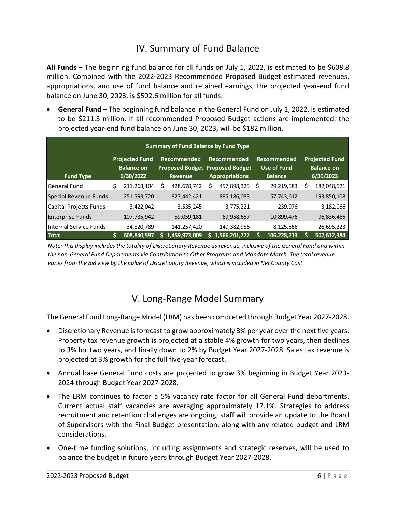## IV. Summary of Fund Balance

<span id="page-6-0"></span>**All Funds** – The beginning fund balance for all funds on July 1, 2022, is estimated to be \$608.8 million. Combined with the 2022-2023 Recommended Proposed Budget estimated revenues, appropriations, and use of fund balance and retained earnings, the projected year-end fund balance on June 30, 2023, is \$502.6 million for all funds.

• **General Fund** – The beginning fund balance in the General Fund on July 1, 2022, is estimated to be \$211.3 million. If all recommended Proposed Budget actions are implemented, the projected year-end fund balance on June 30, 2023, will be \$182 million.

|                         |   |                                                         |                        |   | <b>Summary of Fund Balance by Fund Type</b>                                    |                                                     |                                                         |
|-------------------------|---|---------------------------------------------------------|------------------------|---|--------------------------------------------------------------------------------|-----------------------------------------------------|---------------------------------------------------------|
| <b>Fund Type</b>        |   | <b>Projected Fund</b><br><b>Balance on</b><br>6/30/2022 | Recommended<br>Revenue |   | Recommended<br><b>Proposed Budget Proposed Budget</b><br><b>Appropriations</b> | Recommended<br><b>Use of Fund</b><br><b>Balance</b> | <b>Projected Fund</b><br><b>Balance on</b><br>6/30/2023 |
| lGeneral Fund           | S | 211,268,104                                             | 428,678,742            | S | 457,898,325                                                                    | \$<br>29,219,583                                    | \$<br>182,048,521                                       |
| Special Revenue Funds   |   | 251,593,720                                             | 827,442,421            |   | 885,186,033                                                                    | 57,743,612                                          | 193,850,108                                             |
| Capital Projects Funds  |   | 3,422,042                                               | 3,535,245              |   | 3,775,221                                                                      | 239,976                                             | 3,182,066                                               |
| <b>Enterprise Funds</b> |   | 107,735,942                                             | 59,059,181             |   | 69,958,657                                                                     | 10,899,476                                          | 96,836,466                                              |
| IInternal Service Funds |   | 34,820,789                                              | 141,257,420            |   | 149,382,986                                                                    | 8,125,566                                           | 26,695,223                                              |
| <b>Total</b>            |   | 608,840,597                                             | 1,459,973,009          |   | 1,566,201,222                                                                  | 106,228,213                                         | 502,612,384                                             |

<span id="page-6-1"></span>*Note: This display includes the totality of Discretionary Revenue as revenue, inclusive of the General Fund and within the non-General Fund Departments via Contribution to Other Programs and Mandate Match. The total revenue varies from the BiB view by the value of Discretionary Revenue, which is included in Net County Cost.*

## V. Long-Range Model Summary

The General Fund Long-Range Model (LRM) has been completed through Budget Year 2027-2028.

- Discretionary Revenue is forecast to grow approximately 3% per year over the next five years. Property tax revenue growth is projected at a stable 4% growth for two years, then declines to 3% for two years, and finally down to 2% by Budget Year 2027-2028. Sales tax revenue is projected at 3% growth for the full five-year forecast.
- Annual base General Fund costs are projected to grow 3% beginning in Budget Year 2023- 2024 through Budget Year 2027-2028.
- The LRM continues to factor a 5% vacancy rate factor for all General Fund departments. Current actual staff vacancies are averaging approximately 17.1%. Strategies to address recruitment and retention challenges are ongoing; staff will provide an update to the Board of Supervisors with the Final Budget presentation, along with any related budget and LRM considerations.
- One-time funding solutions, including assignments and strategic reserves, will be used to balance the budget in future years through Budget Year 2027-2028.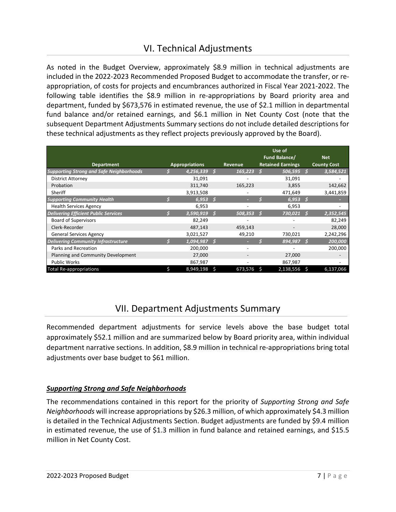## VI. Technical Adjustments

<span id="page-7-0"></span>As noted in the Budget Overview, approximately \$8.9 million in technical adjustments are included in the 2022-2023 Recommended Proposed Budget to accommodate the transfer, or reappropriation, of costs for projects and encumbrances authorized in Fiscal Year 2021-2022. The following table identifies the \$8.9 million in re-appropriations by Board priority area and department, funded by \$673,576 in estimated revenue, the use of \$2.1 million in departmental fund balance and/or retained earnings, and \$6.1 million in Net County Cost (note that the subsequent Department Adjustments Summary sections do not include detailed descriptions for these technical adjustments as they reflect projects previously approved by the Board).

| <b>Department</b>                               |   | <b>Appropriations</b> |     | Revenue |    | Use of<br>Fund Balance/<br><b>Retained Earnings</b> |   | <b>Net</b><br><b>County Cost</b> |
|-------------------------------------------------|---|-----------------------|-----|---------|----|-----------------------------------------------------|---|----------------------------------|
| <b>Supporting Strong and Safe Neighborhoods</b> |   | 4,256,339             |     | 165,223 |    | $506,595$ \$                                        |   | 3,584,521                        |
| <b>District Attorney</b>                        |   | 31,091                |     |         |    | 31,091                                              |   |                                  |
| Probation                                       |   | 311,740               |     | 165,223 |    | 3,855                                               |   | 142,662                          |
| Sheriff                                         |   | 3,913,508             |     |         |    | 471,649                                             |   | 3,441,859                        |
| <b>Supporting Community Health</b>              |   | 6,953                 | -S  |         |    | 6,953                                               | S |                                  |
| <b>Health Services Agency</b>                   |   | 6,953                 |     |         |    | 6,953                                               |   |                                  |
| <b>Delivering Efficient Public Services</b>     |   | 3,590,919             | .s  | 508,353 |    | 730,021                                             |   | 2,352,545                        |
| <b>Board of Supervisors</b>                     |   | 82,249                |     |         |    |                                                     |   | 82,249                           |
| Clerk-Recorder                                  |   | 487,143               |     | 459,143 |    |                                                     |   | 28,000                           |
| <b>General Services Agency</b>                  |   | 3,021,527             |     | 49,210  |    | 730,021                                             |   | 2,242,296                        |
| <b>Delivering Community Infrastructure</b>      |   | 1,094,987             | - 5 |         |    | 894,987                                             |   | 200,000                          |
| Parks and Recreation                            |   | 200,000               |     |         |    |                                                     |   | 200,000                          |
| Planning and Community Development              |   | 27,000                |     |         |    | 27,000                                              |   |                                  |
| <b>Public Works</b>                             |   | 867,987               |     |         |    | 867,987                                             |   |                                  |
| <b>Total Re-appropriations</b>                  | Ś | 8,949,198             | Ŝ   | 673,576 | -S | 2,138,556 \$                                        |   | 6,137,066                        |

## VII. Department Adjustments Summary

<span id="page-7-1"></span>Recommended department adjustments for service levels above the base budget total approximately \$52.1 million and are summarized below by Board priority area, within individual department narrative sections. In addition, \$8.9 million in technical re-appropriations bring total adjustments over base budget to \$61 million.

### *Supporting Strong and Safe Neighborhoods*

The recommendations contained in this report for the priority of *Supporting Strong and Safe Neighborhoods* will increase appropriations by \$26.3 million, of which approximately \$4.3 million is detailed in the Technical Adjustments Section. Budget adjustments are funded by \$9.4 million in estimated revenue, the use of \$1.3 million in fund balance and retained earnings, and \$15.5 million in Net County Cost.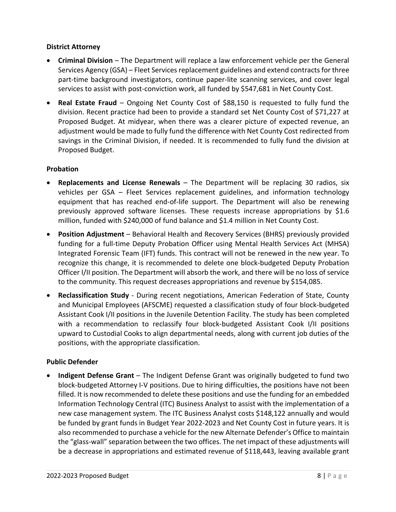#### **District Attorney**

- **Criminal Division** The Department will replace a law enforcement vehicle per the General Services Agency (GSA) – Fleet Services replacement guidelines and extend contracts for three part-time background investigators, continue paper-lite scanning services, and cover legal services to assist with post-conviction work, all funded by \$547,681 in Net County Cost.
- **Real Estate Fraud** Ongoing Net County Cost of \$88,150 is requested to fully fund the division. Recent practice had been to provide a standard set Net County Cost of \$71,227 at Proposed Budget. At midyear, when there was a clearer picture of expected revenue, an adjustment would be made to fully fund the difference with Net County Cost redirected from savings in the Criminal Division, if needed. It is recommended to fully fund the division at Proposed Budget.

#### **Probation**

- **Replacements and License Renewals** The Department will be replacing 30 radios, six vehicles per GSA – Fleet Services replacement guidelines, and information technology equipment that has reached end-of-life support. The Department will also be renewing previously approved software licenses. These requests increase appropriations by \$1.6 million, funded with \$240,000 of fund balance and \$1.4 million in Net County Cost.
- **Position Adjustment** Behavioral Health and Recovery Services (BHRS) previously provided funding for a full-time Deputy Probation Officer using Mental Health Services Act (MHSA) Integrated Forensic Team (IFT) funds. This contract will not be renewed in the new year. To recognize this change, it is recommended to delete one block-budgeted Deputy Probation Officer I/II position. The Department will absorb the work, and there will be no loss of service to the community. This request decreases appropriations and revenue by \$154,085.
- **Reclassification Study**  During recent negotiations, American Federation of State, County and Municipal Employees (AFSCME) requested a classification study of four block-budgeted Assistant Cook I/II positions in the Juvenile Detention Facility. The study has been completed with a recommendation to reclassify four block-budgeted Assistant Cook I/II positions upward to Custodial Cooks to align departmental needs, along with current job duties of the positions, with the appropriate classification.

#### **Public Defender**

• **Indigent Defense Grant** – The Indigent Defense Grant was originally budgeted to fund two block-budgeted Attorney I-V positions. Due to hiring difficulties, the positions have not been filled. It is now recommended to delete these positions and use the funding for an embedded Information Technology Central (ITC) Business Analyst to assist with the implementation of a new case management system. The ITC Business Analyst costs \$148,122 annually and would be funded by grant funds in Budget Year 2022-2023 and Net County Cost in future years. It is also recommended to purchase a vehicle for the new Alternate Defender's Office to maintain the "glass-wall" separation between the two offices. The net impact of these adjustments will be a decrease in appropriations and estimated revenue of \$118,443, leaving available grant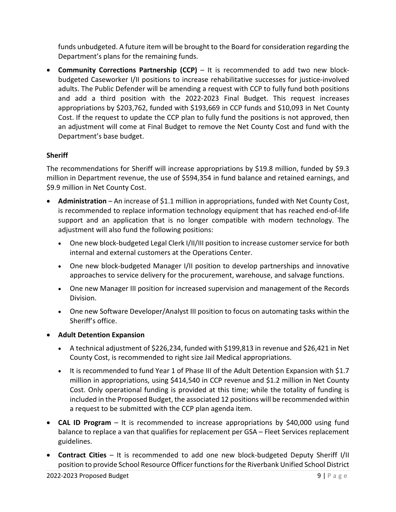funds unbudgeted. A future item will be brought to the Board for consideration regarding the Department's plans for the remaining funds.

• **Community Corrections Partnership (CCP)** – It is recommended to add two new blockbudgeted Caseworker I/II positions to increase rehabilitative successes for justice-involved adults. The Public Defender will be amending a request with CCP to fully fund both positions and add a third position with the 2022-2023 Final Budget. This request increases appropriations by \$203,762, funded with \$193,669 in CCP funds and \$10,093 in Net County Cost. If the request to update the CCP plan to fully fund the positions is not approved, then an adjustment will come at Final Budget to remove the Net County Cost and fund with the Department's base budget.

#### **Sheriff**

The recommendations for Sheriff will increase appropriations by \$19.8 million, funded by \$9.3 million in Department revenue, the use of \$594,354 in fund balance and retained earnings, and \$9.9 million in Net County Cost.

- **Administration** An increase of \$1.1 million in appropriations, funded with Net County Cost, is recommended to replace information technology equipment that has reached end-of-life support and an application that is no longer compatible with modern technology. The adjustment will also fund the following positions:
	- One new block-budgeted Legal Clerk I/II/III position to increase customer service for both internal and external customers at the Operations Center.
	- One new block-budgeted Manager I/II position to develop partnerships and innovative approaches to service delivery for the procurement, warehouse, and salvage functions.
	- One new Manager III position for increased supervision and management of the Records Division.
	- One new Software Developer/Analyst III position to focus on automating tasks within the Sheriff's office.
- **Adult Detention Expansion**
	- A technical adjustment of \$226,234, funded with \$199,813 in revenue and \$26,421 in Net County Cost, is recommended to right size Jail Medical appropriations.
	- It is recommended to fund Year 1 of Phase III of the Adult Detention Expansion with \$1.7 million in appropriations, using \$414,540 in CCP revenue and \$1.2 million in Net County Cost. Only operational funding is provided at this time; while the totality of funding is included in the Proposed Budget, the associated 12 positions will be recommended within a request to be submitted with the CCP plan agenda item.
- **CAL ID Program** It is recommended to increase appropriations by \$40,000 using fund balance to replace a van that qualifies for replacement per GSA – Fleet Services replacement guidelines.
- **Contract Cities** It is recommended to add one new block-budgeted Deputy Sheriff I/II position to provide School Resource Officer functions for the Riverbank Unified School District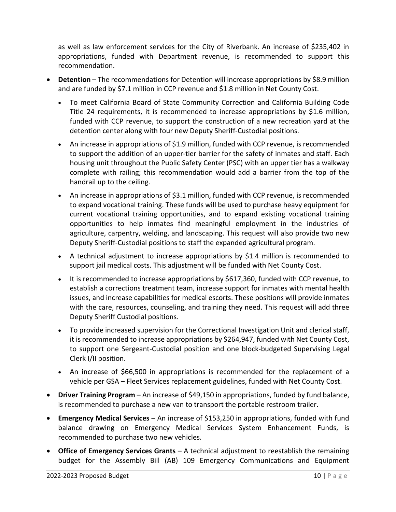as well as law enforcement services for the City of Riverbank. An increase of \$235,402 in appropriations, funded with Department revenue, is recommended to support this recommendation.

- **Detention** The recommendations for Detention will increase appropriations by \$8.9 million and are funded by \$7.1 million in CCP revenue and \$1.8 million in Net County Cost.
	- To meet California Board of State Community Correction and California Building Code Title 24 requirements, it is recommended to increase appropriations by \$1.6 million, funded with CCP revenue, to support the construction of a new recreation yard at the detention center along with four new Deputy Sheriff-Custodial positions.
	- An increase in appropriations of \$1.9 million, funded with CCP revenue, is recommended to support the addition of an upper-tier barrier for the safety of inmates and staff. Each housing unit throughout the Public Safety Center (PSC) with an upper tier has a walkway complete with railing; this recommendation would add a barrier from the top of the handrail up to the ceiling.
	- An increase in appropriations of \$3.1 million, funded with CCP revenue, is recommended to expand vocational training. These funds will be used to purchase heavy equipment for current vocational training opportunities, and to expand existing vocational training opportunities to help inmates find meaningful employment in the industries of agriculture, carpentry, welding, and landscaping. This request will also provide two new Deputy Sheriff-Custodial positions to staff the expanded agricultural program.
	- A technical adjustment to increase appropriations by \$1.4 million is recommended to support jail medical costs. This adjustment will be funded with Net County Cost.
	- It is recommended to increase appropriations by \$617,360, funded with CCP revenue, to establish a corrections treatment team, increase support for inmates with mental health issues, and increase capabilities for medical escorts. These positions will provide inmates with the care, resources, counseling, and training they need. This request will add three Deputy Sheriff Custodial positions.
	- To provide increased supervision for the Correctional Investigation Unit and clerical staff, it is recommended to increase appropriations by \$264,947, funded with Net County Cost, to support one Sergeant-Custodial position and one block-budgeted Supervising Legal Clerk I/II position.
	- An increase of \$66,500 in appropriations is recommended for the replacement of a vehicle per GSA – Fleet Services replacement guidelines, funded with Net County Cost.
- **Driver Training Program** An increase of \$49,150 in appropriations, funded by fund balance, is recommended to purchase a new van to transport the portable restroom trailer.
- **Emergency Medical Services** An increase of \$153,250 in appropriations, funded with fund balance drawing on Emergency Medical Services System Enhancement Funds, is recommended to purchase two new vehicles.
- **Office of Emergency Services Grants** A technical adjustment to reestablish the remaining budget for the Assembly Bill (AB) 109 Emergency Communications and Equipment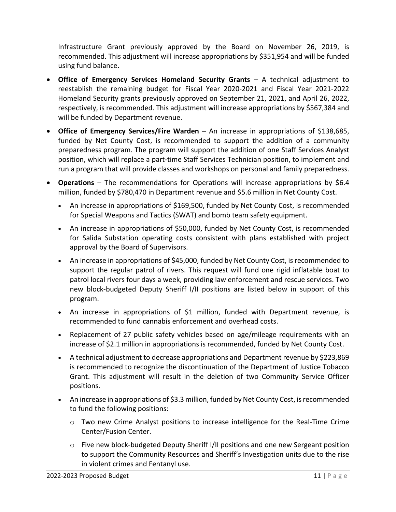Infrastructure Grant previously approved by the Board on November 26, 2019, is recommended. This adjustment will increase appropriations by \$351,954 and will be funded using fund balance.

- **Office of Emergency Services Homeland Security Grants** A technical adjustment to reestablish the remaining budget for Fiscal Year 2020-2021 and Fiscal Year 2021-2022 Homeland Security grants previously approved on September 21, 2021, and April 26, 2022, respectively, is recommended. This adjustment will increase appropriations by \$567,384 and will be funded by Department revenue.
- **Office of Emergency Services/Fire Warden** An increase in appropriations of \$138,685, funded by Net County Cost, is recommended to support the addition of a community preparedness program. The program will support the addition of one Staff Services Analyst position, which will replace a part-time Staff Services Technician position, to implement and run a program that will provide classes and workshops on personal and family preparedness.
- **Operations** The recommendations for Operations will increase appropriations by \$6.4 million, funded by \$780,470 in Department revenue and \$5.6 million in Net County Cost.
	- An increase in appropriations of \$169,500, funded by Net County Cost, is recommended for Special Weapons and Tactics (SWAT) and bomb team safety equipment.
	- An increase in appropriations of \$50,000, funded by Net County Cost, is recommended for Salida Substation operating costs consistent with plans established with project approval by the Board of Supervisors.
	- An increase in appropriations of \$45,000, funded by Net County Cost, is recommended to support the regular patrol of rivers. This request will fund one rigid inflatable boat to patrol local rivers four days a week, providing law enforcement and rescue services. Two new block-budgeted Deputy Sheriff I/II positions are listed below in support of this program.
	- An increase in appropriations of \$1 million, funded with Department revenue, is recommended to fund cannabis enforcement and overhead costs.
	- Replacement of 27 public safety vehicles based on age/mileage requirements with an increase of \$2.1 million in appropriations is recommended, funded by Net County Cost.
	- A technical adjustment to decrease appropriations and Department revenue by \$223,869 is recommended to recognize the discontinuation of the Department of Justice Tobacco Grant. This adjustment will result in the deletion of two Community Service Officer positions.
	- An increase in appropriations of \$3.3 million, funded by Net County Cost, is recommended to fund the following positions:
		- o Two new Crime Analyst positions to increase intelligence for the Real-Time Crime Center/Fusion Center.
		- $\circ$  Five new block-budgeted Deputy Sheriff I/II positions and one new Sergeant position to support the Community Resources and Sheriff's Investigation units due to the rise in violent crimes and Fentanyl use.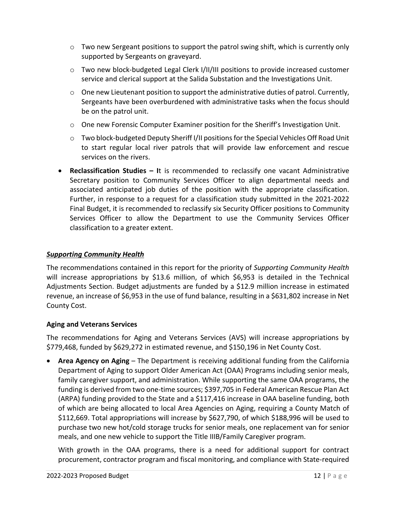- $\circ$  Two new Sergeant positions to support the patrol swing shift, which is currently only supported by Sergeants on graveyard.
- $\circ$  Two new block-budgeted Legal Clerk I/II/III positions to provide increased customer service and clerical support at the Salida Substation and the Investigations Unit.
- o One new Lieutenant position to support the administrative duties of patrol. Currently, Sergeants have been overburdened with administrative tasks when the focus should be on the patrol unit.
- $\circ$  One new Forensic Computer Examiner position for the Sheriff's Investigation Unit.
- o Two block-budgeted Deputy Sheriff I/II positions for the Special Vehicles Off Road Unit to start regular local river patrols that will provide law enforcement and rescue services on the rivers.
- **Reclassification Studies I**t is recommended to reclassify one vacant Administrative Secretary position to Community Services Officer to align departmental needs and associated anticipated job duties of the position with the appropriate classification. Further, in response to a request for a classification study submitted in the 2021-2022 Final Budget, it is recommended to reclassify six Security Officer positions to Community Services Officer to allow the Department to use the Community Services Officer classification to a greater extent.

#### *Supporting Community Health*

The recommendations contained in this report for the priority of *Supporting Community Health* will increase appropriations by \$13.6 million, of which \$6,953 is detailed in the Technical Adjustments Section. Budget adjustments are funded by a \$12.9 million increase in estimated revenue, an increase of \$6,953 in the use of fund balance, resulting in a \$631,802 increase in Net County Cost.

#### **Aging and Veterans Services**

The recommendations for Aging and Veterans Services (AVS) will increase appropriations by \$779,468, funded by \$629,272 in estimated revenue, and \$150,196 in Net County Cost.

• **Area Agency on Aging** – The Department is receiving additional funding from the California Department of Aging to support Older American Act (OAA) Programs including senior meals, family caregiver support, and administration. While supporting the same OAA programs, the funding is derived from two one-time sources; \$397,705 in Federal American Rescue Plan Act (ARPA) funding provided to the State and a \$117,416 increase in OAA baseline funding, both of which are being allocated to local Area Agencies on Aging, requiring a County Match of \$112,669. Total appropriations will increase by \$627,790, of which \$188,996 will be used to purchase two new hot/cold storage trucks for senior meals, one replacement van for senior meals, and one new vehicle to support the Title IIIB/Family Caregiver program.

With growth in the OAA programs, there is a need for additional support for contract procurement, contractor program and fiscal monitoring, and compliance with State-required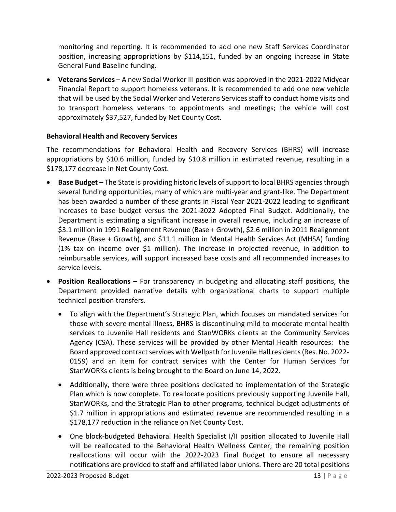monitoring and reporting. It is recommended to add one new Staff Services Coordinator position, increasing appropriations by \$114,151, funded by an ongoing increase in State General Fund Baseline funding.

• **Veterans Services** – A new Social Worker III position was approved in the 2021-2022 Midyear Financial Report to support homeless veterans. It is recommended to add one new vehicle that will be used by the Social Worker and Veterans Services staff to conduct home visits and to transport homeless veterans to appointments and meetings; the vehicle will cost approximately \$37,527, funded by Net County Cost.

#### **Behavioral Health and Recovery Services**

The recommendations for Behavioral Health and Recovery Services (BHRS) will increase appropriations by \$10.6 million, funded by \$10.8 million in estimated revenue, resulting in a \$178,177 decrease in Net County Cost.

- **Base Budget** The State is providing historic levels of support to local BHRS agencies through several funding opportunities, many of which are multi-year and grant-like. The Department has been awarded a number of these grants in Fiscal Year 2021-2022 leading to significant increases to base budget versus the 2021-2022 Adopted Final Budget. Additionally, the Department is estimating a significant increase in overall revenue, including an increase of \$3.1 million in 1991 Realignment Revenue (Base + Growth), \$2.6 million in 2011 Realignment Revenue (Base + Growth), and \$11.1 million in Mental Health Services Act (MHSA) funding (1% tax on income over \$1 million). The increase in projected revenue, in addition to reimbursable services, will support increased base costs and all recommended increases to service levels.
- **Position Reallocations**  For transparency in budgeting and allocating staff positions, the Department provided narrative details with organizational charts to support multiple technical position transfers.
	- To align with the Department's Strategic Plan, which focuses on mandated services for those with severe mental illness, BHRS is discontinuing mild to moderate mental health services to Juvenile Hall residents and StanWORKs clients at the Community Services Agency (CSA). These services will be provided by other Mental Health resources: the Board approved contract services with Wellpath for Juvenile Hall residents (Res. No. 2022- 0159) and an item for contract services with the Center for Human Services for StanWORKs clients is being brought to the Board on June 14, 2022.
	- Additionally, there were three positions dedicated to implementation of the Strategic Plan which is now complete. To reallocate positions previously supporting Juvenile Hall, StanWORKs, and the Strategic Plan to other programs, technical budget adjustments of \$1.7 million in appropriations and estimated revenue are recommended resulting in a \$178,177 reduction in the reliance on Net County Cost.
	- One block-budgeted Behavioral Health Specialist I/II position allocated to Juvenile Hall will be reallocated to the Behavioral Health Wellness Center; the remaining position reallocations will occur with the 2022-2023 Final Budget to ensure all necessary notifications are provided to staff and affiliated labor unions. There are 20 total positions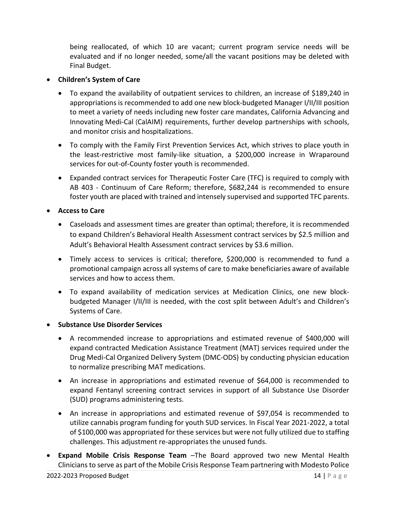being reallocated, of which 10 are vacant; current program service needs will be evaluated and if no longer needed, some/all the vacant positions may be deleted with Final Budget.

#### • **Children's System of Care**

- To expand the availability of outpatient services to children, an increase of \$189,240 in appropriations is recommended to add one new block-budgeted Manager I/II/III position to meet a variety of needs including new foster care mandates, California Advancing and Innovating Medi-Cal (CalAIM) requirements, further develop partnerships with schools, and monitor crisis and hospitalizations.
- To comply with the Family First Prevention Services Act, which strives to place youth in the least-restrictive most family-like situation, a \$200,000 increase in Wraparound services for out-of-County foster youth is recommended.
- Expanded contract services for Therapeutic Foster Care (TFC) is required to comply with AB 403 - Continuum of Care Reform; therefore, \$682,244 is recommended to ensure foster youth are placed with trained and intensely supervised and supported TFC parents.

#### • **Access to Care**

- Caseloads and assessment times are greater than optimal; therefore, it is recommended to expand Children's Behavioral Health Assessment contract services by \$2.5 million and Adult's Behavioral Health Assessment contract services by \$3.6 million.
- Timely access to services is critical; therefore, \$200,000 is recommended to fund a promotional campaign across all systems of care to make beneficiaries aware of available services and how to access them.
- To expand availability of medication services at Medication Clinics, one new blockbudgeted Manager I/II/III is needed, with the cost split between Adult's and Children's Systems of Care.

#### • **Substance Use Disorder Services**

- A recommended increase to appropriations and estimated revenue of \$400,000 will expand contracted Medication Assistance Treatment (MAT) services required under the Drug Medi-Cal Organized Delivery System (DMC-ODS) by conducting physician education to normalize prescribing MAT medications.
- An increase in appropriations and estimated revenue of \$64,000 is recommended to expand Fentanyl screening contract services in support of all Substance Use Disorder (SUD) programs administering tests.
- An increase in appropriations and estimated revenue of \$97,054 is recommended to utilize cannabis program funding for youth SUD services. In Fiscal Year 2021-2022, a total of \$100,000 was appropriated for these services but were not fully utilized due to staffing challenges. This adjustment re-appropriates the unused funds.
- **Expand Mobile Crisis Response Team** –The Board approved two new Mental Health Cliniciansto serve as part of the Mobile Crisis Response Team partnering with Modesto Police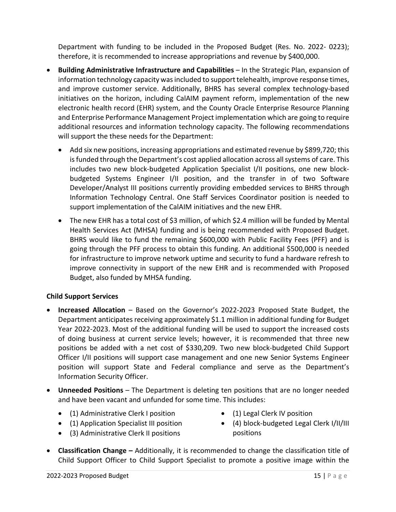Department with funding to be included in the Proposed Budget (Res. No. 2022- 0223); therefore, it is recommended to increase appropriations and revenue by \$400,000.

- **Building Administrative Infrastructure and Capabilities** In the Strategic Plan, expansion of information technology capacity was included to support telehealth, improve response times, and improve customer service. Additionally, BHRS has several complex technology-based initiatives on the horizon, including CalAIM payment reform, implementation of the new electronic health record (EHR) system, and the County Oracle Enterprise Resource Planning and Enterprise Performance Management Project implementation which are going to require additional resources and information technology capacity. The following recommendations will support the these needs for the Department:
	- Add six new positions, increasing appropriations and estimated revenue by \$899,720; this is funded through the Department's cost applied allocation across all systems of care. This includes two new block-budgeted Application Specialist I/II positions, one new blockbudgeted Systems Engineer I/II position, and the transfer in of two Software Developer/Analyst III positions currently providing embedded services to BHRS through Information Technology Central. One Staff Services Coordinator position is needed to support implementation of the CalAIM initiatives and the new EHR.
	- The new EHR has a total cost of \$3 million, of which \$2.4 million will be funded by Mental Health Services Act (MHSA) funding and is being recommended with Proposed Budget. BHRS would like to fund the remaining \$600,000 with Public Facility Fees (PFF) and is going through the PFF process to obtain this funding. An additional \$500,000 is needed for infrastructure to improve network uptime and security to fund a hardware refresh to improve connectivity in support of the new EHR and is recommended with Proposed Budget, also funded by MHSA funding.

#### **Child Support Services**

- **Increased Allocation** Based on the Governor's 2022-2023 Proposed State Budget, the Department anticipates receiving approximately \$1.1 million in additional funding for Budget Year 2022-2023. Most of the additional funding will be used to support the increased costs of doing business at current service levels; however, it is recommended that three new positions be added with a net cost of \$330,209. Two new block-budgeted Child Support Officer I/II positions will support case management and one new Senior Systems Engineer position will support State and Federal compliance and serve as the Department's Information Security Officer.
- **Unneeded Positions** The Department is deleting ten positions that are no longer needed and have been vacant and unfunded for some time. This includes:
	- (1) Administrative Clerk I position
- (1) Legal Clerk IV position
- (1) Application Specialist III position
- (3) Administrative Clerk II positions
- (4) block-budgeted Legal Clerk I/II/III positions
- **Classification Change –** Additionally, it is recommended to change the classification title of Child Support Officer to Child Support Specialist to promote a positive image within the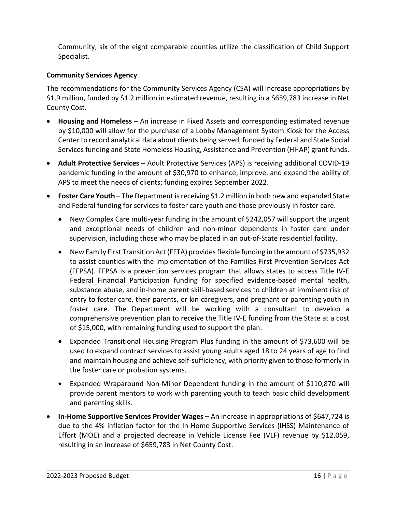Community; six of the eight comparable counties utilize the classification of Child Support Specialist.

#### **Community Services Agency**

The recommendations for the Community Services Agency (CSA) will increase appropriations by \$1.9 million, funded by \$1.2 million in estimated revenue, resulting in a \$659,783 increase in Net County Cost.

- **Housing and Homeless**  An increase in Fixed Assets and corresponding estimated revenue by \$10,000 will allow for the purchase of a Lobby Management System Kiosk for the Access Center to record analytical data about clients being served, funded by Federal and State Social Services funding and State Homeless Housing, Assistance and Prevention (HHAP) grant funds.
- **Adult Protective Services** Adult Protective Services (APS) is receiving additional COVID-19 pandemic funding in the amount of \$30,970 to enhance, improve, and expand the ability of APS to meet the needs of clients; funding expires September 2022.
- **Foster Care Youth** The Department is receiving \$1.2 million in both new and expanded State and Federal funding for services to foster care youth and those previously in foster care.
	- New Complex Care multi-year funding in the amount of \$242,057 will support the urgent and exceptional needs of children and non-minor dependents in foster care under supervision, including those who may be placed in an out-of-State residential facility.
	- New Family First Transition Act (FFTA) provides flexible funding in the amount of \$735,932 to assist counties with the implementation of the Families First Prevention Services Act (FFPSA). FFPSA is a prevention services program that allows states to access Title IV-E Federal Financial Participation funding for specified evidence-based mental health, substance abuse, and in-home parent skill-based services to children at imminent risk of entry to foster care, their parents, or kin caregivers, and pregnant or parenting youth in foster care. The Department will be working with a consultant to develop a comprehensive prevention plan to receive the Title IV-E funding from the State at a cost of \$15,000, with remaining funding used to support the plan.
	- Expanded Transitional Housing Program Plus funding in the amount of \$73,600 will be used to expand contract services to assist young adults aged 18 to 24 years of age to find and maintain housing and achieve self-sufficiency, with priority given to those formerly in the foster care or probation systems.
	- Expanded Wraparound Non-Minor Dependent funding in the amount of \$110,870 will provide parent mentors to work with parenting youth to teach basic child development and parenting skills.
- **In-Home Supportive Services Provider Wages**  An increase in appropriations of \$647,724 is due to the 4% inflation factor for the In-Home Supportive Services (IHSS) Maintenance of Effort (MOE) and a projected decrease in Vehicle License Fee (VLF) revenue by \$12,059, resulting in an increase of \$659,783 in Net County Cost.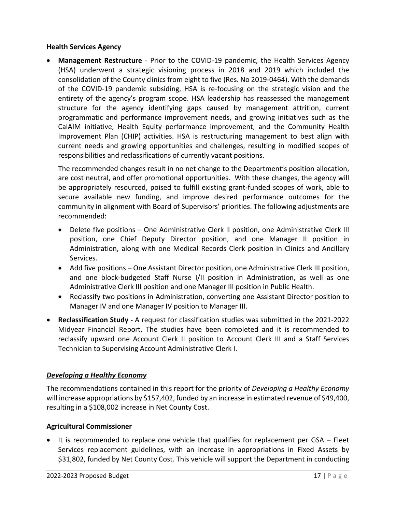#### **Health Services Agency**

• **Management Restructure** - Prior to the COVID-19 pandemic, the Health Services Agency (HSA) underwent a strategic visioning process in 2018 and 2019 which included the consolidation of the County clinics from eight to five (Res. No 2019-0464). With the demands of the COVID-19 pandemic subsiding, HSA is re-focusing on the strategic vision and the entirety of the agency's program scope. HSA leadership has reassessed the management structure for the agency identifying gaps caused by management attrition, current programmatic and performance improvement needs, and growing initiatives such as the CalAIM initiative, Health Equity performance improvement, and the Community Health Improvement Plan (CHIP) activities. HSA is restructuring management to best align with current needs and growing opportunities and challenges, resulting in modified scopes of responsibilities and reclassifications of currently vacant positions.

The recommended changes result in no net change to the Department's position allocation, are cost neutral, and offer promotional opportunities. With these changes, the agency will be appropriately resourced, poised to fulfill existing grant-funded scopes of work, able to secure available new funding, and improve desired performance outcomes for the community in alignment with Board of Supervisors' priorities. The following adjustments are recommended:

- Delete five positions One Administrative Clerk II position, one Administrative Clerk III position, one Chief Deputy Director position, and one Manager II position in Administration, along with one Medical Records Clerk position in Clinics and Ancillary Services.
- Add five positions One Assistant Director position, one Administrative Clerk III position, and one block-budgeted Staff Nurse I/II position in Administration, as well as one Administrative Clerk III position and one Manager III position in Public Health.
- Reclassify two positions in Administration, converting one Assistant Director position to Manager IV and one Manager IV position to Manager III.
- **Reclassification Study** A request for classification studies was submitted in the 2021-2022 Midyear Financial Report. The studies have been completed and it is recommended to reclassify upward one Account Clerk II position to Account Clerk III and a Staff Services Technician to Supervising Account Administrative Clerk I.

### *Developing a Healthy Economy*

The recommendations contained in this report for the priority of *Developing a Healthy Economy* will increase appropriations by \$157,402, funded by an increase in estimated revenue of \$49,400, resulting in a \$108,002 increase in Net County Cost.

#### **Agricultural Commissioner**

• It is recommended to replace one vehicle that qualifies for replacement per GSA – Fleet Services replacement guidelines, with an increase in appropriations in Fixed Assets by \$31,802, funded by Net County Cost. This vehicle will support the Department in conducting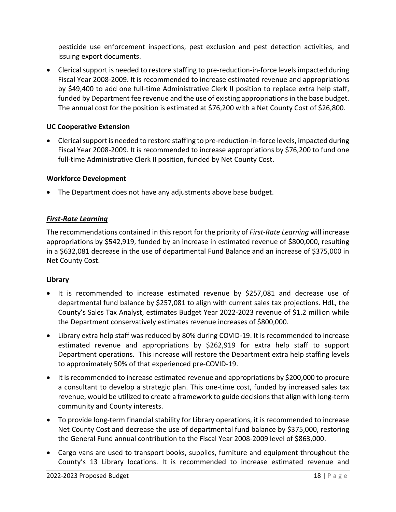pesticide use enforcement inspections, pest exclusion and pest detection activities, and issuing export documents.

• Clerical support is needed to restore staffing to pre-reduction-in-force levels impacted during Fiscal Year 2008-2009. It is recommended to increase estimated revenue and appropriations by \$49,400 to add one full-time Administrative Clerk II position to replace extra help staff, funded by Department fee revenue and the use of existing appropriations in the base budget. The annual cost for the position is estimated at \$76,200 with a Net County Cost of \$26,800.

#### **UC Cooperative Extension**

• Clerical support is needed to restore staffing to pre-reduction-in-force levels, impacted during Fiscal Year 2008-2009. It is recommended to increase appropriations by \$76,200 to fund one full-time Administrative Clerk II position, funded by Net County Cost.

#### **Workforce Development**

• The Department does not have any adjustments above base budget.

#### *First-Rate Learning*

The recommendations contained in this report for the priority of *First-Rate Learning* will increase appropriations by \$542,919, funded by an increase in estimated revenue of \$800,000, resulting in a \$632,081 decrease in the use of departmental Fund Balance and an increase of \$375,000 in Net County Cost.

#### **Library**

- It is recommended to increase estimated revenue by \$257,081 and decrease use of departmental fund balance by \$257,081 to align with current sales tax projections. HdL, the County's Sales Tax Analyst, estimates Budget Year 2022-2023 revenue of \$1.2 million while the Department conservatively estimates revenue increases of \$800,000.
- Library extra help staff was reduced by 80% during COVID-19. It is recommended to increase estimated revenue and appropriations by \$262,919 for extra help staff to support Department operations. This increase will restore the Department extra help staffing levels to approximately 50% of that experienced pre-COVID-19.
- It is recommended to increase estimated revenue and appropriations by \$200,000 to procure a consultant to develop a strategic plan. This one-time cost, funded by increased sales tax revenue, would be utilized to create a framework to guide decisions that align with long-term community and County interests.
- To provide long-term financial stability for Library operations, it is recommended to increase Net County Cost and decrease the use of departmental fund balance by \$375,000, restoring the General Fund annual contribution to the Fiscal Year 2008-2009 level of \$863,000.
- Cargo vans are used to transport books, supplies, furniture and equipment throughout the County's 13 Library locations. It is recommended to increase estimated revenue and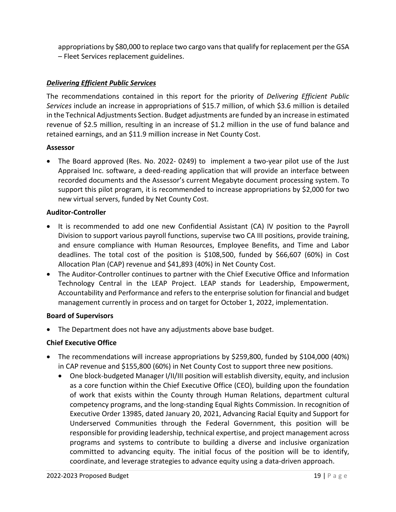appropriations by \$80,000 to replace two cargo vansthat qualify for replacement per the GSA – Fleet Services replacement guidelines.

#### *Delivering Efficient Public Services*

The recommendations contained in this report for the priority of *Delivering Efficient Public Services* include an increase in appropriations of \$15.7 million, of which \$3.6 million is detailed in the Technical Adjustments Section. Budget adjustments are funded by an increase in estimated revenue of \$2.5 million, resulting in an increase of \$1.2 million in the use of fund balance and retained earnings, and an \$11.9 million increase in Net County Cost.

#### **Assessor**

• The Board approved (Res. No. 2022- 0249) to implement a two-year pilot use of the Just Appraised Inc. software, a deed-reading application that will provide an interface between recorded documents and the Assessor's current Megabyte document processing system. To support this pilot program, it is recommended to increase appropriations by \$2,000 for two new virtual servers, funded by Net County Cost.

#### **Auditor-Controller**

- It is recommended to add one new Confidential Assistant (CA) IV position to the Payroll Division to support various payroll functions, supervise two CA III positions, provide training, and ensure compliance with Human Resources, Employee Benefits, and Time and Labor deadlines. The total cost of the position is \$108,500, funded by \$66,607 (60%) in Cost Allocation Plan (CAP) revenue and \$41,893 (40%) in Net County Cost.
- The Auditor-Controller continues to partner with the Chief Executive Office and Information Technology Central in the LEAP Project. LEAP stands for Leadership, Empowerment, Accountability and Performance and refers to the enterprise solution for financial and budget management currently in process and on target for October 1, 2022, implementation.

#### **Board of Supervisors**

The Department does not have any adjustments above base budget.

#### **Chief Executive Office**

- The recommendations will increase appropriations by \$259,800, funded by \$104,000 (40%) in CAP revenue and \$155,800 (60%) in Net County Cost to support three new positions.
	- One block-budgeted Manager I/II/III position will establish diversity, equity, and inclusion as a core function within the Chief Executive Office (CEO), building upon the foundation of work that exists within the County through Human Relations, department cultural competency programs, and the long-standing Equal Rights Commission. In recognition of Executive Order 13985, dated January 20, 2021, Advancing Racial Equity and Support for Underserved Communities through the Federal Government, this position will be responsible for providing leadership, technical expertise, and project management across programs and systems to contribute to building a diverse and inclusive organization committed to advancing equity. The initial focus of the position will be to identify, coordinate, and leverage strategies to advance equity using a data-driven approach.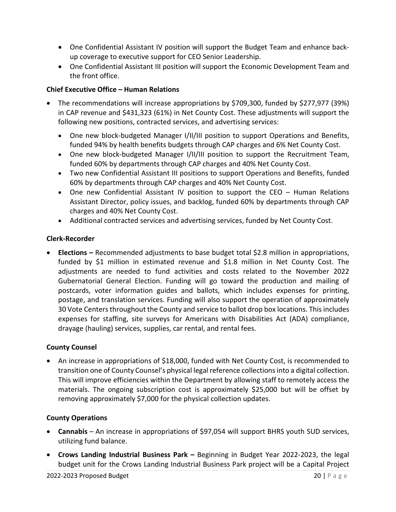- One Confidential Assistant IV position will support the Budget Team and enhance backup coverage to executive support for CEO Senior Leadership.
- One Confidential Assistant III position will support the Economic Development Team and the front office.

#### **Chief Executive Office – Human Relations**

- The recommendations will increase appropriations by \$709,300, funded by \$277,977 (39%) in CAP revenue and \$431,323 (61%) in Net County Cost. These adjustments will support the following new positions, contracted services, and advertising services:
	- One new block-budgeted Manager I/II/III position to support Operations and Benefits, funded 94% by health benefits budgets through CAP charges and 6% Net County Cost.
	- One new block-budgeted Manager I/II/III position to support the Recruitment Team, funded 60% by departments through CAP charges and 40% Net County Cost.
	- Two new Confidential Assistant III positions to support Operations and Benefits, funded 60% by departments through CAP charges and 40% Net County Cost.
	- One new Confidential Assistant IV position to support the CEO Human Relations Assistant Director, policy issues, and backlog, funded 60% by departments through CAP charges and 40% Net County Cost.
	- Additional contracted services and advertising services, funded by Net County Cost.

#### **Clerk-Recorder**

• **Elections –** Recommended adjustments to base budget total \$2.8 million in appropriations, funded by \$1 million in estimated revenue and \$1.8 million in Net County Cost. The adjustments are needed to fund activities and costs related to the November 2022 Gubernatorial General Election. Funding will go toward the production and mailing of postcards, voter information guides and ballots, which includes expenses for printing, postage, and translation services. Funding will also support the operation of approximately 30 Vote Centers throughout the County and service to ballot drop box locations. This includes expenses for staffing, site surveys for Americans with Disabilities Act (ADA) compliance, drayage (hauling) services, supplies, car rental, and rental fees.

#### **County Counsel**

• An increase in appropriations of \$18,000, funded with Net County Cost, is recommended to transition one of County Counsel's physical legal reference collections into a digital collection. This will improve efficiencies within the Department by allowing staff to remotely access the materials. The ongoing subscription cost is approximately \$25,000 but will be offset by removing approximately \$7,000 for the physical collection updates.

#### **County Operations**

- **Cannabis**  An increase in appropriations of \$97,054 will support BHRS youth SUD services, utilizing fund balance.
- **Crows Landing Industrial Business Park –** Beginning in Budget Year 2022-2023, the legal budget unit for the Crows Landing Industrial Business Park project will be a Capital Project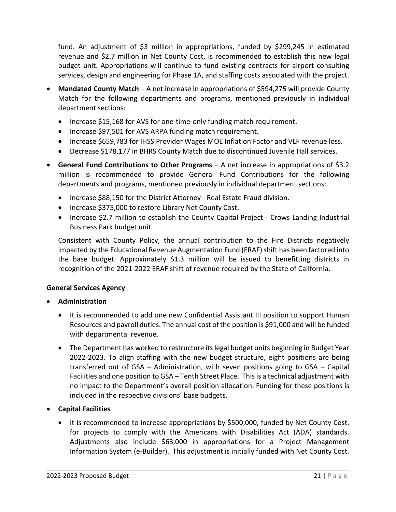fund. An adjustment of \$3 million in appropriations, funded by \$299,245 in estimated revenue and \$2.7 million in Net County Cost, is recommended to establish this new legal budget unit. Appropriations will continue to fund existing contracts for airport consulting services, design and engineering for Phase 1A, and staffing costs associated with the project.

- Mandated County Match A net increase in appropriations of \$594,275 will provide County Match for the following departments and programs, mentioned previously in individual department sections:
	- Increase \$15,168 for AVS for one-time-only funding match requirement.
	- Increase \$97,501 for AVS ARPA funding match requirement.
	- Increase \$659,783 for IHSS Provider Wages MOE Inflation Factor and VLF revenue loss.
	- Decrease \$178,177 in BHRS County Match due to discontinued Juvenile Hall services.
- **General Fund Contributions to Other Programs**  A net increase in appropriations of \$3.2 million is recommended to provide General Fund Contributions for the following departments and programs, mentioned previously in individual department sections:
	- Increase \$88,150 for the District Attorney Real Estate Fraud division.
	- Increase \$375,000 to restore Library Net County Cost.
	- Increase \$2.7 million to establish the County Capital Project Crows Landing Industrial Business Park budget unit.

Consistent with County Policy, the annual contribution to the Fire Districts negatively impacted by the Educational Revenue Augmentation Fund (ERAF) shift has been factored into the base budget. Approximately \$1.3 million will be issued to benefitting districts in recognition of the 2021-2022 ERAF shift of revenue required by the State of California.

#### **General Services Agency**

- **Administration**
	- It is recommended to add one new Confidential Assistant III position to support Human Resources and payroll duties. The annual cost of the position is \$91,000 and will be funded with departmental revenue.
	- The Department has worked to restructure its legal budget units beginning in Budget Year 2022-2023. To align staffing with the new budget structure, eight positions are being transferred out of GSA – Administration, with seven positions going to GSA – Capital Facilities and one position to GSA – Tenth Street Place. This is a technical adjustment with no impact to the Department's overall position allocation. Funding for these positions is included in the respective divisions' base budgets.
- **Capital Facilities** 
	- It is recommended to increase appropriations by \$500,000, funded by Net County Cost, for projects to comply with the Americans with Disabilities Act (ADA) standards. Adjustments also include \$63,000 in appropriations for a Project Management Information System (e-Builder). This adjustment is initially funded with Net County Cost.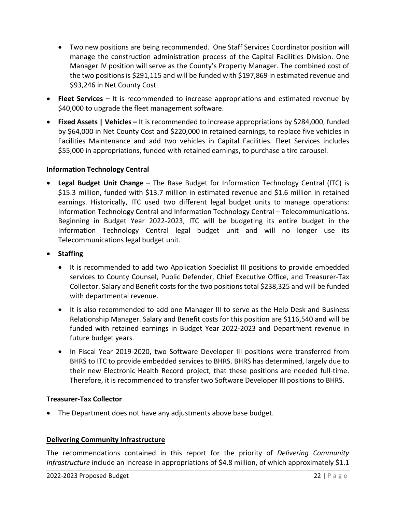- Two new positions are being recommended. One Staff Services Coordinator position will manage the construction administration process of the Capital Facilities Division. One Manager IV position will serve as the County's Property Manager. The combined cost of the two positions is \$291,115 and will be funded with \$197,869 in estimated revenue and \$93,246 in Net County Cost.
- **Fleet Services** It is recommended to increase appropriations and estimated revenue by \$40,000 to upgrade the fleet management software.
- **Fixed Assets | Vehicles** It is recommended to increase appropriations by \$284,000, funded by \$64,000 in Net County Cost and \$220,000 in retained earnings, to replace five vehicles in Facilities Maintenance and add two vehicles in Capital Facilities. Fleet Services includes \$55,000 in appropriations, funded with retained earnings, to purchase a tire carousel.

#### **Information Technology Central**

- **Legal Budget Unit Change** The Base Budget for Information Technology Central (ITC) is \$15.3 million, funded with \$13.7 million in estimated revenue and \$1.6 million in retained earnings. Historically, ITC used two different legal budget units to manage operations: Information Technology Central and Information Technology Central – Telecommunications. Beginning in Budget Year 2022-2023, ITC will be budgeting its entire budget in the Information Technology Central legal budget unit and will no longer use its Telecommunications legal budget unit.
- **Staffing** 
	- It is recommended to add two Application Specialist III positions to provide embedded services to County Counsel, Public Defender, Chief Executive Office, and Treasurer-Tax Collector. Salary and Benefit costs for the two positions total \$238,325 and will be funded with departmental revenue.
	- It is also recommended to add one Manager III to serve as the Help Desk and Business Relationship Manager. Salary and Benefit costs for this position are \$116,540 and will be funded with retained earnings in Budget Year 2022-2023 and Department revenue in future budget years.
	- In Fiscal Year 2019-2020, two Software Developer III positions were transferred from BHRS to ITC to provide embedded services to BHRS. BHRS has determined, largely due to their new Electronic Health Record project, that these positions are needed full-time. Therefore, it is recommended to transfer two Software Developer III positions to BHRS.

#### **Treasurer-Tax Collector**

• The Department does not have any adjustments above base budget.

#### **Delivering Community Infrastructure**

The recommendations contained in this report for the priority of *Delivering Community Infrastructure* include an increase in appropriations of \$4.8 million, of which approximately \$1.1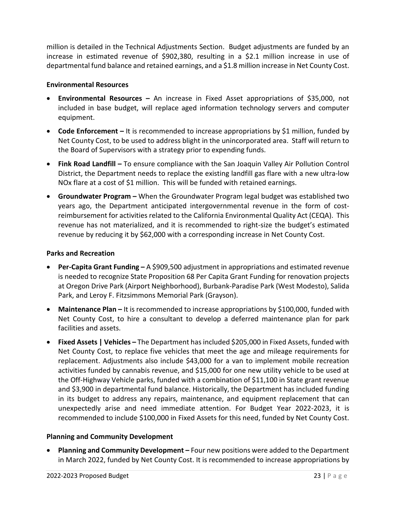million is detailed in the Technical Adjustments Section. Budget adjustments are funded by an increase in estimated revenue of \$902,380, resulting in a \$2.1 million increase in use of departmental fund balance and retained earnings, and a \$1.8 million increase in Net County Cost.

#### **Environmental Resources**

- **Environmental Resources –** An increase in Fixed Asset appropriations of \$35,000, not included in base budget, will replace aged information technology servers and computer equipment.
- **Code Enforcement** It is recommended to increase appropriations by \$1 million, funded by Net County Cost, to be used to address blight in the unincorporated area. Staff will return to the Board of Supervisors with a strategy prior to expending funds.
- **Fink Road Landfill –** To ensure compliance with the San Joaquin Valley Air Pollution Control District, the Department needs to replace the existing landfill gas flare with a new ultra-low NOx flare at a cost of \$1 million. This will be funded with retained earnings.
- **Groundwater Program –** When the Groundwater Program legal budget was established two years ago, the Department anticipated intergovernmental revenue in the form of costreimbursement for activities related to the California Environmental Quality Act (CEQA). This revenue has not materialized, and it is recommended to right-size the budget's estimated revenue by reducing it by \$62,000 with a corresponding increase in Net County Cost.

#### **Parks and Recreation**

- **Per-Capita Grant Funding –** A \$909,500 adjustment in appropriations and estimated revenue is needed to recognize State Proposition 68 Per Capita Grant Funding for renovation projects at Oregon Drive Park (Airport Neighborhood), Burbank-Paradise Park (West Modesto), Salida Park, and Leroy F. Fitzsimmons Memorial Park (Grayson).
- **Maintenance Plan –** It is recommended to increase appropriations by \$100,000, funded with Net County Cost, to hire a consultant to develop a deferred maintenance plan for park facilities and assets.
- **Fixed Assets | Vehicles –** The Department has included \$205,000 in Fixed Assets, funded with Net County Cost, to replace five vehicles that meet the age and mileage requirements for replacement. Adjustments also include \$43,000 for a van to implement mobile recreation activities funded by cannabis revenue, and \$15,000 for one new utility vehicle to be used at the Off-Highway Vehicle parks, funded with a combination of \$11,100 in State grant revenue and \$3,900 in departmental fund balance. Historically, the Department has included funding in its budget to address any repairs, maintenance, and equipment replacement that can unexpectedly arise and need immediate attention. For Budget Year 2022-2023, it is recommended to include \$100,000 in Fixed Assets for this need, funded by Net County Cost.

#### **Planning and Community Development**

• **Planning and Community Development –** Four new positions were added to the Department in March 2022, funded by Net County Cost. It is recommended to increase appropriations by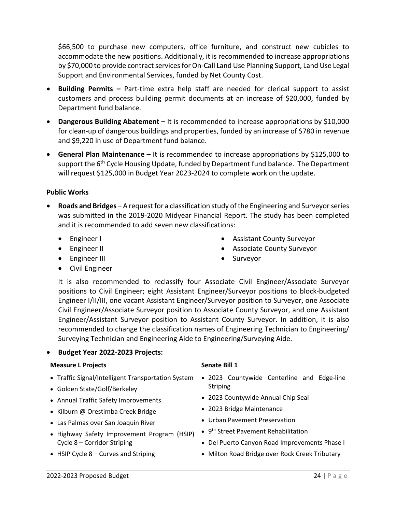\$66,500 to purchase new computers, office furniture, and construct new cubicles to accommodate the new positions. Additionally, it is recommended to increase appropriations by \$70,000 to provide contract services for On-Call Land Use Planning Support, Land Use Legal Support and Environmental Services, funded by Net County Cost.

- **Building Permits –** Part-time extra help staff are needed for clerical support to assist customers and process building permit documents at an increase of \$20,000, funded by Department fund balance.
- **Dangerous Building Abatement –** It is recommended to increase appropriations by \$10,000 for clean-up of dangerous buildings and properties, funded by an increase of \$780 in revenue and \$9,220 in use of Department fund balance.
- **General Plan Maintenance –** It is recommended to increase appropriations by \$125,000 to support the 6<sup>th</sup> Cycle Housing Update, funded by Department fund balance. The Department will request \$125,000 in Budget Year 2023-2024 to complete work on the update.

#### **Public Works**

- **Roads and Bridges** A request for a classification study of the Engineering and Surveyor series was submitted in the 2019-2020 Midyear Financial Report. The study has been completed and it is recommended to add seven new classifications:
	- Engineer I
	- Engineer II
	- Engineer III
	- Civil Engineer
- Assistant County Surveyor
- Associate County Surveyor
- Surveyor

It is also recommended to reclassify four Associate Civil Engineer/Associate Surveyor positions to Civil Engineer; eight Assistant Engineer/Surveyor positions to block-budgeted Engineer I/II/III, one vacant Assistant Engineer/Surveyor position to Surveyor, one Associate Civil Engineer/Associate Surveyor position to Associate County Surveyor, and one Assistant Engineer/Assistant Surveyor position to Assistant County Surveyor. In addition, it is also recommended to change the classification names of Engineering Technician to Engineering/ Surveying Technician and Engineering Aide to Engineering/Surveying Aide.

#### • **Budget Year 2022-2023 Projects:**

#### **Measure L Projects Senate Bill 1**

- 
- Golden State/Golf/Berkeley
- Annual Traffic Safety Improvements
- Kilburn @ Orestimba Creek Bridge
- Las Palmas over San Joaquin River
- Highway Safety Improvement Program (HSIP) Cycle 8 – Corridor Striping
- HSIP Cycle 8 Curves and Striping

- Traffic Signal/Intelligent Transportation System 2023 Countywide Centerline and Edge-line **Striping** 
	- 2023 Countywide Annual Chip Seal
	- 2023 Bridge Maintenance
	- Urban Pavement Preservation
	- 9<sup>th</sup> Street Pavement Rehabilitation
	- Del Puerto Canyon Road Improvements Phase I
	- Milton Road Bridge over Rock Creek Tributary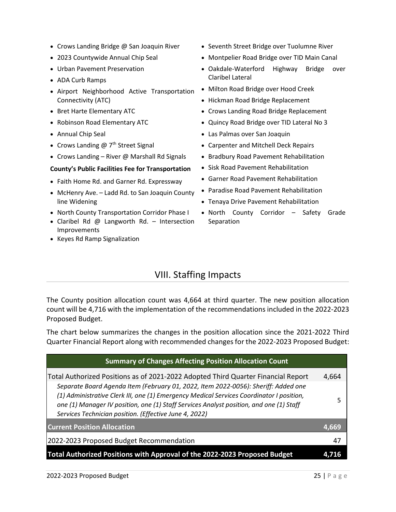- Crows Landing Bridge @ San Joaquin River
- 2023 Countywide Annual Chip Seal
- Urban Pavement Preservation
- ADA Curb Ramps
- Airport Neighborhood Active Transportation Connectivity (ATC)
- Bret Harte Elementary ATC
- Robinson Road Elementary ATC
- Annual Chip Seal
- Crows Landing  $@7<sup>th</sup>$  Street Signal
- Crows Landing River @ Marshall Rd Signals

#### **County's Public Facilities Fee for Transportation**

- Faith Home Rd. and Garner Rd. Expressway
- McHenry Ave. Ladd Rd. to San Joaquin County line Widening
- North County Transportation Corridor Phase I
- Claribel Rd @ Langworth Rd. Intersection Improvements
- <span id="page-25-0"></span>• Keyes Rd Ramp Signalization
- Seventh Street Bridge over Tuolumne River
- Montpelier Road Bridge over TID Main Canal
- Oakdale-Waterford Highway Bridge over Claribel Lateral
- Milton Road Bridge over Hood Creek
- Hickman Road Bridge Replacement
- Crows Landing Road Bridge Replacement
- Quincy Road Bridge over TID Lateral No 3
- Las Palmas over San Joaquin
- Carpenter and Mitchell Deck Repairs
- Bradbury Road Pavement Rehabilitation
- Sisk Road Pavement Rehabilitation
- Garner Road Pavement Rehabilitation
- Paradise Road Pavement Rehabilitation
- Tenaya Drive Pavement Rehabilitation
- North County Corridor Safety Grade **Separation**

## VIII. Staffing Impacts

The County position allocation count was 4,664 at third quarter. The new position allocation count will be 4,716 with the implementation of the recommendations included in the 2022-2023 Proposed Budget.

The chart below summarizes the changes in the position allocation since the 2021-2022 Third Quarter Financial Report along with recommended changes for the 2022-2023 Proposed Budget:

| <b>Summary of Changes Affecting Position Allocation Count</b>                                                                                                                                                                                                                                                                       |       |
|-------------------------------------------------------------------------------------------------------------------------------------------------------------------------------------------------------------------------------------------------------------------------------------------------------------------------------------|-------|
| Total Authorized Positions as of 2021-2022 Adopted Third Quarter Financial Report                                                                                                                                                                                                                                                   | 4,664 |
| Separate Board Agenda Item (February 01, 2022, Item 2022-0056): Sheriff: Added one<br>(1) Administrative Clerk III, one (1) Emergency Medical Services Coordinator I position,<br>one (1) Manager IV position, one (1) Staff Services Analyst position, and one (1) Staff<br>Services Technician position. (Effective June 4, 2022) |       |
| <b>Current Position Allocation</b>                                                                                                                                                                                                                                                                                                  | 4.669 |
| 2022-2023 Proposed Budget Recommendation                                                                                                                                                                                                                                                                                            | -47   |
| Total Authorized Positions with Approval of the 2022-2023 Proposed Budget                                                                                                                                                                                                                                                           | 4     |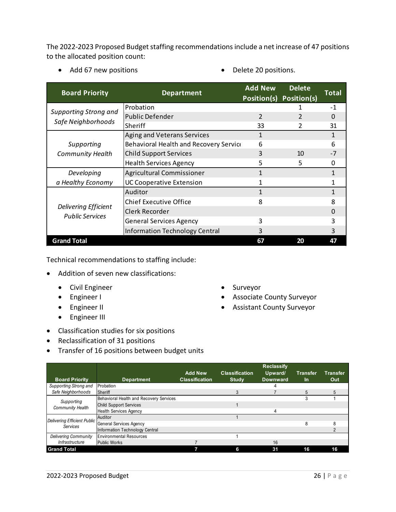The 2022-2023 Proposed Budget staffing recommendations include a net increase of 47 positions to the allocated position count:

- Add 67 new positions Delete 20 positions.
	-

| <b>Board Priority</b>        | <b>Department</b>                      | <b>Add New</b><br>Position(s) | <b>Delete</b><br>Position(s) | Total        |
|------------------------------|----------------------------------------|-------------------------------|------------------------------|--------------|
| <b>Supporting Strong and</b> | Probation                              |                               |                              | $-1$         |
|                              | <b>Public Defender</b>                 | $\overline{\mathcal{L}}$      |                              | 0            |
| Safe Neighborhoods           | Sheriff                                | 33                            | $\mathcal{P}$                | 31           |
|                              | Aging and Veterans Services            | $\mathbf{1}$                  |                              | $\mathbf{1}$ |
| Supporting                   | Behavioral Health and Recovery Service | 6                             |                              | 6            |
| <b>Community Health</b>      | <b>Child Support Services</b>          | 3                             | 10                           | $-7$         |
|                              | <b>Health Services Agency</b>          | 5                             | 5                            | <sup>0</sup> |
| Developing                   | Agricultural Commissioner              | 1                             |                              | 1            |
| a Healthy Economy            | <b>UC Cooperative Extension</b>        | 1                             |                              |              |
|                              | Auditor                                | 1                             |                              | $\mathbf{1}$ |
|                              | <b>Chief Executive Office</b>          | 8                             |                              | 8            |
| Delivering Efficient         | Clerk Recorder                         |                               |                              | 0            |
| <b>Public Services</b>       | <b>General Services Agency</b>         | 3                             |                              | ੨            |
|                              | <b>Information Technology Central</b>  | 3                             |                              | 3            |
| <b>Grand Total</b>           |                                        | 67                            | 20                           | 47           |

Technical recommendations to staffing include:

- Addition of seven new classifications:
	- Civil Engineer
	- Engineer I
	- Engineer II
	- Engineer III
- Classification studies for six positions
- Reclassification of 31 positions
- Transfer of 16 positions between budget units
- Surveyor
- Associate County Surveyor
- Assistant County Surveyor

| <b>Board Priority</b>       | <b>Department</b>                       | <b>Add New</b><br><b>Classification</b> | <b>Classification</b><br><b>Study</b> | <b>Reclassify</b><br>Upward/<br><b>Downward</b> | <b>Transfer</b><br>ln. | <b>Transfer</b><br>Out |
|-----------------------------|-----------------------------------------|-----------------------------------------|---------------------------------------|-------------------------------------------------|------------------------|------------------------|
| Supporting Strong and       | Probation                               |                                         |                                       |                                                 |                        |                        |
| Safe Neighborhoods          | <b>Sheriff</b>                          |                                         | 3                                     |                                                 | 5                      | 5                      |
| Supporting                  | Behavioral Health and Recovery Services |                                         |                                       |                                                 |                        |                        |
| <b>Community Health</b>     | <b>Child Support Services</b>           |                                         |                                       |                                                 |                        |                        |
|                             | <b>Health Services Agency</b>           |                                         |                                       | 4                                               |                        |                        |
| Delivering Efficient Public | Auditor                                 |                                         |                                       |                                                 |                        |                        |
| <b>Services</b>             | <b>General Services Agency</b>          |                                         |                                       |                                                 | 8                      |                        |
|                             | Information Technology Central          |                                         |                                       |                                                 |                        |                        |
| <b>Delivering Community</b> | <b>Environmental Resources</b>          |                                         |                                       |                                                 |                        |                        |
| Infrastructure              | <b>Public Works</b>                     |                                         |                                       | 16                                              |                        |                        |
| <b>Grand Total</b>          |                                         |                                         | 6                                     | 31                                              | 16                     | 16                     |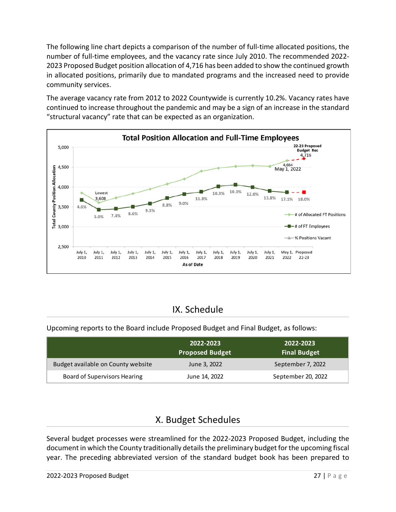The following line chart depicts a comparison of the number of full-time allocated positions, the number of full-time employees, and the vacancy rate since July 2010. The recommended 2022- 2023 Proposed Budget position allocation of 4,716 has been added to show the continued growth in allocated positions, primarily due to mandated programs and the increased need to provide community services.

The average vacancy rate from 2012 to 2022 Countywide is currently 10.2%. Vacancy rates have continued to increase throughout the pandemic and may be a sign of an increase in the standard "structural vacancy" rate that can be expected as an organization.



## IX. Schedule

<span id="page-27-0"></span>Upcoming reports to the Board include Proposed Budget and Final Budget, as follows:

|                                    | 2022-2023<br><b>Proposed Budget</b> | 2022-2023<br><b>Final Budget</b> |
|------------------------------------|-------------------------------------|----------------------------------|
| Budget available on County website | June 3, 2022                        | September 7, 2022                |
| Board of Supervisors Hearing       | June 14, 2022                       | September 20, 2022               |

## X. Budget Schedules

<span id="page-27-1"></span>Several budget processes were streamlined for the 2022-2023 Proposed Budget, including the document in which the County traditionally details the preliminary budget for the upcoming fiscal year. The preceding abbreviated version of the standard budget book has been prepared to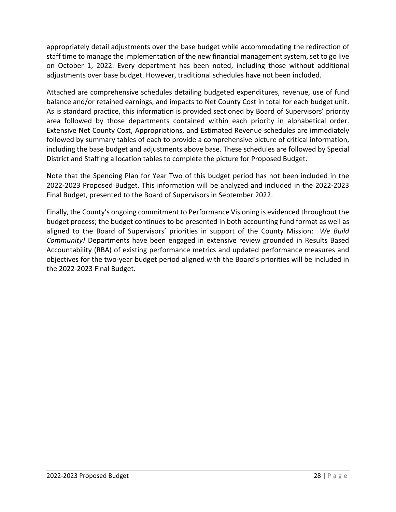appropriately detail adjustments over the base budget while accommodating the redirection of staff time to manage the implementation of the new financial management system, set to go live on October 1, 2022. Every department has been noted, including those without additional adjustments over base budget. However, traditional schedules have not been included.

Attached are comprehensive schedules detailing budgeted expenditures, revenue, use of fund balance and/or retained earnings, and impacts to Net County Cost in total for each budget unit. As is standard practice, this information is provided sectioned by Board of Supervisors' priority area followed by those departments contained within each priority in alphabetical order. Extensive Net County Cost, Appropriations, and Estimated Revenue schedules are immediately followed by summary tables of each to provide a comprehensive picture of critical information, including the base budget and adjustments above base. These schedules are followed by Special District and Staffing allocation tables to complete the picture for Proposed Budget.

Note that the Spending Plan for Year Two of this budget period has not been included in the 2022-2023 Proposed Budget. This information will be analyzed and included in the 2022-2023 Final Budget, presented to the Board of Supervisors in September 2022.

Finally, the County's ongoing commitment to Performance Visioning is evidenced throughout the budget process; the budget continues to be presented in both accounting fund format as well as aligned to the Board of Supervisors' priorities in support of the County Mission: *We Build Community!* Departments have been engaged in extensive review grounded in Results Based Accountability (RBA) of existing performance metrics and updated performance measures and objectives for the two-year budget period aligned with the Board's priorities will be included in the 2022-2023 Final Budget.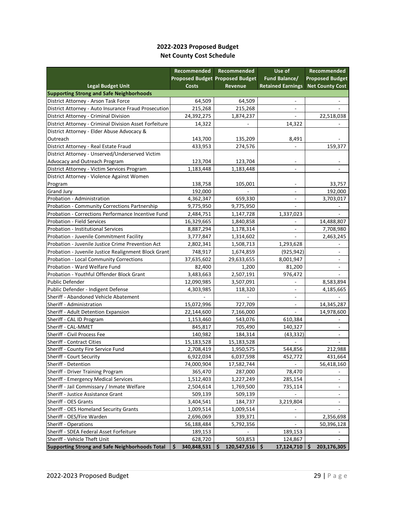#### **2022-2023 Proposed Budget Net County Cost Schedule**

|                                                        | Recommended       | Recommended                            | Use of                   | Recommended              |
|--------------------------------------------------------|-------------------|----------------------------------------|--------------------------|--------------------------|
|                                                        |                   | <b>Proposed Budget Proposed Budget</b> | Fund Balance/            | <b>Proposed Budget</b>   |
| <b>Legal Budget Unit</b>                               | <b>Costs</b>      | <b>Revenue</b>                         | <b>Retained Earnings</b> | <b>Net County Cost</b>   |
| <b>Supporting Strong and Safe Neighborhoods</b>        |                   |                                        |                          |                          |
| District Attorney - Arson Task Force                   | 64,509            | 64,509                                 |                          |                          |
| District Attorney - Auto Insurance Fraud Prosecution   | 215,268           | 215,268                                |                          |                          |
| District Attorney - Criminal Division                  | 24,392,275        | 1,874,237                              |                          | 22,518,038               |
| District Attorney - Criminal Division Asset Forfeiture | 14,322            |                                        | 14,322                   |                          |
| District Attorney - Elder Abuse Advocacy &             |                   |                                        |                          |                          |
| Outreach                                               | 143,700           | 135,209                                | 8,491                    |                          |
| District Attorney - Real Estate Fraud                  | 433,953           | 274,576                                |                          | 159,377                  |
| District Attorney - Unserved/Underserved Victim        |                   |                                        |                          |                          |
| Advocacy and Outreach Program                          | 123,704           | 123,704                                | ÷,                       |                          |
| District Attorney - Victim Services Program            | 1,183,448         | 1,183,448                              | $\overline{\phantom{0}}$ |                          |
| District Attorney - Violence Against Women             |                   |                                        |                          |                          |
| Program                                                | 138,758           | 105,001                                | $\overline{\phantom{a}}$ | 33,757                   |
| <b>Grand Jury</b>                                      | 192,000           |                                        | $\overline{\phantom{0}}$ | 192,000                  |
| Probation - Administration                             | 4,362,347         | 659,330                                | ۰                        | 3,703,017                |
| Probation - Community Corrections Partnership          | 9,775,950         | 9,775,950                              |                          |                          |
| Probation - Corrections Performance Incentive Fund     | 2,484,751         | 1,147,728                              | 1,337,023                |                          |
| Probation - Field Services                             | 16,329,665        | 1,840,858                              |                          | 14,488,807               |
| <b>Probation - Institutional Services</b>              | 8,887,294         | 1,178,314                              |                          | 7,708,980                |
| Probation - Juvenile Commitment Facility               | 3,777,847         | 1,314,602                              |                          | 2,463,245                |
| Probation - Juvenile Justice Crime Prevention Act      | 2,802,341         | 1,508,713                              | 1,293,628                |                          |
| Probation - Juvenile Justice Realignment Block Grant   | 748,917           | 1,674,859                              | (925, 942)               |                          |
| Probation - Local Community Corrections                | 37,635,602        | 29,633,655                             | 8,001,947                | ٠                        |
| Probation - Ward Welfare Fund                          | 82,400            | 1,200                                  | 81,200                   |                          |
| Probation - Youthful Offender Block Grant              | 3,483,663         | 2,507,191                              | 976,472                  |                          |
| <b>Public Defender</b>                                 | 12,090,985        | 3,507,091                              |                          | 8,583,894                |
| Public Defender - Indigent Defense                     | 4,303,985         | 118,320                                | ÷,                       | 4,185,665                |
| Sheriff - Abandoned Vehicle Abatement                  |                   |                                        | $\overline{\phantom{0}}$ |                          |
| Sheriff - Administration                               | 15,072,996        | 727,709                                | $\blacksquare$           | 14,345,287               |
| Sheriff - Adult Detention Expansion                    | 22,144,600        | 7,166,000                              |                          | 14,978,600               |
| Sheriff - CAL ID Program                               | 1,153,460         | 543,076                                | 610,384                  |                          |
| Sheriff - CAL-MMET                                     | 845,817           | 705,490                                | 140,327                  | $\overline{\phantom{a}}$ |
| Sheriff - Civil Process Fee                            | 140,982           | 184,314                                | (43, 332)                | $\overline{\phantom{a}}$ |
| <b>Sheriff - Contract Cities</b>                       | 15,183,528        | 15,183,528                             |                          |                          |
| Sheriff - County Fire Service Fund                     | 2,708,419         | 1,950,575                              | 544,856                  | 212,988                  |
| Sheriff - Court Security                               | 6,922,034         | 6,037,598                              | 452,772                  | 431,664                  |
| Sheriff - Detention                                    | 74,000,904        | 17,582,744                             |                          | 56,418,160               |
| Sheriff - Driver Training Program                      | 365,470           | 287,000                                | 78,470                   |                          |
| Sheriff - Emergency Medical Services                   | 1,512,403         | 1,227,249                              | 285,154                  |                          |
| Sheriff - Jail Commissary / Inmate Welfare             | 2,504,614         | 1,769,500                              | 735,114                  |                          |
| Sheriff - Justice Assistance Grant                     | 509,139           | 509,139                                |                          |                          |
| Sheriff - OES Grants                                   | 3,404,541         | 184,737                                | 3,219,804                |                          |
| Sheriff - OES Homeland Security Grants                 | 1,009,514         | 1,009,514                              |                          |                          |
| Sheriff - OES/Fire Warden                              | 2,696,069         | 339,371                                | $\overline{\phantom{a}}$ | 2,356,698                |
| Sheriff - Operations                                   | 56,188,484        | 5,792,356                              |                          | 50,396,128               |
| Sheriff - SDEA Federal Asset Forfeiture                | 189,153           |                                        | 189,153                  |                          |
| Sheriff - Vehicle Theft Unit                           | 628,720           | 503,853                                | 124,867                  |                          |
| <b>Supporting Strong and Safe Neighborhoods Total</b>  | \$<br>340,848,531 | Ŝ<br>120,547,516                       | \$.<br>17,124,710        | 203,176,305<br>S         |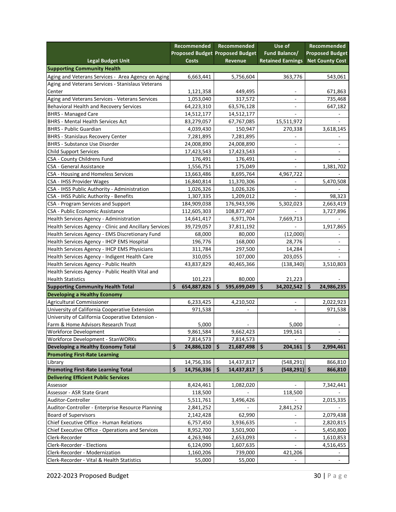|                                                        |    | Recommended                            |    | Recommended | Use of                   | Recommended              |
|--------------------------------------------------------|----|----------------------------------------|----|-------------|--------------------------|--------------------------|
|                                                        |    | <b>Proposed Budget Proposed Budget</b> |    |             | Fund Balance/            | <b>Proposed Budget</b>   |
| <b>Legal Budget Unit</b>                               |    | <b>Costs</b>                           |    | Revenue     | <b>Retained Earnings</b> | <b>Net County Cost</b>   |
| <b>Supporting Community Health</b>                     |    |                                        |    |             |                          |                          |
| Aging and Veterans Services - Area Agency on Aging     |    | 6,663,441                              |    | 5,756,604   | 363,776                  | 543,061                  |
| Aging and Veterans Services - Stanislaus Veterans      |    |                                        |    |             |                          |                          |
| Center                                                 |    | 1,121,358                              |    | 449,495     |                          | 671,863                  |
| Aging and Veterans Services - Veterans Services        |    | 1,053,040                              |    | 317,572     |                          | 735,468                  |
| Behavioral Health and Recovery Services                |    | 64,223,310                             |    | 63,576,128  |                          | 647,182                  |
| <b>BHRS - Managed Care</b>                             |    | 14,512,177                             |    | 14,512,177  |                          |                          |
| <b>BHRS - Mental Health Services Act</b>               |    | 83,279,057                             |    | 67,767,085  | 15,511,972               |                          |
| <b>BHRS - Public Guardian</b>                          |    | 4,039,430                              |    | 150,947     | 270,338                  | 3,618,145                |
| <b>BHRS - Stanislaus Recovery Center</b>               |    | 7,281,895                              |    | 7,281,895   |                          |                          |
| <b>BHRS - Substance Use Disorder</b>                   |    | 24,008,890                             |    | 24,008,890  | ÷,                       | ٠                        |
| <b>Child Support Services</b>                          |    | 17,423,543                             |    | 17,423,543  | -                        | $\overline{\phantom{a}}$ |
| CSA - County Childrens Fund                            |    | 176,491                                |    | 176,491     | ۰                        |                          |
| CSA - General Assistance                               |    | 1,556,751                              |    | 175,049     |                          | 1,381,702                |
| CSA - Housing and Homeless Services                    |    | 13,663,486                             |    | 8,695,764   | 4,967,722                |                          |
| CSA - IHSS Provider Wages                              |    | 16,840,814                             |    | 11,370,306  |                          | 5,470,508                |
| CSA - IHSS Public Authority - Administration           |    | 1,026,326                              |    | 1,026,326   |                          |                          |
| CSA - IHSS Public Authority - Benefits                 |    | 1,307,335                              |    | 1,209,012   |                          | 98,323                   |
| CSA - Program Services and Support                     |    | 184,909,038                            |    | 176,943,596 | 5,302,023                | 2,663,419                |
| CSA - Public Economic Assistance                       |    | 112,605,303                            |    | 108,877,407 |                          | 3,727,896                |
| Health Services Agency - Administration                |    | 14,641,417                             |    | 6,971,704   | 7,669,713                |                          |
| Health Services Agency - Clinic and Ancillary Services |    | 39,729,057                             |    | 37,811,192  |                          | 1,917,865                |
| Health Services Agency - EMS Discretionary Fund        |    | 68,000                                 |    | 80,000      | (12,000)                 |                          |
| Health Services Agency - IHCP EMS Hospital             |    | 196,776                                |    | 168,000     | 28,776                   | $\overline{\phantom{a}}$ |
| Health Services Agency - IHCP EMS Physicians           |    | 311,784                                |    | 297,500     | 14,284                   | $\overline{\phantom{a}}$ |
| Health Services Agency - Indigent Health Care          |    | 310,055                                |    | 107,000     | 203,055                  |                          |
| Health Services Agency - Public Health                 |    | 43,837,829                             |    | 40,465,366  | (138, 340)               | 3,510,803                |
| Health Services Agency - Public Health Vital and       |    |                                        |    |             |                          |                          |
| <b>Health Statistics</b>                               |    | 101,223                                |    | 80,000      | 21,223                   |                          |
| <b>Supporting Community Health Total</b>               | Ś  | 654,887,826                            | Ŝ  | 595,699,049 | \$<br>34,202,542         | \$<br>24,986,235         |
| <b>Developing a Healthy Economy</b>                    |    |                                        |    |             |                          |                          |
| Agricultural Commissioner                              |    | 6,233,425                              |    | 4,210,502   | ÷,                       | 2,022,923                |
| University of California Cooperative Extension         |    | 971,538                                |    |             |                          | 971,538                  |
| University of California Cooperative Extension -       |    |                                        |    |             |                          |                          |
| Farm & Home Advisors Research Trust                    |    | 5,000                                  |    |             | 5,000                    |                          |
| Workforce Development                                  |    | 9,861,584                              |    | 9,662,423   | 199,161                  |                          |
| Workforce Development - StanWORKs                      |    | 7,814,573                              |    | 7,814,573   |                          |                          |
| Developing a Healthy Economy Total                     | \$ | 24,886,120                             | \$ | 21,687,498  | \$<br>204,161            | \$<br>2,994,461          |
| <b>Promoting First-Rate Learning</b>                   |    |                                        |    |             |                          |                          |
| Library                                                |    | 14,756,336                             |    | 14,437,817  | (548, 291)               | 866,810                  |
| Promoting First-Rate Learning Total                    | \$ | 14,756,336                             | \$ | 14,437,817  | \$<br>$(548, 291)$ \$    | 866,810                  |
| <b>Delivering Efficient Public Services</b>            |    |                                        |    |             |                          |                          |
| Assessor                                               |    | 8,424,461                              |    | 1,082,020   |                          | 7,342,441                |
| Assessor - ASR State Grant                             |    |                                        |    |             | 118,500                  |                          |
|                                                        |    | 118,500                                |    |             |                          |                          |
| Auditor-Controller                                     |    | 5,511,761                              |    | 3,496,426   |                          | 2,015,335                |
| Auditor-Controller - Enterprise Resource Planning      |    | 2,841,252                              |    |             | 2,841,252                |                          |
| <b>Board of Supervisors</b>                            |    | 2,142,428                              |    | 62,990      | ۰                        | 2,079,438                |
| Chief Executive Office - Human Relations               |    | 6,757,450                              |    | 3,936,635   | -                        | 2,820,815                |
| Chief Executive Office - Operations and Services       |    | 8,952,700                              |    | 3,501,900   |                          | 5,450,800                |
| Clerk-Recorder                                         |    | 4,263,946                              |    | 2,653,093   |                          | 1,610,853                |
| Clerk-Recorder - Elections                             |    | 6,124,090                              |    | 1,607,635   |                          | 4,516,455                |
| Clerk-Recorder - Modernization                         |    | 1,160,206                              |    | 739,000     | 421,206                  |                          |
| Clerk-Recorder - Vital & Health Statistics             |    | 55,000                                 |    | 55,000      |                          |                          |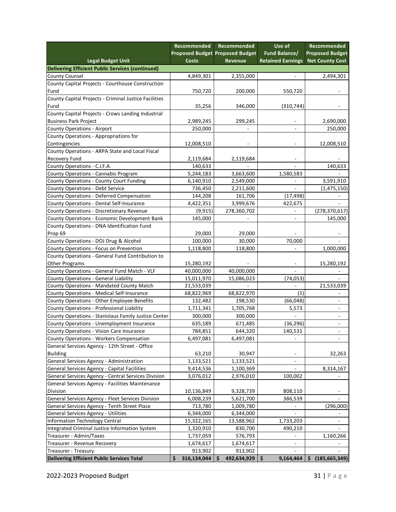|                                                              | Recommended       | <b>Recommended</b>                     | Use of                   | <b>Recommended</b>       |
|--------------------------------------------------------------|-------------------|----------------------------------------|--------------------------|--------------------------|
|                                                              |                   | <b>Proposed Budget Proposed Budget</b> | Fund Balance/            | <b>Proposed Budget</b>   |
| <b>Legal Budget Unit</b>                                     | <b>Costs</b>      | Revenue                                | <b>Retained Earnings</b> | <b>Net County Cost</b>   |
| <b>Delivering Efficient Public Services (continued)</b>      |                   |                                        |                          |                          |
| <b>County Counsel</b>                                        | 4,849,301         | 2,355,000                              |                          | 2,494,301                |
| County Capital Projects - Courthouse Construction            |                   |                                        |                          |                          |
| Fund                                                         | 750,720           | 200,000                                | 550,720                  |                          |
| County Capital Projects - Criminal Justice Facilities        |                   |                                        |                          |                          |
| Fund                                                         | 35,256            | 346,000                                | (310,744)                |                          |
| County Capital Projects - Crows Landing Industrial           |                   |                                        |                          |                          |
| <b>Business Park Project</b>                                 | 2,989,245         | 299,245                                | $\overline{\phantom{a}}$ | 2,690,000                |
| <b>County Operations - Airport</b>                           | 250,000           |                                        | $\overline{\phantom{a}}$ | 250,000                  |
| County Operations - Appropriations for                       |                   |                                        |                          |                          |
| Contingencies                                                | 12,008,510        |                                        | $\overline{\phantom{a}}$ | 12,008,510               |
| County Operations - ARPA State and Local Fiscal              |                   |                                        |                          |                          |
| Recovery Fund                                                | 2,119,684         | 2,119,684                              |                          |                          |
| County Operations - C.I.F.A.                                 | 140,633           |                                        |                          | 140,633                  |
| County Operations - Cannabis Program                         | 5,244,183         | 3,663,600                              | 1,580,583                |                          |
| County Operations - County Court Funding                     | 6,140,910         | 2,549,000                              |                          | 3,591,910                |
| County Operations - Debt Service                             | 736,450           | 2,211,600                              |                          | (1,475,150)              |
| County Operations - Deferred Compensation                    | 144,208           | 161,706                                | (17, 498)                |                          |
| County Operations - Dental Self-Insurance                    | 4,422,351         | 3,999,676                              | 422,675                  |                          |
| County Operations - Discretionary Revenue                    | (9, 915)          | 278,360,702                            |                          | (278, 370, 617)          |
| County Operations - Economic Development Bank                | 145,000           |                                        | $\overline{\phantom{a}}$ | 145,000                  |
| County Operations - DNA Identification Fund                  |                   |                                        |                          |                          |
| Prop 69                                                      | 29,000            | 29,000                                 |                          |                          |
| County Operations - DOJ Drug & Alcohol                       | 100,000           | 30,000                                 | 70,000                   |                          |
| County Operations - Focus on Prevention                      | 1,118,800         | 118,800                                | $\overline{\phantom{a}}$ | 1,000,000                |
| County Operations - General Fund Contribution to             |                   |                                        |                          |                          |
| <b>Other Programs</b>                                        | 15,280,192        |                                        |                          | 15,280,192               |
| County Operations - General Fund Match - VLF                 | 40,000,000        | 40,000,000                             |                          |                          |
| County Operations - General Liability                        | 15,011,970        | 15,086,023                             | (74, 053)                |                          |
| County Operations - Mandated County Match                    | 21,533,039        |                                        |                          | 21,533,039               |
| County Operations - Medical Self-Insurance                   | 68,822,969        | 68,822,970                             | (1)                      |                          |
| County Operations - Other Employee Benefits                  | 132,482           | 198,530                                | (66, 048)                |                          |
| County Operations - Professional Liability                   | 1,711,341         | 1,705,768                              | 5,573                    |                          |
| County Operations - Stanislaus Family Justice Center         | 300,000           | 300,000                                |                          |                          |
| County Operations - Unemployment Insurance                   | 635,189           | 671,485                                | (36, 296)                | $\overline{\phantom{a}}$ |
| County Operations - Vision Care Insurance                    | 784,851           | 644,320                                | 140,531                  |                          |
| County Operations - Workers Compensation                     | 6,497,081         | 6,497,081                              | $\overline{\phantom{a}}$ | $\overline{\phantom{a}}$ |
| General Services Agency - 12th Street - Office               |                   |                                        |                          |                          |
| <b>Building</b>                                              | 63,210            | 30,947                                 | $\overline{\phantom{a}}$ | 32,263                   |
| General Services Agency - Administration                     | 1,133,521         | 1,133,521                              | $\overline{\phantom{a}}$ |                          |
| General Services Agency - Capital Facilities                 | 9,414,536         | 1,100,369                              |                          | 8,314,167                |
|                                                              |                   |                                        |                          |                          |
| General Services Agency - Central Services Division          | 3,076,012         | 2,976,010                              | 100,002                  |                          |
| General Services Agency - Facilities Maintenance<br>Division | 10,136,849        | 9,328,739                              |                          |                          |
|                                                              |                   |                                        | 808,110                  |                          |
| General Services Agency - Fleet Services Division            | 6,008,239         | 5,621,700                              | 386,539                  |                          |
| General Services Agency - Tenth Street Place                 | 713,780           | 1,009,780                              |                          | (296,000)                |
| General Services Agency - Utilities                          | 6,344,000         | 6,344,000                              |                          |                          |
| Information Technology Central                               | 15,322,165        | 13,588,962                             | 1,733,203                |                          |
| Integrated Criminal Justice Information System               | 1,320,910         | 830,700                                | 490,210                  |                          |
| Treasurer - Admin/Taxes                                      | 1,737,059         | 576,793                                |                          | 1,160,266                |
| Treasurer - Revenue Recovery                                 | 1,674,617         | 1,674,617                              |                          |                          |
| Treasurer - Treasury                                         | 913,902           | 913,902                                |                          |                          |
| <b>Delivering Efficient Public Services Total</b>            | 316,134,044<br>\$ | 492,634,929<br>Ŝ                       | \$<br>9,164,464          | (185, 665, 349)<br>\$.   |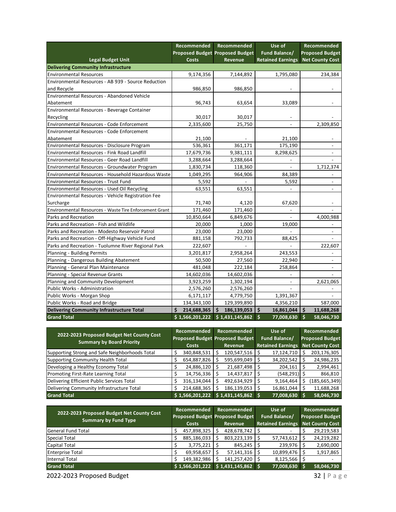|                                                        | Recommended       | Recommended                            | Use of                   | <b>Recommended</b>       |
|--------------------------------------------------------|-------------------|----------------------------------------|--------------------------|--------------------------|
|                                                        |                   | <b>Proposed Budget Proposed Budget</b> | Fund Balance/            | <b>Proposed Budget</b>   |
| <b>Legal Budget Unit</b>                               | <b>Costs</b>      | <b>Revenue</b>                         | <b>Retained Earnings</b> | <b>Net County Cost</b>   |
| <b>Delivering Community Infrastructure</b>             |                   |                                        |                          |                          |
| <b>Environmental Resources</b>                         | 9,174,356         | 7,144,892                              | 1,795,080                | 234,384                  |
| Environmental Resources - AB 939 - Source Reduction    |                   |                                        |                          |                          |
| and Recycle                                            | 986,850           | 986,850                                |                          |                          |
| Environmental Resources - Abandoned Vehicle            |                   |                                        |                          |                          |
| Abatement                                              | 96,743            | 63,654                                 | 33,089                   |                          |
| Environmental Resources - Beverage Container           |                   |                                        |                          |                          |
| Recycling                                              | 30,017            | 30,017                                 |                          |                          |
| Environmental Resources - Code Enforcement             | 2,335,600         | 25,750                                 |                          | 2,309,850                |
| Environmental Resources - Code Enforcement             |                   |                                        |                          |                          |
| Abatement                                              | 21,100            |                                        | 21,100                   | $\overline{a}$           |
| Environmental Resources - Disclosure Program           | 536,361           | 361,171                                | 175,190                  |                          |
| Environmental Resources - Fink Road Landfill           | 17,679,736        | 9,381,111                              | 8,298,625                | $\overline{a}$           |
| Environmental Resources - Geer Road Landfill           | 3,288,664         | 3,288,664                              |                          |                          |
| Environmental Resources - Groundwater Program          | 1,830,734         | 118,360                                | $\overline{a}$           | 1,712,374                |
| Environmental Resources - Household Hazardous Waste    | 1,049,295         | 964,906                                | 84,389                   | $\overline{a}$           |
| Environmental Resources - Trust Fund                   | 5,592             |                                        | 5,592                    | $\overline{\phantom{a}}$ |
| Environmental Resources - Used Oil Recycling           | 63,551            | 63,551                                 |                          |                          |
| Environmental Resources - Vehicle Registration Fee     |                   |                                        |                          |                          |
| Surcharge                                              | 71,740            | 4,120                                  | 67,620                   |                          |
| Environmental Resources - Waste Tire Enforcement Grant | 171,460           | 171,460                                |                          |                          |
| Parks and Recreation                                   | 10,850,664        | 6,849,676                              |                          | 4,000,988                |
| Parks and Recreation - Fish and Wildlife               | 20,000            | 1,000                                  | 19,000                   | $\overline{\phantom{a}}$ |
| Parks and Recreation - Modesto Reservoir Patrol        | 23,000            | 23,000                                 |                          |                          |
| Parks and Recreation - Off-Highway Vehicle Fund        | 881,158           | 792,733                                | 88,425                   | $\overline{\phantom{a}}$ |
| Parks and Recreation - Tuolumne River Regional Park    | 222,607           |                                        |                          | 222,607                  |
| Planning - Building Permits                            | 3,201,817         | 2,958,264                              | 243,553                  |                          |
| Planning - Dangerous Building Abatement                | 50,500            | 27,560                                 | 22,940                   | $\overline{\phantom{a}}$ |
| Planning - General Plan Maintenance                    | 481,048           | 222,184                                | 258,864                  |                          |
| Planning - Special Revenue Grants                      | 14,602,036        | 14,602,036                             |                          |                          |
| Planning and Community Development                     | 3,923,259         | 1,302,194                              | $\overline{\phantom{a}}$ | 2,621,065                |
| Public Works - Administration                          | 2,576,260         | 2,576,260                              |                          |                          |
| Public Works - Morgan Shop                             | 6,171,117         | 4,779,750                              | 1,391,367                |                          |
| Public Works - Road and Bridge                         | 134,343,100       | 129,399,890                            | 4,356,210                | 587,000                  |
| Delivering Community Infrastructure Total              | Ś.<br>214,688,365 | $186, 139, 053$ \$<br>Ś.               | 16,861,044               | \$<br>11,688,268         |
| <b>Grand Total</b>                                     | \$1,566,201,222   | \$1,431,145,862                        | Ś.<br>77,008,630         | Ś<br>58,046,730          |
|                                                        |                   |                                        |                          |                          |
| 2022-2023 Proposed Budget Net County Cost              | Recommended       | Recommended                            | Use of                   | Recommended              |
|                                                        |                   | Dranaced Rudget Dranaced Rudget        | Eund Ralance/            | <b>Dronocod Rudget</b>   |

| 2022-2023 Proposed Budget Net County Cost      | Recommended     | Recommended<br>Proposed Budget Proposed Budget | Use of<br>Fund Balance/  | Recommended<br><b>Proposed Budget</b> |
|------------------------------------------------|-----------------|------------------------------------------------|--------------------------|---------------------------------------|
| <b>Summary by Board Priority</b>               | <b>Costs</b>    | <b>Revenue</b>                                 | <b>Retained Earnings</b> | <b>Net County Cost</b>                |
| Supporting Strong and Safe Neighborhoods Total | 340,848,531     | 120,547,516                                    | 17,124,710               | 203,176,305                           |
| Supporting Community Health Total              | 654,887,826     | 595,699,049                                    | 34,202,542               | 24,986,235                            |
| Developing a Healthy Economy Total             | 24,886,120      | 21,687,498                                     | 204,161                  | 2,994,461                             |
| Promoting First-Rate Learning Total            | 14,756,336      | 14,437,817                                     | (548, 291)               | 866,810                               |
| Delivering Efficient Public Services Total     | 316,134,044     | 492,634,929                                    | 9,164,464                | (185, 665, 349)                       |
| Delivering Community Infrastructure Total      | 214,688,365     | 186,139,053                                    | 16,861,044               | 11,688,268                            |
| <b>Grand Total</b>                             | \$1,566,201,222 | \$1,431,145,862                                | 77,008,630               | 58,046,730                            |

| 2022-2023 Proposed Budget Net County Cost<br><b>Summary by Fund Type</b> | <b>Recommended</b><br>Proposed Budget Proposed Budget |                 | Recommended |                 | Use of<br>Fund Balance/ |                              | <b>Recommended</b><br><b>Proposed Budget</b> |                 |
|--------------------------------------------------------------------------|-------------------------------------------------------|-----------------|-------------|-----------------|-------------------------|------------------------------|----------------------------------------------|-----------------|
|                                                                          |                                                       | <b>Costs</b>    |             | <b>Revenue</b>  |                         | <b>Retained Earnings</b>     |                                              | Net County Cost |
| General Fund Total                                                       |                                                       | 457,898,325     |             | 428,678,742     |                         | $\qquad \qquad \blacksquare$ |                                              | 29,219,583      |
| Special Total                                                            |                                                       | 885,186,033     |             | 803,223,139     |                         | 57,743,612                   |                                              | 24,219,282      |
| Capital Total                                                            |                                                       | 3,775,221       |             | 845,245         |                         | 239,976                      |                                              | 2,690,000       |
| <b>Enterprise Total</b>                                                  |                                                       | 69,958,657      |             | 57,141,316      |                         | 10,899,476                   |                                              | 1,917,865       |
| Internal Total                                                           |                                                       | 149,382,986     |             | 141,257,420     |                         | 8,125,566                    |                                              |                 |
| <b>Grand Total</b>                                                       |                                                       | \$1,566,201,222 |             | \$1,431,145,862 |                         | 77,008,630                   |                                              | 58,046,730      |

2022-2023 Proposed Budget 32 | Page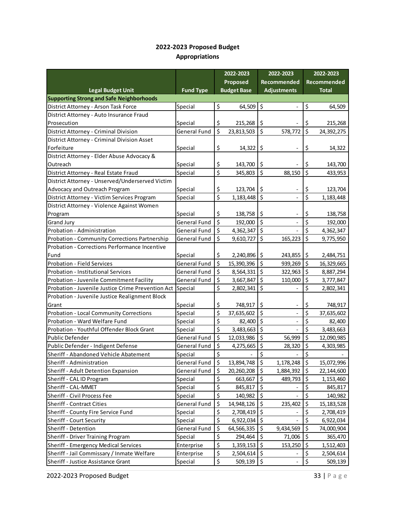#### **2022-2023 Proposed Budget Appropriations**

|                                                           |                     |                                 | 2022-2023          |                                | 2022-2023                |                  | 2022-2023          |
|-----------------------------------------------------------|---------------------|---------------------------------|--------------------|--------------------------------|--------------------------|------------------|--------------------|
|                                                           |                     |                                 | Proposed           |                                | Recommended              |                  | <b>Recommended</b> |
| <b>Legal Budget Unit</b>                                  | <b>Fund Type</b>    |                                 | <b>Budget Base</b> |                                | <b>Adjustments</b>       |                  | <b>Total</b>       |
| <b>Supporting Strong and Safe Neighborhoods</b>           |                     |                                 |                    |                                |                          |                  |                    |
| District Attorney - Arson Task Force                      | Special             | \$                              | 64,509             | \$                             |                          | \$               | 64,509             |
| District Attorney - Auto Insurance Fraud                  |                     |                                 |                    |                                |                          |                  |                    |
| Prosecution                                               | Special             | \$                              | 215,268            | \$                             |                          | \$               | 215,268            |
| District Attorney - Criminal Division                     | General Fund        | \$                              | 23,813,503         | \$                             | 578,772                  | \$               | 24,392,275         |
| District Attorney - Criminal Division Asset               |                     |                                 |                    |                                |                          |                  |                    |
| Forfeiture                                                | Special             | \$                              | 14,322             | \$                             |                          | \$               | 14,322             |
| District Attorney - Elder Abuse Advocacy &                |                     |                                 |                    |                                |                          |                  |                    |
| Outreach                                                  | Special             | \$                              | 143,700            | \$                             |                          | \$               | 143,700            |
| District Attorney - Real Estate Fraud                     | Special             | \$                              | 345,803            | $\zeta$                        | 88,150                   | \$               | 433,953            |
| District Attorney - Unserved/Underserved Victim           |                     |                                 |                    |                                |                          |                  |                    |
| Advocacy and Outreach Program                             | Special             | \$                              | 123,704            | \$                             |                          | \$               | 123,704            |
| District Attorney - Victim Services Program               | Special             | \$                              | 1,183,448          | $\zeta$                        |                          | $\overline{\xi}$ | 1,183,448          |
| District Attorney - Violence Against Women                |                     |                                 |                    |                                |                          |                  |                    |
| Program                                                   | Special             | \$                              | 138,758            | \$                             | $\overline{\phantom{0}}$ | \$               | 138,758            |
| <b>Grand Jury</b>                                         | <b>General Fund</b> | \$                              | 192,000            | $\zeta$                        |                          | \$               | 192,000            |
| Probation - Administration                                | General Fund        | \$                              | 4,362,347          | $\zeta$                        |                          | \$               | 4,362,347          |
| Probation - Community Corrections Partnership             | General Fund        | \$                              | 9,610,727          | \$                             | 165,223                  | \$               | 9,775,950          |
| Probation - Corrections Performance Incentive             |                     |                                 |                    |                                |                          |                  |                    |
| Fund                                                      | Special             | \$                              | 2,240,896          | \$                             | 243,855                  | \$               | 2,484,751          |
| Probation - Field Services                                | General Fund        | \$                              | 15,390,396         | \$                             | 939,269                  | \$               | 16,329,665         |
| Probation - Institutional Services                        | <b>General Fund</b> | $\zeta$                         | 8,564,331          | $\zeta$                        | 322,963                  | \$               | 8,887,294          |
| Probation - Juvenile Commitment Facility                  | General Fund        | \$                              | 3,667,847          | $\zeta$                        | 110,000                  | \$               | 3,777,847          |
| Probation - Juvenile Justice Crime Prevention Act Special |                     | \$                              | 2,802,341          | $\zeta$                        |                          | \$               | 2,802,341          |
| Probation - Juvenile Justice Realignment Block            |                     |                                 |                    |                                |                          |                  |                    |
| Grant                                                     | Special             | \$                              | 748,917            | \$                             |                          | \$               | 748,917            |
| Probation - Local Community Corrections                   | Special             | $\overline{\boldsymbol{\zeta}}$ | 37,635,602         | \$                             |                          | \$               | 37,635,602         |
| Probation - Ward Welfare Fund                             | Special             | \$                              | 82,400             | $\overline{\xi}$               |                          | \$               | 82,400             |
| Probation - Youthful Offender Block Grant                 | Special             | \$                              | 3,483,663          | \$                             |                          | \$               | 3,483,663          |
| <b>Public Defender</b>                                    | General Fund        | $\overline{\xi}$                | 12,033,986         | $\zeta$                        | 56,999                   | \$               | 12,090,985         |
| Public Defender - Indigent Defense                        | General Fund        | \$                              | 4,275,665          | \$                             | 28,320                   | \$               | 4,303,985          |
| Sheriff - Abandoned Vehicle Abatement                     | Special             | \$                              |                    | $\overline{\xi}$               |                          | \$               |                    |
| Sheriff - Administration                                  | General Fund        | \$                              | 13,894,748         | $\zeta$                        | 1,178,248                | \$               | 15,072,996         |
| Sheriff - Adult Detention Expansion                       | General Fund        | \$                              | 20,260,208         | $\zeta$                        | 1,884,392                | \$               | 22,144,600         |
| Sheriff - CAL ID Program                                  | Special             | \$                              | 663,667            | $\boldsymbol{\dot{\varsigma}}$ | 489,793                  | \$               | 1,153,460          |
| Sheriff - CAL-MMET                                        | Special             | \$                              | 845,817            | \$                             |                          | \$               | 845,817            |
| Sheriff - Civil Process Fee                               | Special             | \$                              | 140,982            | \$                             |                          | \$               | 140,982            |
| <b>Sheriff - Contract Cities</b>                          | General Fund        | \$                              | 14,948,126         | \$                             | 235,402                  | \$               | 15,183,528         |
| Sheriff - County Fire Service Fund                        | Special             | \$                              | 2,708,419          | $\zeta$                        |                          | \$               | 2,708,419          |
| <b>Sheriff - Court Security</b>                           | Special             | \$                              | 6,922,034          | $\zeta$                        |                          | \$               | 6,922,034          |
| Sheriff - Detention                                       | General Fund        | \$                              | 64,566,335         | \$                             | 9,434,569                | \$               | 74,000,904         |
| Sheriff - Driver Training Program                         | Special             | \$                              | 294,464            | \$                             | 71,006                   | \$               | 365,470            |
| <b>Sheriff - Emergency Medical Services</b>               | Enterprise          | \$                              | 1,359,153          | $\zeta$                        | 153,250                  | \$               | 1,512,403          |
| Sheriff - Jail Commissary / Inmate Welfare                | Enterprise          | \$                              | 2,504,614          | Ŝ.                             |                          | \$               | 2,504,614          |
| Sheriff - Justice Assistance Grant                        | Special             | \$                              | 509,139            | \$                             |                          | \$               | 509,139            |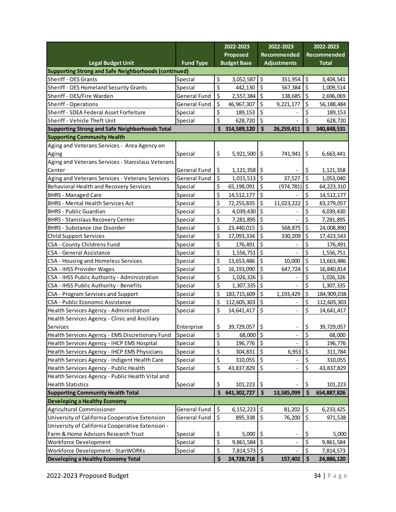|                                                       |                  |                          | 2022-2023          |                     | 2022-2023                    |                    | 2022-2023    |
|-------------------------------------------------------|------------------|--------------------------|--------------------|---------------------|------------------------------|--------------------|--------------|
|                                                       |                  |                          | Proposed           |                     | Recommended                  |                    | Recommended  |
| <b>Legal Budget Unit</b>                              | <b>Fund Type</b> |                          | <b>Budget Base</b> |                     | <b>Adjustments</b>           |                    | <b>Total</b> |
| Supporting Strong and Safe Neighborhoods (continued)  |                  |                          |                    |                     |                              |                    |              |
| Sheriff - OES Grants                                  | Special          | \$                       | 3,052,587          | \$                  | 351,954                      | \$                 | 3,404,541    |
| Sheriff - OES Homeland Security Grants                | Special          | \$                       | 442,130            | \$                  | 567,384                      | \$                 | 1,009,514    |
| Sheriff - OES/Fire Warden                             | General Fund     | \$                       | 2,557,384          | $\zeta$             | 138,685                      | $\zeta$            | 2,696,069    |
| Sheriff - Operations                                  | General Fund     | \$                       | 46,967,307         | \$                  | 9,221,177                    | \$                 | 56,188,484   |
| Sheriff - SDEA Federal Asset Forfeiture               | Special          | \$                       | 189,153            | \$                  |                              | \$                 | 189,153      |
| Sheriff - Vehicle Theft Unit                          | Special          | \$                       | 628,720            | \$                  |                              | \$                 | 628,720      |
| <b>Supporting Strong and Safe Neighborhoods Total</b> |                  | \$                       | 314,589,120        | $\dot{\mathsf{s}}$  | 26,259,411                   | $\dot{\mathsf{s}}$ | 340,848,531  |
| <b>Supporting Community Health</b>                    |                  |                          |                    |                     |                              |                    |              |
| Aging and Veterans Services - Area Agency on          |                  |                          |                    |                     |                              |                    |              |
| Aging                                                 | Special          | \$                       | 5,921,500          | \$                  | 741,941                      | \$                 | 6,663,441    |
| Aging and Veterans Services - Stanislaus Veterans     |                  |                          |                    |                     |                              |                    |              |
| Center                                                | General Fund     | \$                       | 1,121,358          | \$                  |                              | \$                 | 1,121,358    |
| Aging and Veterans Services - Veterans Services       | General Fund     | \$                       | 1,015,513          | \$                  | 37,527                       | \$                 | 1,053,040    |
| Behavioral Health and Recovery Services               | Special          | \$                       | 65,198,091         | \$                  | (974, 781)                   | \$                 | 64,223,310   |
| <b>BHRS - Managed Care</b>                            | Special          | \$                       | 14,512,177         | \$                  |                              | \$                 | 14,512,177   |
| <b>BHRS - Mental Health Services Act</b>              | Special          | \$                       | 72,255,835         | \$                  | 11,023,222                   | \$                 | 83,279,057   |
| <b>BHRS - Public Guardian</b>                         | Special          | \$                       | 4,039,430          | \$                  |                              | \$                 | 4,039,430    |
| <b>BHRS - Stanislaus Recovery Center</b>              | Special          | \$                       | 7,281,895          | \$                  |                              | \$                 | 7,281,895    |
| <b>BHRS - Substance Use Disorder</b>                  | Special          | \$                       | 23,440,015         | \$                  | 568,875                      | \$                 | 24,008,890   |
| <b>Child Support Services</b>                         | Special          | \$                       | 17,093,334         | \$                  | 330,209                      | \$                 | 17,423,543   |
| CSA - County Childrens Fund                           | Special          | \$                       | 176,491            | \$                  |                              | \$                 | 176,491      |
| <b>CSA - General Assistance</b>                       | Special          | \$                       | 1,556,751          | \$                  |                              | \$                 | 1,556,751    |
| CSA - Housing and Homeless Services                   | Special          | \$                       | 13,653,486         | $\varsigma$         | 10,000                       | \$                 | 13,663,486   |
| <b>CSA - IHSS Provider Wages</b>                      | Special          | \$                       | 16,193,090         | \$                  | 647,724                      | \$                 | 16,840,814   |
| CSA - IHSS Public Authority - Administration          | Special          | \$                       | 1,026,326          | \$                  |                              | \$                 | 1,026,326    |
| CSA - IHSS Public Authority - Benefits                | Special          | \$                       | 1,307,335          | \$                  |                              | \$                 | 1,307,335    |
| CSA - Program Services and Support                    | Special          | \$                       | 183,715,609        | $\zeta$             | 1,193,429                    | \$                 | 184,909,038  |
| CSA - Public Economic Assistance                      | Special          | \$                       | 112,605,303        | \$                  |                              | \$                 | 112,605,303  |
| Health Services Agency - Administration               | Special          | \$                       | 14,641,417         | \$                  | $\qquad \qquad -$            | \$                 | 14,641,417   |
| Health Services Agency - Clinic and Ancillary         |                  |                          |                    |                     |                              |                    |              |
| Services                                              | Enterprise       | \$                       | 39,729,057         | \$                  | $\qquad \qquad \blacksquare$ | \$                 | 39,729,057   |
| Health Services Agency - EMS Discretionary Fund       | Special          | \$                       | 68,000             | \$                  |                              | \$                 | 68,000       |
| Health Services Agency - IHCP EMS Hospital            | Special          | \$                       | 196,776            | $\zeta$             |                              | \$                 | 196,776      |
| Health Services Agency - IHCP EMS Physicians          | Special          | $\frac{1}{2}$            | 304,831            | $\zeta$             | 6,953                        | $\zeta$            | 311,784      |
| Health Services Agency - Indigent Health Care         | Special          | $\overline{\mathcal{S}}$ | 310,055            | \$                  |                              | \$                 | 310,055      |
| Health Services Agency - Public Health                | Special          | \$                       | 43,837,829         | \$                  |                              | \$                 | 43,837,829   |
| Health Services Agency - Public Health Vital and      |                  |                          |                    |                     |                              |                    |              |
| <b>Health Statistics</b>                              | Special          | \$                       | 101,223            | \$                  |                              | \$                 | 101,223      |
| <b>Supporting Community Health Total</b>              |                  | $\ddot{\bm{\zeta}}$      | 641,302,727        | $\dot{\mathsf{s}}$  | 13,585,099                   | $\frac{1}{2}$      | 654,887,826  |
| Developing a Healthy Economy                          |                  |                          |                    |                     |                              |                    |              |
| <b>Agricultural Commissioner</b>                      | General Fund     | \$                       | 6,152,223          | \$                  | 81,202                       | \$                 | 6,233,425    |
| University of California Cooperative Extension        | General Fund     | \$                       | 895,338            | \$                  | 76,200                       | \$                 | 971,538      |
| University of California Cooperative Extension -      |                  |                          |                    |                     |                              |                    |              |
| Farm & Home Advisors Research Trust                   | Special          | <u>\$</u>                | 5,000              | \$                  |                              | <u>\$</u>          | 5,000        |
| Workforce Development                                 | Special          | $\overline{\varsigma}$   | 9,861,584          | \$                  |                              | \$                 | 9,861,584    |
| Workforce Development - StanWORKs                     | Special          | \$                       | 7,814,573          | \$                  |                              | \$                 | 7,814,573    |
| Developing a Healthy Economy Total                    |                  | \$                       | 24,728,718         | $\ddot{\bm{\zeta}}$ | 157,402                      | \$                 | 24,886,120   |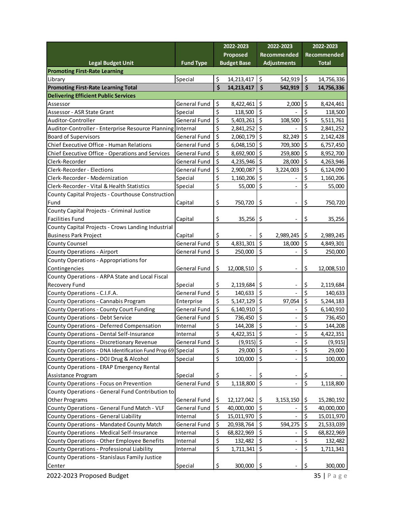|                                                             |                     |                              | 2022-2023          |                  | 2022-2023                                            |                        | 2022-2023    |
|-------------------------------------------------------------|---------------------|------------------------------|--------------------|------------------|------------------------------------------------------|------------------------|--------------|
|                                                             |                     |                              | Proposed           |                  | Recommended                                          |                        | Recommended  |
| Legal Budget Unit                                           | <b>Fund Type</b>    |                              | <b>Budget Base</b> |                  | <b>Adjustments</b>                                   |                        | <b>Total</b> |
| <b>Promoting First-Rate Learning</b>                        |                     |                              |                    |                  |                                                      |                        |              |
| Library                                                     | Special             | \$                           | 14,213,417         | $\zeta$          | 542,919                                              | \$                     | 14,756,336   |
| <b>Promoting First-Rate Learning Total</b>                  |                     | \$                           | 14,213,417         | \$               | 542,919                                              | $\zeta$                | 14,756,336   |
| <b>Delivering Efficient Public Services</b>                 |                     |                              |                    |                  |                                                      |                        |              |
| Assessor                                                    | <b>General Fund</b> | \$                           | 8,422,461   \$     |                  | 2,000                                                | \$                     | 8,424,461    |
| Assessor - ASR State Grant                                  | Special             | \$                           | 118,500            | $\zeta$          |                                                      | \$                     | 118,500      |
| Auditor-Controller                                          | General Fund        | \$                           | 5,403,261          | $\zeta$          | 108,500                                              | \$                     | 5,511,761    |
| Auditor-Controller - Enterprise Resource Planning Internal  |                     | \$                           | 2,841,252          | \$               |                                                      | \$                     | 2,841,252    |
| <b>Board of Supervisors</b>                                 | <b>General Fund</b> | \$                           | 2,060,179   \$     |                  | 82,249                                               | \$                     | 2,142,428    |
| Chief Executive Office - Human Relations                    | <b>General Fund</b> | \$                           | 6,048,150          | $\zeta$          | 709,300                                              | \$                     | 6,757,450    |
| Chief Executive Office - Operations and Services            | <b>General Fund</b> | \$                           | 8,692,900          | $\zeta$          | 259,800                                              | \$                     | 8,952,700    |
| Clerk-Recorder                                              | <b>General Fund</b> | \$                           | 4,235,946 \$       |                  | 28,000                                               | \$                     | 4,263,946    |
| Clerk-Recorder - Elections                                  | <b>General Fund</b> | \$                           | 2,900,087          | $\zeta$          | 3,224,003                                            | \$                     | 6,124,090    |
| Clerk-Recorder - Modernization                              | Special             | \$                           | $1,160,206$ \$     |                  |                                                      | \$                     | 1,160,206    |
| Clerk-Recorder - Vital & Health Statistics                  | Special             | \$                           | 55,000             | $\zeta$          |                                                      | \$                     | 55,000       |
| County Capital Projects - Courthouse Construction           |                     |                              |                    |                  |                                                      |                        |              |
| Fund                                                        | Capital             | \$,                          | 750,720            | \$               | $\overline{\phantom{0}}$                             | \$                     | 750,720      |
| County Capital Projects - Criminal Justice                  |                     |                              |                    |                  |                                                      |                        |              |
| <b>Facilities Fund</b>                                      | Capital             | \$                           | $35,256$ \$        |                  |                                                      | \$                     | 35,256       |
| County Capital Projects - Crows Landing Industrial          |                     |                              |                    |                  |                                                      |                        |              |
| <b>Business Park Project</b>                                | Capital             | Ş                            |                    | \$               | 2,989,245                                            | \$                     | 2,989,245    |
| <b>County Counsel</b>                                       | <b>General Fund</b> | \$                           | 4,831,301          | $\overline{\xi}$ | 18,000                                               | \$                     | 4,849,301    |
| <b>County Operations - Airport</b>                          | General Fund        | \$                           | 250,000            | $\zeta$          |                                                      | \$                     | 250,000      |
| County Operations - Appropriations for                      |                     |                              |                    |                  |                                                      |                        |              |
| Contingencies                                               | General Fund        | \$                           | 12,008,510         | \$               | $\overline{\phantom{a}}$                             | \$                     | 12,008,510   |
| County Operations - ARPA State and Local Fiscal             |                     |                              |                    |                  |                                                      |                        |              |
| <b>Recovery Fund</b>                                        | Special             | \$                           | 2,119,684          | \$               |                                                      | \$                     | 2,119,684    |
| County Operations - C.I.F.A.                                | <b>General Fund</b> | \$                           | 140,633            | \$               |                                                      | \$                     | 140,633      |
| County Operations - Cannabis Program                        | Enterprise          | \$                           | 5, 147, 129        | $\zeta$          | 97,054                                               | \$                     | 5,244,183    |
| <b>County Operations - County Court Funding</b>             | <b>General Fund</b> | \$                           | $6,140,910$ \$     |                  |                                                      | \$                     | 6,140,910    |
| <b>County Operations - Debt Service</b>                     | <b>General Fund</b> | \$                           | 736,450            | \$               |                                                      | \$                     | 736,450      |
| <b>County Operations - Deferred Compensation</b>            | Internal            | \$                           | 144,208            | \$               | $\qquad \qquad -$                                    | \$                     | 144,208      |
| County Operations - Dental Self-Insurance                   | Internal            | \$                           | $4,422,351$ \$     |                  |                                                      | \$                     | 4,422,351    |
| <b>County Operations - Discretionary Revenue</b>            | <b>General Fund</b> | \$                           | $(9,915)$ \$       |                  | $\overline{\phantom{0}}$<br>$\overline{\phantom{0}}$ | \$                     | (9, 915)     |
| County Operations - DNA Identification Fund Prop 69 Special |                     | \$                           | 29,000 \$          |                  | $\overline{\phantom{0}}$                             | $\zeta$                | 29,000       |
| County Operations - DOJ Drug & Alcohol                      | Special             | \$                           | 100,000            | l\$              |                                                      | $\zeta$                | 100,000      |
| County Operations - ERAP Emergency Rental                   |                     |                              |                    |                  |                                                      |                        |              |
| Assistance Program                                          | Special             |                              |                    |                  |                                                      |                        |              |
| County Operations - Focus on Prevention                     | General Fund        | <u>څ</u><br>$\overline{\xi}$ | 1,118,800          | \$<br>l\$        |                                                      | \$<br>$\overline{\xi}$ | 1,118,800    |
|                                                             |                     |                              |                    |                  |                                                      |                        |              |
| County Operations - General Fund Contribution to            |                     |                              |                    |                  |                                                      |                        |              |
| <b>Other Programs</b>                                       | General Fund        | \$                           | 12,127,042         | \$               | 3, 153, 150                                          | \$                     | 15,280,192   |
| County Operations - General Fund Match - VLF                | General Fund        | \$                           | 40,000,000         | $\zeta$          |                                                      | \$                     | 40,000,000   |
| County Operations - General Liability                       | Internal            | \$                           | 15,011,970         | l\$              |                                                      | $\zeta$                | 15,011,970   |
| County Operations - Mandated County Match                   | General Fund        | \$                           | 20,938,764         | $\zeta$          | 594,275                                              | \$                     | 21,533,039   |
| County Operations - Medical Self-Insurance                  | Internal            | \$                           | 68,822,969         | $\zeta$          |                                                      | \$                     | 68,822,969   |
| County Operations - Other Employee Benefits                 | Internal            | \$                           | 132,482            | $\zeta$          |                                                      | \$                     | 132,482      |
| County Operations - Professional Liability                  | Internal            | \$                           | $1,711,341$ \$     |                  |                                                      | \$                     | 1,711,341    |
| County Operations - Stanislaus Family Justice               |                     |                              |                    |                  |                                                      |                        |              |
| Center                                                      | Special             | \$                           | 300,000            | l\$              |                                                      | \$                     | 300,000      |

2022-2023 Proposed Budget 2022-2023 Proposed Budget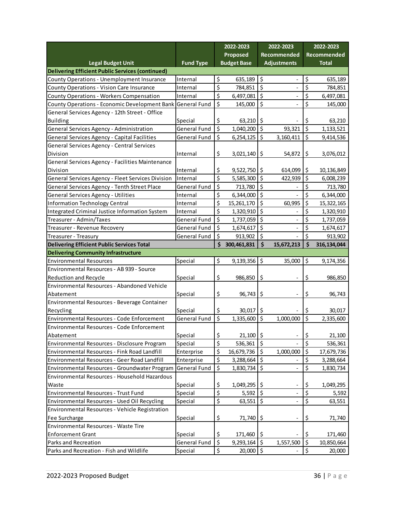|                                                            |                     |                                 | 2022-2023<br>2022-2023 |                  | 2022-2023                    |                  |                        |
|------------------------------------------------------------|---------------------|---------------------------------|------------------------|------------------|------------------------------|------------------|------------------------|
|                                                            |                     |                                 | Proposed               |                  | Recommended                  |                  | Recommended            |
| <b>Legal Budget Unit</b>                                   | <b>Fund Type</b>    |                                 | <b>Budget Base</b>     |                  | <b>Adjustments</b>           |                  | <b>Total</b>           |
| <b>Delivering Efficient Public Services (continued)</b>    |                     |                                 |                        |                  |                              |                  |                        |
| <b>County Operations - Unemployment Insurance</b>          | Internal            | \$                              | 635,189                | \$               |                              | \$               | 635,189                |
| County Operations - Vision Care Insurance                  | Internal            | $\overline{\boldsymbol{\zeta}}$ | 784,851                | $\overline{\xi}$ |                              | \$               | 784,851                |
| <b>County Operations - Workers Compensation</b>            | Internal            | $\overline{\xi}$                | 6,497,081              | $\overline{\xi}$ |                              | \$               | 6,497,081              |
| County Operations - Economic Development Bank General Fund |                     | \$                              | 145,000                | \$               |                              | \$               | 145,000                |
| General Services Agency - 12th Street - Office             |                     |                                 |                        |                  |                              |                  |                        |
| <b>Building</b>                                            | Special             | \$                              | 63,210                 | \$               |                              | \$               | 63,210                 |
| General Services Agency - Administration                   | <b>General Fund</b> | $\overline{\xi}$                | 1,040,200              | $\zeta$          | 93,321                       | \$               | 1,133,521              |
| General Services Agency - Capital Facilities               | General Fund        | $\zeta$                         | 6,254,125              | $\varsigma$      | 3,160,411                    | \$               | 9,414,536              |
| General Services Agency - Central Services                 |                     |                                 |                        |                  |                              |                  |                        |
| Division                                                   | Internal            | \$                              | 3,021,140              | \$               | 54,872                       | \$               | 3,076,012              |
| General Services Agency - Facilities Maintenance           |                     |                                 |                        |                  |                              |                  |                        |
| Division                                                   | Internal            | Ş                               | 9,522,750              | \$               | 614,099                      | \$               | 10,136,849             |
| General Services Agency - Fleet Services Division          | Internal            | \$                              | 5,585,300              | $\zeta$          | 422,939                      | \$               | 6,008,239              |
| General Services Agency - Tenth Street Place               | General Fund        | \$                              | 713,780                | \$               |                              | \$               | 713,780                |
| General Services Agency - Utilities                        | Internal            | \$                              | 6,344,000              | $\zeta$          |                              | \$               | 6,344,000              |
| <b>Information Technology Central</b>                      | Internal            | \$                              | 15,261,170             | \$               | 60,995                       | \$               | 15,322,165             |
| Integrated Criminal Justice Information System             | Internal            | \$                              | 1,320,910              | \$               |                              | \$               | 1,320,910              |
| Treasurer - Admin/Taxes                                    | General Fund        | $\overline{\xi}$                | 1,737,059              | $\overline{\xi}$ |                              | \$               | 1,737,059              |
| Treasurer - Revenue Recovery                               | General Fund        | \$                              | 1,674,617              | $\zeta$          |                              | \$               | 1,674,617              |
| Treasurer - Treasury                                       | General Fund        | \$                              | 913,902                | \$               |                              | \$               | 913,902                |
| <b>Delivering Efficient Public Services Total</b>          |                     | \$                              | 300,461,831            | \$               | 15,672,213                   | \$               | 316, 134, 044          |
| <b>Delivering Community Infrastructure</b>                 |                     |                                 |                        |                  |                              |                  |                        |
| <b>Environmental Resources</b>                             | Special             | \$                              | 9,139,356              | \$               | 35,000                       | \$               | 9,174,356              |
| Environmental Resources - AB 939 - Source                  |                     |                                 |                        |                  |                              |                  |                        |
| Reduction and Recycle                                      | Special             | \$                              | 986,850                | \$               |                              | \$               | 986,850                |
| Environmental Resources - Abandoned Vehicle                |                     |                                 |                        |                  |                              |                  |                        |
| Abatement                                                  | Special             | \$                              | 96,743                 | \$               |                              | \$               | 96,743                 |
| Environmental Resources - Beverage Container               |                     |                                 |                        |                  |                              |                  |                        |
| Recycling                                                  | Special             | Ş                               |                        |                  |                              |                  |                        |
| Environmental Resources - Code Enforcement                 |                     |                                 | 30,017                 | \$.              |                              | S                | 30,017                 |
|                                                            | General Fund        | $\overline{\xi}$                |                        | $\zeta$          | 1,000,000                    | $\overline{\xi}$ | 2,335,600              |
| Environmental Resources - Code Enforcement                 |                     |                                 | 1,335,600              |                  |                              |                  |                        |
| Abatement                                                  | Special             |                                 | 21,100                 | $\zeta$          |                              |                  | 21,100                 |
| Environmental Resources - Disclosure Program               | Special             | \$                              | 536,361                | $\zeta$          |                              | \$<br>\$         | 536,361                |
| Environmental Resources - Fink Road Landfill               | Enterprise          | \$                              | 16,679,736             | $\zeta$          | 1,000,000                    | \$               | 17,679,736             |
| Environmental Resources - Geer Road Landfill               | Enterprise          | $\boldsymbol{\xi}$              | 3,288,664              | $\zeta$          |                              |                  |                        |
| Environmental Resources - Groundwater Program              | General Fund        | \$<br>$\zeta$                   | 1,830,734              | \$               |                              | \$<br>\$         | 3,288,664<br>1,830,734 |
| Environmental Resources - Household Hazardous              |                     |                                 |                        |                  |                              |                  |                        |
| Waste                                                      | Special             |                                 | 1,049,295              | -\$              |                              |                  | 1,049,295              |
| Environmental Resources - Trust Fund                       | Special             | \$<br>\$                        | 5,592                  | $\zeta$          |                              | \$<br>\$         | 5,592                  |
| Environmental Resources - Used Oil Recycling               | Special             | \$                              | 63,551                 | $\zeta$          |                              | \$               | 63,551                 |
| Environmental Resources - Vehicle Registration             |                     |                                 |                        |                  |                              |                  |                        |
| Fee Surcharge                                              | Special             | \$                              | 71,740                 | \$               | $\qquad \qquad \blacksquare$ | \$               | 71,740                 |
| Environmental Resources - Waste Tire                       |                     |                                 |                        |                  |                              |                  |                        |
| <b>Enforcement Grant</b>                                   | Special             | \$                              | 171,460                | \$               |                              | -\$              | 171,460                |
| Parks and Recreation                                       | General Fund        | \$                              | 9,293,164              | $\zeta$          | 1,557,500                    | \$               | 10,850,664             |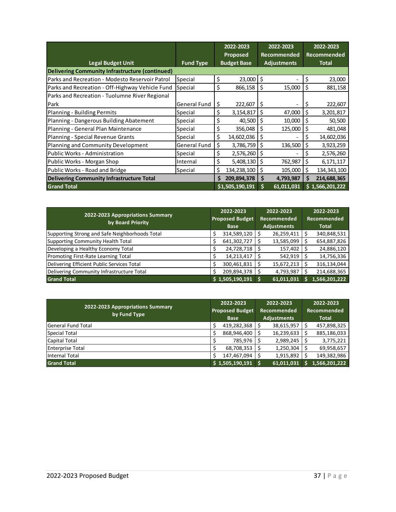|                                                 |                     |     | 2022-2023          |             | 2022-2023          |    | 2022-2023       |
|-------------------------------------------------|---------------------|-----|--------------------|-------------|--------------------|----|-----------------|
|                                                 |                     |     | Proposed           | Recommended |                    |    | Recommended     |
| <b>Legal Budget Unit</b>                        | <b>Fund Type</b>    |     | <b>Budget Base</b> |             | <b>Adjustments</b> |    | <b>Total</b>    |
| Delivering Community Infrastructure (continued) |                     |     |                    |             |                    |    |                 |
| Parks and Recreation - Modesto Reservoir Patrol | Special             | \$  | 23,000             | \$          |                    | \$ | 23,000          |
| Parks and Recreation - Off-Highway Vehicle Fund | Special             | \$  | 866,158            | \$          | 15,000             | \$ | 881,158         |
| Parks and Recreation - Tuolumne River Regional  |                     |     |                    |             |                    |    |                 |
| Park                                            | General Fund        | \$, | 222,607            | \$          |                    | Ş  | 222,607         |
| Planning - Building Permits                     | Special             | \$  | 3,154,817          | \$          | 47,000             | \$ | 3,201,817       |
| Planning - Dangerous Building Abatement         | Special             | \$  | 40,500             | \$          | 10,000             | \$ | 50,500          |
| Planning - General Plan Maintenance             | Special             | \$  | 356,048            | \$          | 125,000            | \$ | 481,048         |
| Planning - Special Revenue Grants               | Special             | \$  | 14,602,036         | \$          |                    | \$ | 14,602,036      |
| Planning and Community Development              | <b>General Fund</b> | \$  | 3,786,759          | Ś           | 136,500            | \$ | 3,923,259       |
| Public Works - Administration                   | Special             | \$  | 2,576,260          | \$          |                    | \$ | 2,576,260       |
| Public Works - Morgan Shop                      | Internal            | \$  | 5,408,130          | \$          | 762,987            | \$ | 6,171,117       |
| Public Works - Road and Bridge                  | Special             | \$  | 134,238,100        | \$          | 105,000            | Ś  | 134, 343, 100   |
| Delivering Community Infrastructure Total       |                     | S   | 209,894,378        | \$          | 4,793,987          | S  | 214,688,365     |
| <b>Grand Total</b>                              |                     |     | \$1,505,190,191    | Ś           | 61,011,031         |    | \$1,566,201,222 |

| 2022-2023 Appropriations Summary<br>by Board Priority | 2022-2023<br><b>Proposed Budget</b><br><b>Base</b> |                 |  | 2022-2023<br><b>Recommended</b><br><b>Adjustments</b> | 2022-2023<br><b>Recommended</b><br><b>Total</b> |               |  |
|-------------------------------------------------------|----------------------------------------------------|-----------------|--|-------------------------------------------------------|-------------------------------------------------|---------------|--|
| Supporting Strong and Safe Neighborhoods Total        |                                                    | 314,589,120     |  | 26,259,411                                            |                                                 | 340,848,531   |  |
| Supporting Community Health Total                     |                                                    | 641,302,727     |  | 13,585,099                                            |                                                 | 654,887,826   |  |
| Developing a Healthy Economy Total                    |                                                    | 24,728,718      |  | 157,402                                               |                                                 | 24,886,120    |  |
| Promoting First-Rate Learning Total                   |                                                    | 14,213,417      |  | 542,919                                               |                                                 | 14,756,336    |  |
| Delivering Efficient Public Services Total            |                                                    | 300,461,831     |  | 15,672,213                                            |                                                 | 316,134,044   |  |
| Delivering Community Infrastructure Total             |                                                    | 209,894,378     |  | 4,793,987                                             |                                                 | 214,688,365   |  |
| <b>Grand Total</b>                                    |                                                    | \$1,505,190,191 |  | 61,011,031                                            |                                                 | 1,566,201,222 |  |

| 2022-2023 Appropriations Summary<br>by Fund Type |  | 2022-2023<br><b>Proposed Budget</b> | 2022-2023<br><b>Recommended</b> |            |  | 2022-2023<br><b>Recommended</b> |  |  |
|--------------------------------------------------|--|-------------------------------------|---------------------------------|------------|--|---------------------------------|--|--|
|                                                  |  | <b>Base</b>                         | <b>Adjustments</b>              |            |  | <b>Total</b>                    |  |  |
| lGeneral Fund Total                              |  | 419,282,368                         |                                 | 38,615,957 |  | 457,898,325                     |  |  |
| Special Total                                    |  | 868,946,400                         |                                 | 16,239,633 |  | 885,186,033                     |  |  |
| Capital Total                                    |  | 785,976                             |                                 | 2,989,245  |  | 3,775,221                       |  |  |
| <b>Enterprise Total</b>                          |  | 68,708,353                          |                                 | 1,250,304  |  | 69,958,657                      |  |  |
| Internal Total                                   |  | 147,467,094                         |                                 | 1,915,892  |  | 149,382,986                     |  |  |
| <b>Grand Total</b>                               |  | \$1,505,190,191                     |                                 | 61,011,031 |  | 1,566,201,222                   |  |  |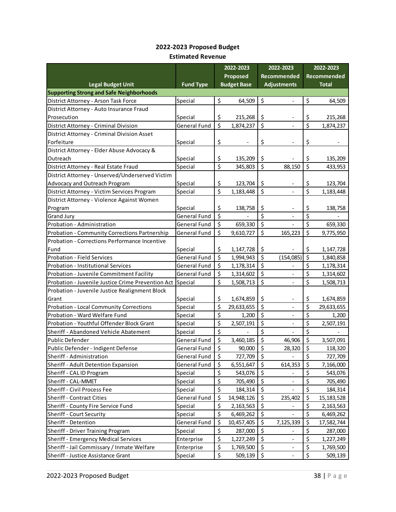#### **2022-2023 Proposed Budget Estimated Revenue**

|                                                   |                     |         | 2022-2023          |         | 2022-2023                    |                         | 2022-2023    |
|---------------------------------------------------|---------------------|---------|--------------------|---------|------------------------------|-------------------------|--------------|
|                                                   |                     |         | Proposed           |         | Recommended                  |                         | Recommended  |
| <b>Legal Budget Unit</b>                          | <b>Fund Type</b>    |         | <b>Budget Base</b> |         | <b>Adjustments</b>           |                         | <b>Total</b> |
| <b>Supporting Strong and Safe Neighborhoods</b>   |                     |         |                    |         |                              |                         |              |
| District Attorney - Arson Task Force              | Special             | \$      | 64,509             | \$      |                              | \$                      | 64,509       |
| District Attorney - Auto Insurance Fraud          |                     |         |                    |         |                              |                         |              |
| Prosecution                                       | Special             | \$      | 215,268            | \$      |                              | \$                      | 215,268      |
| District Attorney - Criminal Division             | <b>General Fund</b> | \$      | 1,874,237          | \$      |                              | $\overline{\mathsf{S}}$ | 1,874,237    |
| District Attorney - Criminal Division Asset       |                     |         |                    |         |                              |                         |              |
| Forfeiture                                        | Special             | \$      |                    | \$      | $\overline{\phantom{a}}$     | \$                      |              |
| District Attorney - Elder Abuse Advocacy &        |                     |         |                    |         |                              |                         |              |
| Outreach                                          | Special             | \$      | 135,209            | \$      |                              | \$                      | 135,209      |
| District Attorney - Real Estate Fraud             | Special             | \$      | 345,803            | \$      | 88,150                       | \$                      | 433,953      |
| District Attorney - Unserved/Underserved Victim   |                     |         |                    |         |                              |                         |              |
| Advocacy and Outreach Program                     | Special             | \$      | 123,704            | \$      |                              | \$                      | 123,704      |
| District Attorney - Victim Services Program       | Special             | \$      | 1,183,448          | \$      | $\overline{\phantom{a}}$     | \$                      | 1,183,448    |
| District Attorney - Violence Against Women        |                     |         |                    |         |                              |                         |              |
| Program                                           | Special             | \$      | 138,758            | \$      |                              | \$                      | 138,758      |
| <b>Grand Jury</b>                                 | General Fund        | $\zeta$ |                    | \$      |                              | \$                      |              |
| Probation - Administration                        | General Fund        | \$      | 659,330            | \$      |                              | \$                      | 659,330      |
| Probation - Community Corrections Partnership     | <b>General Fund</b> | $\zeta$ | 9,610,727          | \$      | 165,223                      | $\overline{\xi}$        | 9,775,950    |
| Probation - Corrections Performance Incentive     |                     |         |                    |         |                              |                         |              |
| Fund                                              | Special             | \$      | 1,147,728          | \$      |                              | \$                      | 1,147,728    |
| <b>Probation - Field Services</b>                 | <b>General Fund</b> | \$      | 1,994,943          | \$      | (154, 085)                   | \$                      | 1,840,858    |
| <b>Probation - Institutional Services</b>         | <b>General Fund</b> | \$      | 1,178,314          | \$      |                              | \$                      | 1,178,314    |
| Probation - Juvenile Commitment Facility          | <b>General Fund</b> | \$      | 1,314,602          | \$      |                              | \$                      | 1,314,602    |
| Probation - Juvenile Justice Crime Prevention Act | Special             | \$      | 1,508,713          | \$      |                              | \$                      | 1,508,713    |
| Probation - Juvenile Justice Realignment Block    |                     |         |                    |         |                              |                         |              |
| Grant                                             | Special             | \$      | 1,674,859          | \$      |                              | \$                      | 1,674,859    |
| Probation - Local Community Corrections           | Special             | \$      | 29,633,655         | \$      |                              | \$                      | 29,633,655   |
| Probation - Ward Welfare Fund                     | Special             | \$      | 1,200              | \$      | $\qquad \qquad -$            | \$                      | 1,200        |
| Probation - Youthful Offender Block Grant         | Special             | \$      | 2,507,191          | \$      | $\overline{\phantom{a}}$     | $\overline{\xi}$        | 2,507,191    |
| Sheriff - Abandoned Vehicle Abatement             | Special             | \$      |                    | \$      | $\overline{\phantom{a}}$     | \$                      |              |
| <b>Public Defender</b>                            | <b>General Fund</b> | \$      | 3,460,185          | \$      | 46,906                       | \$                      | 3,507,091    |
| Public Defender - Indigent Defense                | <b>General Fund</b> | \$      | 90,000             | \$      | 28,320                       | \$                      | 118,320      |
| Sheriff - Administration                          | General Fund        | \$      | 727,709            | \$      |                              | \$                      | 727,709      |
| Sheriff - Adult Detention Expansion               | General Fund        | \$      | 6,551,647          | $\zeta$ | 614,353                      | \$                      | 7,166,000    |
| Sheriff - CAL ID Program                          | Special             | \$      | 543,076            | \$      |                              | \$                      | 543,076      |
| Sheriff - CAL-MMET                                | Special             | \$      | 705,490            | \$      | $\qquad \qquad \blacksquare$ | \$                      | 705,490      |
| Sheriff - Civil Process Fee                       | Special             | \$      | 184,314            | \$      |                              | \$                      | 184,314      |
| <b>Sheriff - Contract Cities</b>                  | General Fund        | \$      | 14,948,126         | \$      | 235,402                      | \$                      | 15, 183, 528 |
| Sheriff - County Fire Service Fund                | Special             | \$      | 2,163,563          | \$      |                              | \$                      | 2,163,563    |
| Sheriff - Court Security                          | Special             | \$      | 6,469,262          | \$      |                              | \$                      | 6,469,262    |
| Sheriff - Detention                               | General Fund        | \$      | 10,457,405         | \$      | 7,125,339                    | \$                      | 17,582,744   |
| Sheriff - Driver Training Program                 | Special             | \$      | 287,000            | \$      |                              | \$                      | 287,000      |
| Sheriff - Emergency Medical Services              | Enterprise          | \$      | 1,227,249          | \$      |                              | \$                      | 1,227,249    |
| Sheriff - Jail Commissary / Inmate Welfare        | Enterprise          | \$      | 1,769,500          | \$      | $\qquad \qquad \blacksquare$ | \$                      | 1,769,500    |
| Sheriff - Justice Assistance Grant                | Special             | \$      | 509,139            | \$      | $\qquad \qquad \blacksquare$ | \$                      | 509,139      |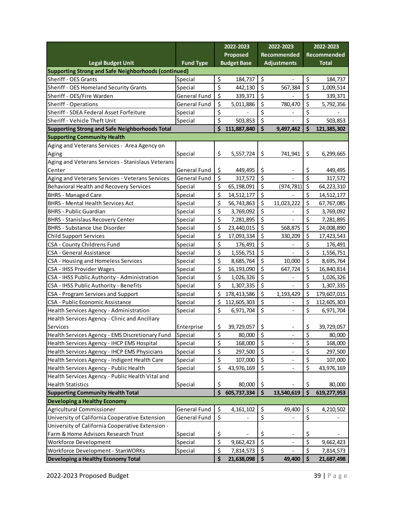| Proposed<br>Recommended<br>Recommended<br><b>Fund Type</b><br><b>Budget Base</b><br><b>Adjustments</b><br><b>Legal Budget Unit</b><br><b>Total</b><br>Supporting Strong and Safe Neighborhoods (continued)<br>\$<br>\$<br>\$<br>Sheriff - OES Grants<br>184,737<br>Special<br>\$<br>\$<br>\$<br>Sheriff - OES Homeland Security Grants<br>567,384<br>Special<br>442,130<br>\$<br>\$<br>\$<br>Sheriff - OES/Fire Warden<br>General Fund<br>339,371<br>\$<br>\$<br>\$<br>General Fund<br>780,470<br><b>Sheriff - Operations</b><br>5,011,886<br>\$<br>\$<br>\$<br>Sheriff - SDEA Federal Asset Forfeiture<br>Special<br>\$<br>$\zeta$<br>\$<br>Sheriff - Vehicle Theft Unit<br>503,853<br>Special<br>$\dot{\mathsf{s}}$<br>\$<br>\$<br><b>Supporting Strong and Safe Neighborhoods Total</b><br>111,887,840<br>9,497,462<br><b>Supporting Community Health</b><br>Aging and Veterans Services - Area Agency on<br>\$<br>\$<br>\$<br>5,557,724<br>741,941<br>Aging<br>Special |                                                   |  | 2022-2023 | 2022-2023 |  | 2022-2023 |             |
|----------------------------------------------------------------------------------------------------------------------------------------------------------------------------------------------------------------------------------------------------------------------------------------------------------------------------------------------------------------------------------------------------------------------------------------------------------------------------------------------------------------------------------------------------------------------------------------------------------------------------------------------------------------------------------------------------------------------------------------------------------------------------------------------------------------------------------------------------------------------------------------------------------------------------------------------------------------------------|---------------------------------------------------|--|-----------|-----------|--|-----------|-------------|
|                                                                                                                                                                                                                                                                                                                                                                                                                                                                                                                                                                                                                                                                                                                                                                                                                                                                                                                                                                            |                                                   |  |           |           |  |           |             |
|                                                                                                                                                                                                                                                                                                                                                                                                                                                                                                                                                                                                                                                                                                                                                                                                                                                                                                                                                                            |                                                   |  |           |           |  |           |             |
|                                                                                                                                                                                                                                                                                                                                                                                                                                                                                                                                                                                                                                                                                                                                                                                                                                                                                                                                                                            |                                                   |  |           |           |  |           |             |
|                                                                                                                                                                                                                                                                                                                                                                                                                                                                                                                                                                                                                                                                                                                                                                                                                                                                                                                                                                            |                                                   |  |           |           |  |           | 184,737     |
|                                                                                                                                                                                                                                                                                                                                                                                                                                                                                                                                                                                                                                                                                                                                                                                                                                                                                                                                                                            |                                                   |  |           |           |  |           | 1,009,514   |
|                                                                                                                                                                                                                                                                                                                                                                                                                                                                                                                                                                                                                                                                                                                                                                                                                                                                                                                                                                            |                                                   |  |           |           |  |           | 339,371     |
|                                                                                                                                                                                                                                                                                                                                                                                                                                                                                                                                                                                                                                                                                                                                                                                                                                                                                                                                                                            |                                                   |  |           |           |  |           | 5,792,356   |
|                                                                                                                                                                                                                                                                                                                                                                                                                                                                                                                                                                                                                                                                                                                                                                                                                                                                                                                                                                            |                                                   |  |           |           |  |           |             |
|                                                                                                                                                                                                                                                                                                                                                                                                                                                                                                                                                                                                                                                                                                                                                                                                                                                                                                                                                                            |                                                   |  |           |           |  |           | 503,853     |
|                                                                                                                                                                                                                                                                                                                                                                                                                                                                                                                                                                                                                                                                                                                                                                                                                                                                                                                                                                            |                                                   |  |           |           |  |           | 121,385,302 |
|                                                                                                                                                                                                                                                                                                                                                                                                                                                                                                                                                                                                                                                                                                                                                                                                                                                                                                                                                                            |                                                   |  |           |           |  |           |             |
|                                                                                                                                                                                                                                                                                                                                                                                                                                                                                                                                                                                                                                                                                                                                                                                                                                                                                                                                                                            |                                                   |  |           |           |  |           |             |
|                                                                                                                                                                                                                                                                                                                                                                                                                                                                                                                                                                                                                                                                                                                                                                                                                                                                                                                                                                            |                                                   |  |           |           |  |           | 6,299,665   |
|                                                                                                                                                                                                                                                                                                                                                                                                                                                                                                                                                                                                                                                                                                                                                                                                                                                                                                                                                                            | Aging and Veterans Services - Stanislaus Veterans |  |           |           |  |           |             |
| \$<br>\$<br>\$<br>Center<br>General Fund<br>449,495                                                                                                                                                                                                                                                                                                                                                                                                                                                                                                                                                                                                                                                                                                                                                                                                                                                                                                                        |                                                   |  |           |           |  |           | 449,495     |
| \$<br>\$<br>\$<br>General Fund<br>317,572<br>Aging and Veterans Services - Veterans Services                                                                                                                                                                                                                                                                                                                                                                                                                                                                                                                                                                                                                                                                                                                                                                                                                                                                               |                                                   |  |           |           |  |           | 317,572     |
| \$<br>\$<br>\$<br>Behavioral Health and Recovery Services<br>Special<br>65,198,091<br>(974, 781)                                                                                                                                                                                                                                                                                                                                                                                                                                                                                                                                                                                                                                                                                                                                                                                                                                                                           |                                                   |  |           |           |  |           | 64,223,310  |
| \$<br>\$<br>\$<br><b>BHRS - Managed Care</b><br>14,512,177<br>Special                                                                                                                                                                                                                                                                                                                                                                                                                                                                                                                                                                                                                                                                                                                                                                                                                                                                                                      |                                                   |  |           |           |  |           | 14,512,177  |
| \$<br>\$<br>\$<br><b>BHRS - Mental Health Services Act</b><br>11,023,222<br>Special<br>56,743,863                                                                                                                                                                                                                                                                                                                                                                                                                                                                                                                                                                                                                                                                                                                                                                                                                                                                          |                                                   |  |           |           |  |           | 67,767,085  |
| \$<br>\$<br>\$<br><b>BHRS - Public Guardian</b><br>Special<br>3,769,092                                                                                                                                                                                                                                                                                                                                                                                                                                                                                                                                                                                                                                                                                                                                                                                                                                                                                                    |                                                   |  |           |           |  |           | 3,769,092   |
| \$<br>\$<br>\$<br><b>BHRS - Stanislaus Recovery Center</b><br>Special<br>7,281,895                                                                                                                                                                                                                                                                                                                                                                                                                                                                                                                                                                                                                                                                                                                                                                                                                                                                                         |                                                   |  |           |           |  |           | 7,281,895   |
| \$<br>\$<br>\$<br>568,875<br><b>BHRS - Substance Use Disorder</b><br>23,440,015<br>Special                                                                                                                                                                                                                                                                                                                                                                                                                                                                                                                                                                                                                                                                                                                                                                                                                                                                                 |                                                   |  |           |           |  |           | 24,008,890  |
| \$<br>\$<br>\$<br><b>Child Support Services</b><br>Special<br>17,093,334<br>330,209                                                                                                                                                                                                                                                                                                                                                                                                                                                                                                                                                                                                                                                                                                                                                                                                                                                                                        |                                                   |  |           |           |  |           | 17,423,543  |
| \$<br>\$<br>\$<br>CSA - County Childrens Fund<br>Special<br>176,491<br>$\overline{\phantom{0}}$                                                                                                                                                                                                                                                                                                                                                                                                                                                                                                                                                                                                                                                                                                                                                                                                                                                                            |                                                   |  |           |           |  |           | 176,491     |
| \$<br>\$<br>\$<br>CSA - General Assistance<br>Special<br>1,556,751                                                                                                                                                                                                                                                                                                                                                                                                                                                                                                                                                                                                                                                                                                                                                                                                                                                                                                         |                                                   |  |           |           |  |           | 1,556,751   |
| \$<br>\$<br>\$<br>10,000<br>CSA - Housing and Homeless Services<br>Special<br>8,685,764                                                                                                                                                                                                                                                                                                                                                                                                                                                                                                                                                                                                                                                                                                                                                                                                                                                                                    |                                                   |  |           |           |  |           | 8,695,764   |
| \$<br>\$<br>\$<br>647,724<br><b>CSA - IHSS Provider Wages</b><br>Special<br>16,193,090                                                                                                                                                                                                                                                                                                                                                                                                                                                                                                                                                                                                                                                                                                                                                                                                                                                                                     |                                                   |  |           |           |  |           | 16,840,814  |
| \$<br>\$<br>\$<br>CSA - IHSS Public Authority - Administration<br>Special<br>1,026,326                                                                                                                                                                                                                                                                                                                                                                                                                                                                                                                                                                                                                                                                                                                                                                                                                                                                                     |                                                   |  |           |           |  |           | 1,026,326   |
| \$<br>\$<br>\$<br>CSA - IHSS Public Authority - Benefits<br>Special<br>1,307,335                                                                                                                                                                                                                                                                                                                                                                                                                                                                                                                                                                                                                                                                                                                                                                                                                                                                                           |                                                   |  |           |           |  |           | 1,307,335   |
| \$<br>\$<br>\$<br>1,193,429<br>CSA - Program Services and Support<br>Special<br>178,413,586                                                                                                                                                                                                                                                                                                                                                                                                                                                                                                                                                                                                                                                                                                                                                                                                                                                                                |                                                   |  |           |           |  |           | 179,607,015 |
| \$<br>\$<br>\$<br>CSA - Public Economic Assistance<br>Special<br>112,605,303                                                                                                                                                                                                                                                                                                                                                                                                                                                                                                                                                                                                                                                                                                                                                                                                                                                                                               |                                                   |  |           |           |  |           | 112,605,303 |
| \$<br>\$<br>\$<br>Health Services Agency - Administration<br>Special<br>6,971,704<br>$\overline{\phantom{a}}$                                                                                                                                                                                                                                                                                                                                                                                                                                                                                                                                                                                                                                                                                                                                                                                                                                                              |                                                   |  |           |           |  |           | 6,971,704   |
| Health Services Agency - Clinic and Ancillary                                                                                                                                                                                                                                                                                                                                                                                                                                                                                                                                                                                                                                                                                                                                                                                                                                                                                                                              |                                                   |  |           |           |  |           |             |
| Services<br>\$<br>\$<br>\$<br>39,729,057<br>Enterprise<br>$\overline{\phantom{a}}$                                                                                                                                                                                                                                                                                                                                                                                                                                                                                                                                                                                                                                                                                                                                                                                                                                                                                         |                                                   |  |           |           |  |           | 39,729,057  |
| \$<br>\$<br>\$<br>Health Services Agency - EMS Discretionary Fund<br>Special<br>80,000                                                                                                                                                                                                                                                                                                                                                                                                                                                                                                                                                                                                                                                                                                                                                                                                                                                                                     |                                                   |  |           |           |  |           | 80,000      |
| \$<br>\$<br>\$<br>Health Services Agency - IHCP EMS Hospital<br>Special<br>168,000                                                                                                                                                                                                                                                                                                                                                                                                                                                                                                                                                                                                                                                                                                                                                                                                                                                                                         |                                                   |  |           |           |  |           | 168,000     |
| $\zeta$<br>\$<br>\$<br>Health Services Agency - IHCP EMS Physicians<br>297,500<br>Special                                                                                                                                                                                                                                                                                                                                                                                                                                                                                                                                                                                                                                                                                                                                                                                                                                                                                  |                                                   |  |           |           |  |           | 297,500     |
| \$<br>$\zeta$<br>\$<br>Health Services Agency - Indigent Health Care<br>Special<br>107,000                                                                                                                                                                                                                                                                                                                                                                                                                                                                                                                                                                                                                                                                                                                                                                                                                                                                                 |                                                   |  |           |           |  |           | 107,000     |
| \$<br>\$<br>\$<br>Health Services Agency - Public Health<br>Special<br>43,976,169<br>$\qquad \qquad -$                                                                                                                                                                                                                                                                                                                                                                                                                                                                                                                                                                                                                                                                                                                                                                                                                                                                     |                                                   |  |           |           |  |           | 43,976,169  |
| Health Services Agency - Public Health Vital and                                                                                                                                                                                                                                                                                                                                                                                                                                                                                                                                                                                                                                                                                                                                                                                                                                                                                                                           |                                                   |  |           |           |  |           |             |
| <b>Health Statistics</b><br>Special<br>\$<br>80,000<br>\$<br>\$                                                                                                                                                                                                                                                                                                                                                                                                                                                                                                                                                                                                                                                                                                                                                                                                                                                                                                            |                                                   |  |           |           |  |           | 80,000      |
| $\dot{\mathsf{S}}$<br>\$<br>\$<br>605,737,334<br><b>Supporting Community Health Total</b><br>13,540,619                                                                                                                                                                                                                                                                                                                                                                                                                                                                                                                                                                                                                                                                                                                                                                                                                                                                    |                                                   |  |           |           |  |           | 619,277,953 |
| <b>Developing a Healthy Economy</b>                                                                                                                                                                                                                                                                                                                                                                                                                                                                                                                                                                                                                                                                                                                                                                                                                                                                                                                                        |                                                   |  |           |           |  |           |             |
| <b>Agricultural Commissioner</b><br>General Fund<br>\$<br>\$<br>4, 161, 102<br>49,400<br>\$                                                                                                                                                                                                                                                                                                                                                                                                                                                                                                                                                                                                                                                                                                                                                                                                                                                                                |                                                   |  |           |           |  |           | 4,210,502   |
| \$<br>\$<br>\$<br>University of California Cooperative Extension<br>General Fund                                                                                                                                                                                                                                                                                                                                                                                                                                                                                                                                                                                                                                                                                                                                                                                                                                                                                           |                                                   |  |           |           |  |           |             |
| University of California Cooperative Extension -                                                                                                                                                                                                                                                                                                                                                                                                                                                                                                                                                                                                                                                                                                                                                                                                                                                                                                                           |                                                   |  |           |           |  |           |             |
| Farm & Home Advisors Research Trust<br>Special<br>\$<br>\$<br>\$<br>$\qquad \qquad \blacksquare$                                                                                                                                                                                                                                                                                                                                                                                                                                                                                                                                                                                                                                                                                                                                                                                                                                                                           |                                                   |  |           |           |  |           |             |
| \$<br>\$<br>\$<br>Workforce Development<br>Special<br>9,662,423<br>$\overline{\phantom{a}}$                                                                                                                                                                                                                                                                                                                                                                                                                                                                                                                                                                                                                                                                                                                                                                                                                                                                                |                                                   |  |           |           |  |           | 9,662,423   |
| \$<br>\$<br>\$<br>Workforce Development - StanWORKs<br>Special<br>7,814,573                                                                                                                                                                                                                                                                                                                                                                                                                                                                                                                                                                                                                                                                                                                                                                                                                                                                                                |                                                   |  |           |           |  |           | 7,814,573   |
| $\ddot{\bm{\zeta}}$<br>\$<br>\$<br>Developing a Healthy Economy Total<br>21,638,098<br>49,400                                                                                                                                                                                                                                                                                                                                                                                                                                                                                                                                                                                                                                                                                                                                                                                                                                                                              |                                                   |  |           |           |  |           | 21,687,498  |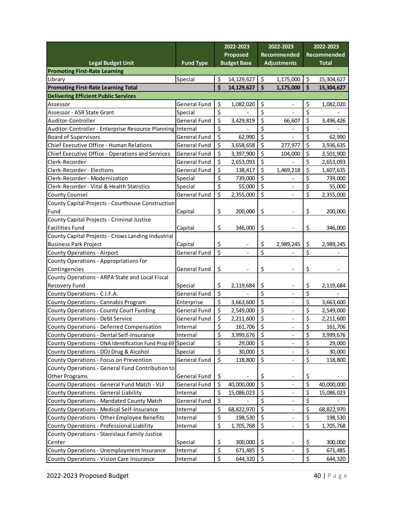|                                                             |                     | 2022-2023 |                          | 2022-2023          |                              | 2022-2023 |              |
|-------------------------------------------------------------|---------------------|-----------|--------------------------|--------------------|------------------------------|-----------|--------------|
|                                                             |                     |           | Proposed                 |                    | Recommended                  |           | Recommended  |
| <b>Legal Budget Unit</b>                                    | <b>Fund Type</b>    |           | <b>Budget Base</b>       |                    | <b>Adjustments</b>           |           | <b>Total</b> |
| <b>Promoting First-Rate Learning</b>                        |                     |           |                          |                    |                              |           |              |
| Library                                                     | Special             | \$        | 14,129,627               | \$                 | 1,175,000                    | \$        | 15,304,627   |
| <b>Promoting First-Rate Learning Total</b>                  |                     | \$        | 14,129,627               | $\dot{\mathsf{s}}$ | 1,175,000                    | \$        | 15,304,627   |
| <b>Delivering Efficient Public Services</b>                 |                     |           |                          |                    |                              |           |              |
| Assessor                                                    | <b>General Fund</b> | \$        | 1,082,020                | \$                 |                              | \$        | 1,082,020    |
| Assessor - ASR State Grant                                  | Special             | \$        |                          | \$                 |                              | \$        |              |
| Auditor-Controller                                          | <b>General Fund</b> | \$        | 3,429,819                | \$                 | 66,607                       | \$        | 3,496,426    |
| Auditor-Controller - Enterprise Resource Planning Internal  |                     | \$        |                          | \$                 |                              | \$        |              |
| <b>Board of Supervisors</b>                                 | <b>General Fund</b> | \$        | 62,990                   | \$                 |                              | \$        | 62,990       |
| Chief Executive Office - Human Relations                    | General Fund        | \$        | 3,658,658                | \$                 | 277,977                      | \$        | 3,936,635    |
| Chief Executive Office - Operations and Services            | General Fund        | $\zeta$   | 3,397,900                | \$                 | 104,000                      | \$        | 3,501,900    |
| Clerk-Recorder                                              | <b>General Fund</b> | \$        | 2,653,093                | \$                 |                              | \$        | 2,653,093    |
| Clerk-Recorder - Elections                                  | General Fund        | \$        | 138,417                  | \$                 | 1,469,218                    | \$        | 1,607,635    |
| Clerk-Recorder - Modernization                              | Special             | \$        | 739,000                  | \$                 |                              | \$        | 739,000      |
| Clerk-Recorder - Vital & Health Statistics                  | Special             | \$        | 55,000                   | \$                 | $\overline{\phantom{a}}$     | \$        | 55,000       |
| <b>County Counsel</b>                                       | General Fund        | \$        | 2,355,000                | \$                 | $\overline{a}$               | \$        | 2,355,000    |
| County Capital Projects - Courthouse Construction           |                     |           |                          |                    |                              |           |              |
| Fund                                                        | Capital             | \$        | 200,000                  | \$                 |                              | \$        | 200,000      |
| County Capital Projects - Criminal Justice                  |                     |           |                          |                    |                              |           |              |
| <b>Facilities Fund</b>                                      |                     |           | 346,000                  | \$                 |                              |           |              |
| County Capital Projects - Crows Landing Industrial          | Capital             | \$        |                          |                    |                              | \$        | 346,000      |
|                                                             |                     |           |                          |                    |                              |           |              |
| <b>Business Park Project</b>                                | Capital             | \$<br>\$  | $\overline{\phantom{a}}$ | \$<br>\$           | 2,989,245                    | \$<br>\$  | 2,989,245    |
| <b>County Operations - Airport</b>                          | General Fund        |           | $\overline{\phantom{0}}$ |                    |                              |           |              |
| County Operations - Appropriations for                      |                     |           |                          |                    |                              |           |              |
| Contingencies                                               | General Fund        | \$        |                          | \$                 |                              | \$        |              |
| County Operations - ARPA State and Local Fiscal             |                     |           |                          |                    |                              |           |              |
| Recovery Fund                                               | Special             | \$        | 2,119,684                | \$                 |                              | \$        | 2,119,684    |
| County Operations - C.I.F.A.                                | General Fund        | $\zeta$   |                          | \$                 |                              | \$        |              |
| County Operations - Cannabis Program                        | Enterprise          | \$        | 3,663,600                | \$                 |                              | \$        | 3,663,600    |
| <b>County Operations - County Court Funding</b>             | General Fund        | \$        | 2,549,000                | \$                 | $\overline{\phantom{a}}$     | \$        | 2,549,000    |
| <b>County Operations - Debt Service</b>                     | General Fund        | \$        | 2,211,600                | \$                 | $\overline{\phantom{a}}$     | \$        | 2,211,600    |
| County Operations - Deferred Compensation                   | Internal            | \$        | 161,706                  | \$                 | $\qquad \qquad \blacksquare$ | \$        | 161,706      |
| County Operations - Dental Self-Insurance                   | Internal            | \$        | 3,999,676                | \$                 |                              | \$        | 3,999,676    |
| County Operations - DNA Identification Fund Prop 69 Special |                     | \$        | 29,000                   | \$                 |                              | \$        | 29,000       |
| County Operations - DOJ Drug & Alcohol                      | Special             | \$        | 30,000                   | $\zeta$            |                              | \$        | 30,000       |
| County Operations - Focus on Prevention                     | General Fund        | \$        | 118,800                  | \$                 |                              | \$        | 118,800      |
| County Operations - General Fund Contribution to            |                     |           |                          |                    |                              |           |              |
| <b>Other Programs</b>                                       | General Fund        | \$        |                          | \$                 | $\overline{\phantom{a}}$     | \$        |              |
| County Operations - General Fund Match - VLF                | General Fund        | \$        | 40,000,000               | $\zeta$            | $\overline{\phantom{a}}$     | \$        | 40,000,000   |
| County Operations - General Liability                       | Internal            | \$        | 15,086,023               | \$                 |                              | \$        | 15,086,023   |
| County Operations - Mandated County Match                   | General Fund        | \$        |                          | \$                 |                              | \$        |              |
| County Operations - Medical Self-Insurance                  | Internal            | \$        | 68,822,970               | \$                 |                              | \$        | 68,822,970   |
| County Operations - Other Employee Benefits                 | Internal            | \$        | 198,530                  | \$                 |                              | \$        | 198,530      |
| County Operations - Professional Liability                  | Internal            | \$        | 1,705,768                | \$                 |                              | \$        | 1,705,768    |
| County Operations - Stanislaus Family Justice               |                     |           |                          |                    |                              |           |              |
| Center                                                      | Special             | \$        | 300,000                  | \$                 | $\overline{\phantom{a}}$     | \$        | 300,000      |
| <b>County Operations - Unemployment Insurance</b>           | Internal            | \$        | 671,485                  | \$                 | $\qquad \qquad \blacksquare$ | \$        | 671,485      |
| <b>County Operations - Vision Care Insurance</b>            | Internal            | $\zeta$   | 644,320                  | $\zeta$            |                              | \$        | 644,320      |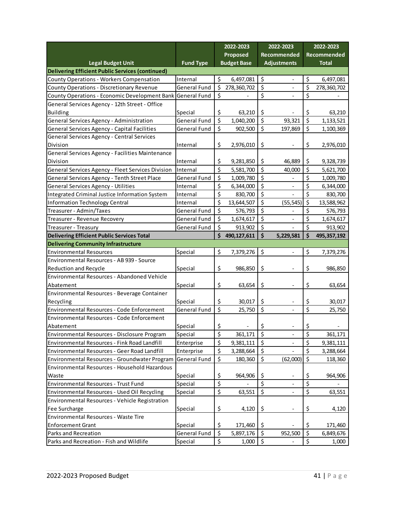|                                                         |                     |                         | 2022-2023                |                    | 2022-2023                    |                     | 2022-2023    |  |
|---------------------------------------------------------|---------------------|-------------------------|--------------------------|--------------------|------------------------------|---------------------|--------------|--|
|                                                         |                     |                         | Proposed                 |                    | Recommended                  |                     | Recommended  |  |
| <b>Legal Budget Unit</b>                                | <b>Fund Type</b>    |                         | <b>Budget Base</b>       | <b>Adjustments</b> |                              |                     | <b>Total</b> |  |
| <b>Delivering Efficient Public Services (continued)</b> |                     |                         |                          |                    |                              |                     |              |  |
| <b>County Operations - Workers Compensation</b>         | Internal            | \$                      | 6,497,081                | \$                 | $\overline{\phantom{a}}$     | \$                  | 6,497,081    |  |
| County Operations - Discretionary Revenue               | General Fund        | \$                      | 278,360,702              | \$                 |                              | \$                  | 278,360,702  |  |
| County Operations - Economic Development Bank           | General Fund        | $\zeta$                 |                          | \$                 |                              | \$                  |              |  |
| General Services Agency - 12th Street - Office          |                     |                         |                          |                    |                              |                     |              |  |
| <b>Building</b>                                         | Special             | \$                      | 63,210                   | \$                 |                              | \$                  | 63,210       |  |
| General Services Agency - Administration                | <b>General Fund</b> | \$                      | 1,040,200                | \$                 | 93,321                       | \$                  | 1,133,521    |  |
| General Services Agency - Capital Facilities            | <b>General Fund</b> | \$                      | 902,500                  | $\zeta$            | 197,869                      | \$                  | 1,100,369    |  |
| General Services Agency - Central Services              |                     |                         |                          |                    |                              |                     |              |  |
| Division                                                | Internal            | \$                      | 2,976,010                | \$                 |                              | \$                  | 2,976,010    |  |
| General Services Agency - Facilities Maintenance        |                     |                         |                          |                    |                              |                     |              |  |
| Division                                                | Internal            | \$                      | 9,281,850                | \$                 | 46,889                       | \$                  | 9,328,739    |  |
| General Services Agency - Fleet Services Division       | Internal            | $\overline{\mathsf{S}}$ | 5,581,700                | \$                 | 40,000                       | \$                  | 5,621,700    |  |
| General Services Agency - Tenth Street Place            | General Fund        | \$                      | 1,009,780                | \$                 |                              | \$                  | 1,009,780    |  |
| General Services Agency - Utilities                     | Internal            | \$                      | 6,344,000                | \$                 | $\overline{\phantom{a}}$     | \$                  | 6,344,000    |  |
| Integrated Criminal Justice Information System          | Internal            | \$                      | 830,700                  | \$                 |                              | \$                  | 830,700      |  |
| <b>Information Technology Central</b>                   | Internal            | \$                      | 13,644,507               | \$                 | (55, 545)                    | $\zeta$             | 13,588,962   |  |
| Treasurer - Admin/Taxes                                 | <b>General Fund</b> | \$                      | 576,793                  | \$                 |                              | \$                  | 576,793      |  |
| Treasurer - Revenue Recovery                            | <b>General Fund</b> | \$                      | 1,674,617                | \$                 |                              | \$                  | 1,674,617    |  |
| Treasurer - Treasury                                    | <b>General Fund</b> | \$                      | 913,902                  | \$                 |                              | \$                  | 913,902      |  |
| Delivering Efficient Public Services Total              |                     | \$                      | 490,127,611              | \$                 | 5,229,581                    | $\ddot{\bm{\zeta}}$ | 495,357,192  |  |
| <b>Delivering Community Infrastructure</b>              |                     |                         |                          |                    |                              |                     |              |  |
| <b>Environmental Resources</b>                          | Special             | \$                      | 7,379,276                | \$                 | $\qquad \qquad \blacksquare$ | \$                  | 7,379,276    |  |
| Environmental Resources - AB 939 - Source               |                     |                         |                          |                    |                              |                     |              |  |
| <b>Reduction and Recycle</b>                            | Special             | \$                      | 986,850                  | \$                 |                              | \$                  | 986,850      |  |
| Environmental Resources - Abandoned Vehicle             |                     |                         |                          |                    |                              |                     |              |  |
| Abatement                                               | Special             | \$                      | 63,654                   | \$                 | $\overline{\phantom{0}}$     | \$                  | 63,654       |  |
| Environmental Resources - Beverage Container            |                     |                         |                          |                    |                              |                     |              |  |
| Recycling                                               | Special             | \$                      | 30,017                   | \$                 |                              | \$                  | 30,017       |  |
| <b>Environmental Resources - Code Enforcement</b>       | <b>General Fund</b> | \$                      | 25,750                   | \$                 |                              | \$                  | 25,750       |  |
| <b>Environmental Resources - Code Enforcement</b>       |                     |                         |                          |                    |                              |                     |              |  |
| Abatement                                               | Special             | \$                      | $\overline{\phantom{a}}$ | \$                 |                              | \$                  |              |  |
| Environmental Resources - Disclosure Program            | Special             | \$                      | 361,171                  | \$                 | $\overline{\phantom{0}}$     | \$                  | 361,171      |  |
| Environmental Resources - Fink Road Landfill            | Enterprise          | \$                      | 9,381,111                | $\zeta$            |                              | \$                  | 9,381,111    |  |
| Environmental Resources - Geer Road Landfill            | Enterprise          | \$                      | 3,288,664                | \$                 |                              | \$                  | 3,288,664    |  |
| Environmental Resources - Groundwater Program           | <b>General Fund</b> | \$                      | 180,360                  | \$                 | (62,000)                     | \$                  | 118,360      |  |
| Environmental Resources - Household Hazardous           |                     |                         |                          |                    |                              |                     |              |  |
| Waste                                                   | Special             | \$                      | 964,906                  | \$                 | $\overline{\phantom{a}}$     | \$                  | 964,906      |  |
| Environmental Resources - Trust Fund                    | Special             | \$                      |                          | \$                 | $\overline{\phantom{a}}$     | \$                  |              |  |
| Environmental Resources - Used Oil Recycling            | Special             | \$                      | 63,551                   | \$                 | $\overline{\phantom{0}}$     | $\overline{\xi}$    | 63,551       |  |
| Environmental Resources - Vehicle Registration          |                     |                         |                          |                    |                              |                     |              |  |
| Fee Surcharge                                           | Special             | \$                      | 4,120                    | \$                 | -                            | \$                  | 4,120        |  |
| Environmental Resources - Waste Tire                    |                     |                         |                          |                    |                              |                     |              |  |
| <b>Enforcement Grant</b>                                | Special             | \$                      | 171,460                  | \$                 |                              | \$                  | 171,460      |  |
|                                                         |                     |                         |                          |                    |                              | $\overline{\xi}$    |              |  |
| Parks and Recreation                                    | General Fund        | $\zeta$                 | 5,897,176                | $\zeta$            | 952,500                      |                     | 6,849,676    |  |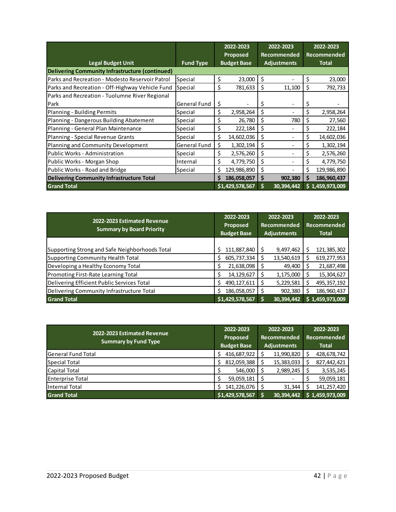|                                                  |                     | 2022-2023 |                    | 2022-2023   |                    | 2022-2023   |                 |
|--------------------------------------------------|---------------------|-----------|--------------------|-------------|--------------------|-------------|-----------------|
|                                                  |                     |           | <b>Proposed</b>    | Recommended |                    | Recommended |                 |
| <b>Legal Budget Unit</b>                         | <b>Fund Type</b>    |           | <b>Budget Base</b> |             | <b>Adjustments</b> |             | <b>Total</b>    |
| Delivering Community Infrastructure (continued)  |                     |           |                    |             |                    |             |                 |
| Parks and Recreation - Modesto Reservoir Patrol  | Special             | \$        | 23,000             | \$          |                    | \$          | 23,000          |
| Parks and Recreation - Off-Highway Vehicle Fund  | Special             | \$        | 781,633            | \$          | 11,100             | \$.         | 792,733         |
| Parks and Recreation - Tuolumne River Regional   |                     |           |                    |             |                    |             |                 |
| Park                                             | <b>General Fund</b> | \$        |                    | \$          |                    | \$.         |                 |
| Planning - Building Permits                      | Special             | \$        | 2,958,264          | \$          |                    | \$          | 2,958,264       |
| Planning - Dangerous Building Abatement          | Special             | \$        | 26,780             | \$          | 780                | \$          | 27,560          |
| Planning - General Plan Maintenance              | Special             | \$        | 222,184            | \$          |                    | \$          | 222,184         |
| Planning - Special Revenue Grants                | Special             | \$        | 14,602,036         | \$          |                    | \$          | 14,602,036      |
| Planning and Community Development               | General Fund        | \$        | 1,302,194          | \$          |                    | \$          | 1,302,194       |
| Public Works - Administration                    | Special             | \$        | 2,576,260          | \$          |                    | \$          | 2,576,260       |
| Public Works - Morgan Shop                       | Internal            | \$        | 4,779,750          | \$          |                    | \$          | 4,779,750       |
| Public Works - Road and Bridge                   | Special             | Ś         | 129,986,890        | \$          |                    | Ś           | 129,986,890     |
| <b>Delivering Community Infrastructure Total</b> |                     | S         | 186,058,057        | \$          | 902,380            | Ś           | 186,960,437     |
| <b>Grand Total</b>                               |                     |           | \$1,429,578,567    | Ś           | 30,394,442         |             | \$1,459,973,009 |

| 2022-2023 Estimated Revenue<br><b>Summary by Board Priority</b> | 2022-2023<br>Proposed<br><b>Budget Base</b> |   | 2022-2023<br><b>Recommended</b><br><b>Adjustments</b> | 2022-2023<br><b>Recommended</b><br><b>Total</b> |                 |  |
|-----------------------------------------------------------------|---------------------------------------------|---|-------------------------------------------------------|-------------------------------------------------|-----------------|--|
|                                                                 |                                             |   |                                                       |                                                 |                 |  |
| Supporting Strong and Safe Neighborhoods Total                  | 111,887,840                                 |   | 9,497,462                                             |                                                 | 121,385,302     |  |
| Supporting Community Health Total                               | 605,737,334<br>\$                           |   | 13,540,619                                            | S                                               | 619,277,953     |  |
| Developing a Healthy Economy Total                              | 21,638,098                                  |   | 49,400                                                |                                                 | 21,687,498      |  |
| Promoting First-Rate Learning Total                             | 14,129,627                                  | S | 1,175,000                                             |                                                 | 15,304,627      |  |
| Delivering Efficient Public Services Total                      | 490, 127, 611<br>S                          | S | 5,229,581                                             |                                                 | 495, 357, 192   |  |
| Delivering Community Infrastructure Total                       | 186,058,057                                 |   | 902,380                                               |                                                 | 186,960,437     |  |
| <b>Grand Total</b>                                              | \$1,429,578,567                             |   | 30,394,442                                            |                                                 | \$1,459,973,009 |  |

| 2022-2023 Estimated Revenue | 2022-2023          | 2022-2023          | 2022-2023    |                 |  |
|-----------------------------|--------------------|--------------------|--------------|-----------------|--|
| <b>Summary by Fund Type</b> | Proposed           | <b>Recommended</b> | Recommended  |                 |  |
|                             | <b>Budget Base</b> | <b>Adjustments</b> | <b>Total</b> |                 |  |
| <b>General Fund Total</b>   | 416,687,922        | 11,990,820         | S            | 428,678,742     |  |
| Special Total               | 812,059,388        | 15,383,033         |              | 827,442,421     |  |
| Capital Total               | 546,000            | 2,989,245          |              | 3,535,245       |  |
| <b>Enterprise Total</b>     | 59,059,181         |                    |              | 59,059,181      |  |
| Internal Total              | 141,226,076        | 31,344             |              | 141,257,420     |  |
| <b>Grand Total</b>          | \$1,429,578,567    | 30,394,442         |              | \$1,459,973,009 |  |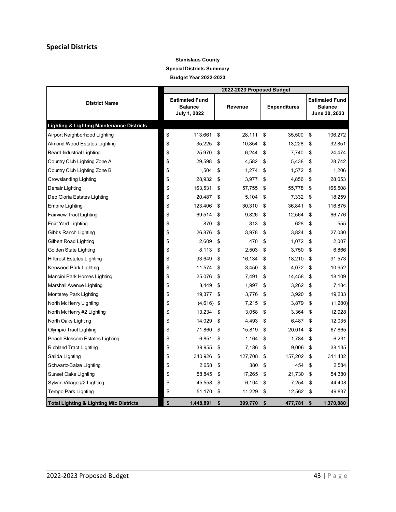#### **Special Districts**

#### **Stanislaus County Special Districts Summary Budget Year 2022-2023**

|                                                      | 2022-2023 Proposed Budget |                                                         |    |         |    |                     |    |                                                          |
|------------------------------------------------------|---------------------------|---------------------------------------------------------|----|---------|----|---------------------|----|----------------------------------------------------------|
| <b>District Name</b>                                 |                           | <b>Estimated Fund</b><br><b>Balance</b><br>July 1, 2022 |    | Revenue |    | <b>Expenditures</b> |    | <b>Estimated Fund</b><br><b>Balance</b><br>June 30, 2023 |
| <b>Lighting &amp; Lighting Maintenance Districts</b> |                           |                                                         |    |         |    |                     |    |                                                          |
| Airport Neighborhood Lighting                        | \$                        | 113,661                                                 | \$ | 28,111  | \$ | 35,500              | \$ | 106,272                                                  |
| Almond Wood Estates Lighting                         | \$                        | 35,225                                                  | \$ | 10,854  | \$ | 13,228              | \$ | 32,851                                                   |
| Beard Industrial Lighting                            | \$                        | 25,970                                                  | \$ | 6,244   | \$ | 7,740               | \$ | 24,474                                                   |
| Country Club Lighting Zone A                         | \$                        | 29,598                                                  | \$ | 4,582   | \$ | 5,438               | \$ | 28,742                                                   |
| Country Club Lighting Zone B                         | \$                        | 1,504                                                   | \$ | 1,274   | \$ | 1,572               | \$ | 1,206                                                    |
| Crowslanding Lighting                                | \$                        | 28,932                                                  | \$ | 3,977   | \$ | 4,856               | \$ | 28,053                                                   |
| Denair Lighting                                      | \$                        | 163,531                                                 | \$ | 57,755  | \$ | 55,778              | \$ | 165,508                                                  |
| Deo Gloria Estates Lighting                          | \$                        | 20,487                                                  | \$ | 5,104   | \$ | 7,332               | \$ | 18,259                                                   |
| Empire Lighting                                      | \$                        | 123,406                                                 | \$ | 30,310  | \$ | 36,841              | \$ | 116,875                                                  |
| Fairview Tract Lighting                              | \$                        | 69,514                                                  | \$ | 9.826   | \$ | 12,564              | \$ | 66,776                                                   |
| <b>Fruit Yard Lighting</b>                           | \$                        | 870                                                     | \$ | 313     | \$ | 628                 | \$ | 555                                                      |
| Gibbs Ranch Lighting                                 | \$                        | 26,876                                                  | \$ | 3,978   | \$ | 3,824               | \$ | 27,030                                                   |
| Gilbert Road Lighting                                | \$                        | 2,609                                                   | \$ | 470     | \$ | 1,072               | \$ | 2,007                                                    |
| Golden State Lighting                                | \$                        | 8,113                                                   | \$ | 2,503   | \$ | 3,750               | \$ | 6,866                                                    |
| <b>Hillcrest Estates Lighting</b>                    | \$                        | 93,649                                                  | \$ | 16,134  | \$ | 18,210              | \$ | 91,573                                                   |
| Kenwood Park Lighting                                | \$                        | 11,574                                                  | \$ | 3,450   | \$ | 4,072               | \$ | 10,952                                                   |
| Mancini Park Homes Lighting                          | \$                        | 25,076                                                  | \$ | 7,491   | \$ | 14,458              | \$ | 18,109                                                   |
| Marshall Avenue Lighting                             | \$                        | 8,449                                                   | \$ | 1,997   | \$ | 3,262               | \$ | 7,184                                                    |
| Monterey Park Lighting                               | \$                        | 19,377                                                  | \$ | 3,776   | \$ | 3,920               | \$ | 19,233                                                   |
| North McHenry Lighting                               | \$                        | $(4,616)$ \$                                            |    | 7,215   | \$ | 3,879               | \$ | (1,280)                                                  |
| North McHenry #2 Lighting                            | \$                        | 13,234                                                  | \$ | 3,058   | \$ | 3,364               | \$ | 12,928                                                   |
| North Oaks Lighting                                  | \$                        | 14,029                                                  | \$ | 4,493   | \$ | 6,487               | \$ | 12,035                                                   |
| Olympic Tract Lighting                               | \$                        | 71,860                                                  | \$ | 15,819  | \$ | 20,014              | \$ | 67,665                                                   |
| Peach Blossom Estates Lighting                       | \$                        | 6,851                                                   | \$ | 1,164   | \$ | 1,784               | \$ | 6,231                                                    |
| <b>Richland Tract Lighting</b>                       | \$                        | 39,955                                                  | \$ | 7,186   | \$ | 9,006               | \$ | 38,135                                                   |
| Salida Lighting                                      | \$                        | 340,926                                                 | \$ | 127,708 | \$ | 157,202             | \$ | 311,432                                                  |
| Schwartz-Baize Lighting                              | \$                        | 2,658                                                   | \$ | 380     | \$ | 454                 | \$ | 2,584                                                    |
| Sunset Oaks Lighting                                 | \$                        | 58,845                                                  | \$ | 17,265  | \$ | 21,730              | \$ | 54,380                                                   |
| Sylvan Village #2 Lighting                           | \$                        | 45,558                                                  | \$ | 6,104   | \$ | 7,254               | \$ | 44,408                                                   |
| Tempo Park Lighting                                  | \$                        | 51,170                                                  | \$ | 11,229  | \$ | 12,562              | \$ | 49,837                                                   |
| <b>Total Lighting &amp; Lighting Mtc Districts</b>   | \$                        | 1,448,891                                               | \$ | 399,770 | \$ | 477,781             | \$ | 1,370,880                                                |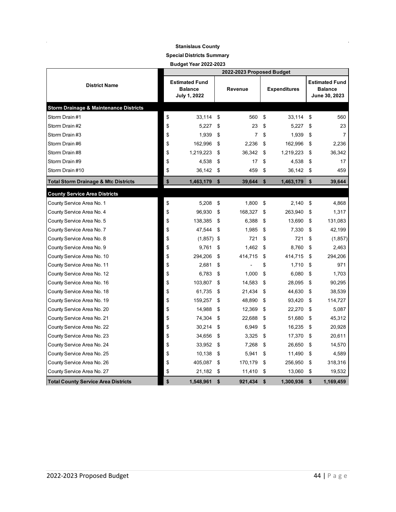#### **Stanislaus County**

#### **Special Districts Summary**

**Budget Year 2022-2023**

|                                                   | 2022-2023 Proposed Budget |                                                         |    |                |      |                     |    |                                                          |
|---------------------------------------------------|---------------------------|---------------------------------------------------------|----|----------------|------|---------------------|----|----------------------------------------------------------|
| <b>District Name</b>                              |                           | <b>Estimated Fund</b><br><b>Balance</b><br>July 1, 2022 |    | Revenue        |      | <b>Expenditures</b> |    | <b>Estimated Fund</b><br><b>Balance</b><br>June 30, 2023 |
| <b>Storm Drainage &amp; Maintenance Districts</b> |                           |                                                         |    |                |      |                     |    |                                                          |
| Storm Drain #1                                    | \$                        | 33,114                                                  | \$ | 560            | \$   | 33,114              | \$ | 560                                                      |
| Storm Drain#2                                     | \$                        | 5,227                                                   | \$ | 23             | \$   | 5,227               | \$ | 23                                                       |
| Storm Drain #3                                    | \$                        | 1,939                                                   | \$ | $\overline{7}$ | \$   | 1,939               | \$ | 7                                                        |
| Storm Drain #6                                    | \$                        | 162,996                                                 | \$ | 2,236          | \$   | 162,996             | \$ | 2,236                                                    |
| Storm Drain #8                                    | \$                        | 1,219,223                                               | \$ | 36,342         | \$   | 1,219,223           | \$ | 36,342                                                   |
| Storm Drain #9                                    | \$                        | 4,538                                                   | \$ | 17             | \$   | 4,538               | \$ | 17                                                       |
| Storm Drain #10                                   | \$                        | 36,142                                                  | \$ | 459            | \$   | 36,142              | \$ | 459                                                      |
| <b>Total Storm Drainage &amp; Mtc Districts</b>   | \$                        | 1,463,179                                               | \$ | 39,644         | \$   | 1,463,179           | \$ | 39,644                                                   |
| <b>County Service Area Districts</b>              |                           |                                                         |    |                |      |                     |    |                                                          |
| County Service Area No. 1                         | \$                        | 5,208                                                   | \$ | 1,800          | - \$ | $2,140$ \$          |    | 4,868                                                    |
| County Service Area No. 4                         | \$                        | 96,930                                                  | \$ | 168,327        | \$   | 263,940             | \$ | 1,317                                                    |
| County Service Area No. 5                         | \$                        | 138,385                                                 | \$ | 6,388          | \$   | 13,690              | \$ | 131,083                                                  |
| County Service Area No. 7                         | \$                        | 47,544                                                  | \$ | 1,985          | \$   | 7,330               | \$ | 42,199                                                   |
| County Service Area No. 8                         | \$                        | $(1,857)$ \$                                            |    | 721            | \$   | 721                 | \$ | (1, 857)                                                 |
| County Service Area No. 9                         | \$                        | 9,761                                                   | \$ | 1,462          | \$   | 8,760               | \$ | 2,463                                                    |
| County Service Area No. 10                        | \$                        | 294,206                                                 | \$ | 414,715        | \$   | 414,715             | \$ | 294,206                                                  |
| County Service Area No. 11                        | \$                        | 2,681                                                   | \$ |                | \$   | 1,710               | \$ | 971                                                      |
| County Service Area No. 12                        | \$                        | 6,783                                                   | \$ | 1,000          | \$   | 6,080               | \$ | 1,703                                                    |
| County Service Area No. 16                        | \$                        | 103,807                                                 | \$ | 14,583         | \$   | 28,095              | \$ | 90,295                                                   |
| County Service Area No. 18                        | \$                        | 61,735                                                  | \$ | 21,434         | \$   | 44,630              | \$ | 38,539                                                   |
| County Service Area No. 19                        | \$                        | 159,257                                                 | \$ | 48,890         | \$   | 93,420              | \$ | 114,727                                                  |
| County Service Area No. 20                        | \$                        | 14,988                                                  | \$ | 12,369         | \$   | 22,270              | \$ | 5,087                                                    |
| County Service Area No. 21                        | \$                        | 74,304                                                  | \$ | 22,688         | \$   | 51,680              | \$ | 45,312                                                   |
| County Service Area No. 22                        | \$                        | 30,214                                                  | \$ | 6,949          | \$   | 16,235              | \$ | 20,928                                                   |
| County Service Area No. 23                        | \$                        | 34,656                                                  | \$ | 3,325          | \$   | 17,370              | \$ | 20,611                                                   |
| County Service Area No. 24                        | \$                        | 33,952                                                  | \$ | 7,268          | \$   | 26,650              | \$ | 14,570                                                   |
| County Service Area No. 25                        | \$                        | 10,138                                                  | \$ | 5,941          | \$   | 11,490              | \$ | 4,589                                                    |
| County Service Area No. 26                        | \$                        | 405,087                                                 | \$ | 170,179        | \$   | 256,950             | \$ | 318,316                                                  |
| County Service Area No. 27                        | \$                        | 21,182                                                  | \$ | 11,410         | \$   | 13,060              | \$ | 19,532                                                   |
| <b>Total County Service Area Districts</b>        | \$                        | 1,548,961                                               | \$ | 921.434        | \$   | 1,300,936           | \$ | 1,169,459                                                |

÷.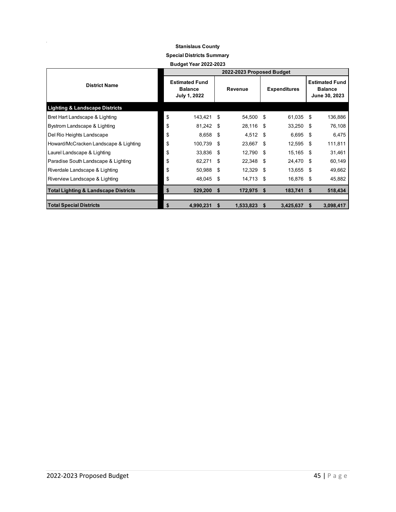#### **Stanislaus County**

**Special Districts Summary**

**Budget Year 2022-2023**

|                                                 | 2022-2023 Proposed Budget |                                                         |      |           |      |                     |      |                                                          |
|-------------------------------------------------|---------------------------|---------------------------------------------------------|------|-----------|------|---------------------|------|----------------------------------------------------------|
| <b>District Name</b>                            |                           | <b>Estimated Fund</b><br><b>Balance</b><br>July 1, 2022 |      | Revenue   |      | <b>Expenditures</b> |      | <b>Estimated Fund</b><br><b>Balance</b><br>June 30, 2023 |
| <b>Lighting &amp; Landscape Districts</b>       |                           |                                                         |      |           |      |                     |      |                                                          |
| Bret Hart Landscape & Lighting                  | \$                        | 143,421 \$                                              |      | 54,500 \$ |      | 61,035 \$           |      | 136,886                                                  |
| Bystrom Landscape & Lighting                    | \$                        | 81,242                                                  | - \$ | 28,116    | - \$ | 33,250              | - \$ | 76,108                                                   |
| Del Rio Heights Landscape                       | \$                        | 8,658                                                   | - \$ | 4,512 \$  |      | 6,695               | - \$ | 6,475                                                    |
| Howard/McCracken Landscape & Lighting           | \$                        | 100,739                                                 | - \$ | 23,667 \$ |      | 12,595 \$           |      | 111,811                                                  |
| Laurel Landscape & Lighting                     | \$                        | 33,836                                                  | \$   | 12,790    | - \$ | 15,165 \$           |      | 31,461                                                   |
| Paradise South Landscape & Lighting             | \$                        | 62,271                                                  | - \$ | 22,348    | - \$ | 24,470              | - \$ | 60,149                                                   |
| Riverdale Landscape & Lighting                  | \$                        | 50,988 \$                                               |      | 12,329 \$ |      | 13,655 \$           |      | 49,662                                                   |
| Riverview Landscape & Lighting                  | \$                        | 48,045                                                  | -\$  | 14,713 \$ |      | 16,876 \$           |      | 45,882                                                   |
| <b>Total Lighting &amp; Landscape Districts</b> | \$                        | 529,200                                                 | - \$ | 172,975   | - 5  | 183,741             | S.   | 518,434                                                  |
| <b>Total Special Districts</b>                  | \$                        | 4,990,231                                               | \$.  | 1,533,823 | - 5  | 3,425,637           | S    | 3,098,417                                                |

 $\frac{1}{2}$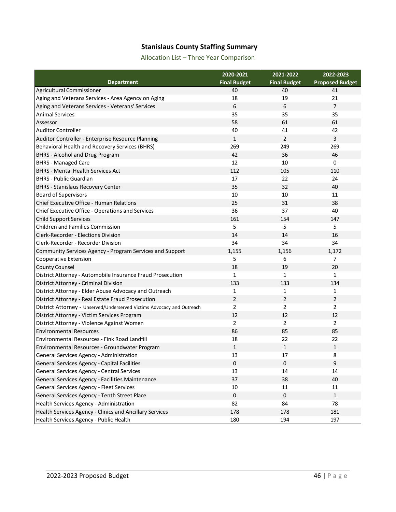#### **Stanislaus County Staffing Summary**

Allocation List – Three Year Comparison

|                                                                        | 2020-2021           | 2021-2022           | 2022-2023              |
|------------------------------------------------------------------------|---------------------|---------------------|------------------------|
| <b>Department</b>                                                      | <b>Final Budget</b> | <b>Final Budget</b> | <b>Proposed Budget</b> |
| Agricultural Commissioner                                              | 40                  | 40                  | 41                     |
| Aging and Veterans Services - Area Agency on Aging                     | 18                  | 19                  | 21                     |
| Aging and Veterans Services - Veterans' Services                       | 6                   | 6                   | $\overline{7}$         |
| <b>Animal Services</b>                                                 | 35                  | 35                  | 35                     |
| Assessor                                                               | 58                  | 61                  | 61                     |
| <b>Auditor Controller</b>                                              | 40                  | 41                  | 42                     |
| Auditor Controller - Enterprise Resource Planning                      | $\mathbf{1}$        | $\overline{2}$      | $\overline{3}$         |
| Behavioral Health and Recovery Services (BHRS)                         | 269                 | 249                 | 269                    |
| <b>BHRS</b> - Alcohol and Drug Program                                 | 42                  | 36                  | 46                     |
| <b>BHRS - Managed Care</b>                                             | 12                  | 10                  | 0                      |
| <b>BHRS - Mental Health Services Act</b>                               | 112                 | 105                 | 110                    |
| <b>BHRS - Public Guardian</b>                                          | 17                  | 22                  | 24                     |
| <b>BHRS - Stanislaus Recovery Center</b>                               | 35                  | 32                  | 40                     |
| <b>Board of Supervisors</b>                                            | 10                  | 10                  | 11                     |
| Chief Executive Office - Human Relations                               | 25                  | 31                  | 38                     |
| Chief Executive Office - Operations and Services                       | 36                  | 37                  | 40                     |
| <b>Child Support Services</b>                                          | 161                 | 154                 | 147                    |
| <b>Children and Families Commission</b>                                | 5                   | 5                   | 5                      |
| <b>Clerk-Recorder - Elections Division</b>                             | 14                  | 14                  | 16                     |
| Clerk-Recorder - Recorder Division                                     | 34                  | 34                  | 34                     |
| Community Services Agency - Program Services and Support               | 1,155               | 1,156               | 1,172                  |
| <b>Cooperative Extension</b>                                           | 5                   | 6                   | $\overline{7}$         |
| <b>County Counsel</b>                                                  | 18                  | 19                  | 20                     |
| District Attorney - Automobile Insurance Fraud Prosecution             | $\mathbf{1}$        | $\mathbf{1}$        | $\mathbf{1}$           |
| District Attorney - Criminal Division                                  | 133                 | 133                 | 134                    |
| District Attorney - Elder Abuse Advocacy and Outreach                  | $\mathbf{1}$        | $\mathbf{1}$        | 1                      |
| District Attorney - Real Estate Fraud Prosecution                      | $\overline{2}$      | $\overline{2}$      | 2                      |
| District Attorney - Unserved/Underserved Victims Advocacy and Outreach | $\overline{2}$      | $\overline{2}$      | $\overline{2}$         |
| District Attorney - Victim Services Program                            | 12                  | 12                  | 12                     |
| District Attorney - Violence Against Women                             | $\overline{2}$      | $\overline{2}$      | $\overline{2}$         |
| <b>Environmental Resources</b>                                         | 86                  | 85                  | 85                     |
| Environmental Resources - Fink Road Landfill                           | 18                  | 22                  | 22                     |
| Environmental Resources - Groundwater Program                          | $\mathbf{1}$        | $\mathbf{1}$        | $\mathbf{1}$           |
| General Services Agency - Administration                               | 13                  | 17                  | 8                      |
| <b>General Services Agency - Capital Facilities</b>                    | 0                   | $\pmb{0}$           | $\mathsf g$            |
| General Services Agency - Central Services                             | 13                  | 14                  | 14                     |
| General Services Agency - Facilities Maintenance                       | 37                  | 38                  | 40                     |
| General Services Agency - Fleet Services                               | $10\,$              | 11                  | 11                     |
| General Services Agency - Tenth Street Place                           | $\pmb{0}$           | $\mathsf{O}\xspace$ | $\mathbf{1}$           |
| Health Services Agency - Administration                                | 82                  | 84                  | 78                     |
| Health Services Agency - Clinics and Ancillary Services                | 178                 | 178                 | 181                    |
| Health Services Agency - Public Health                                 | 180                 | 194                 | 197                    |